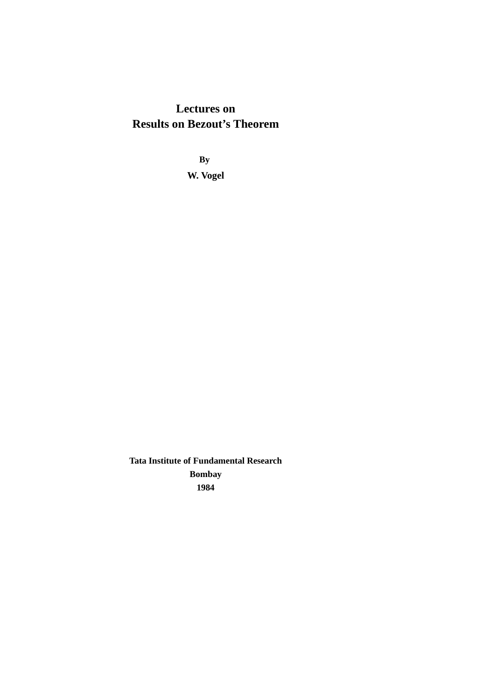### **Lectures on Results on Bezout's Theorem**

**By W. Vogel**

**Tata Institute of Fundamental Research Bombay 1984**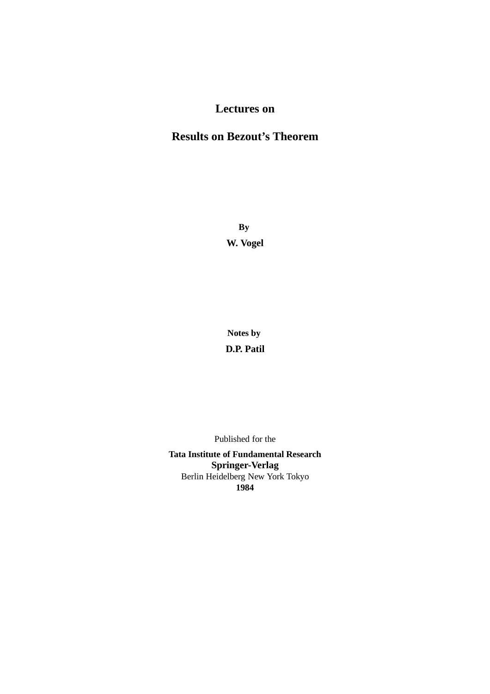### **Lectures on**

### **Results on Bezout's Theorem**

**By W. Vogel**

**Notes by D.P. Patil**

Published for the

**Tata Institute of Fundamental Research Springer-Verlag** Berlin Heidelberg New York Tokyo **1984**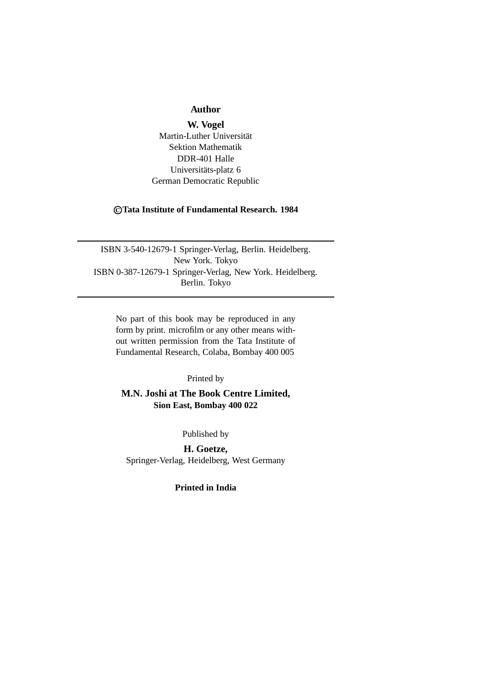### **Author**

**W. Vogel** Martin-Luther Universität Sektion Mathematik DDR-401 Halle Universitäts-platz 6 German Democratic Republic

### ©**Tata Institute of Fundamental Research. 1984**

ISBN 3-540-12679-1 Springer-Verlag, Berlin. Heidelberg. New York. Tokyo ISBN 0-387-12679-1 Springer-Verlag, New York. Heidelberg. Berlin. Tokyo

No part of this book may be reproduced in any form by print. microfilm or any other means without written permission from the Tata Institute of Fundamental Research, Colaba, Bombay 400 005

### Printed by

**M.N. Joshi at The Book Centre Limited, Sion East, Bombay 400 022**

Published by

**H. Goetze,** Springer-Verlag, Heidelberg, West Germany

**Printed in India**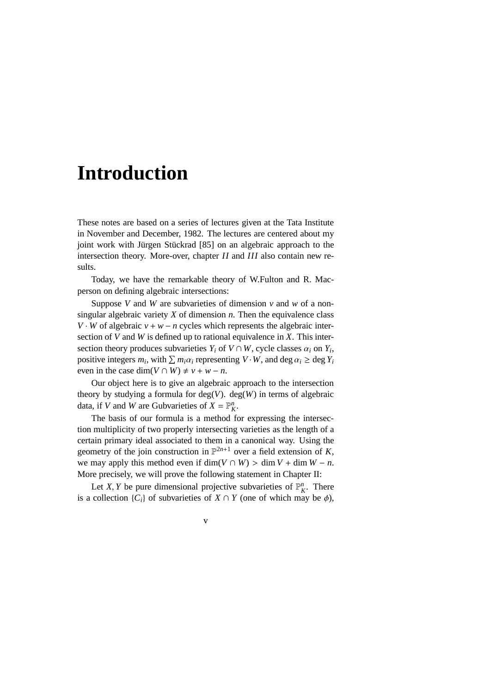## **Introduction**

These notes are based on a series of lectures given at the Tata Institute in November and December, 1982. The lectures are centered about my joint work with Jürgen Stückrad [85] on an algebraic approach to the intersection theory. More-over, chapter *II* and *III* also contain new results.

Today, we have the remarkable theory of W.Fulton and R. Macperson on defining algebraic intersections:

Suppose *V* and *W* are subvarieties of dimension  $\nu$  and  $\omega$  of a nonsingular algebraic variety *X* of dimension *n*. Then the equivalence class *V* · *W* of algebraic  $v + w - n$  cycles which represents the algebraic intersection of *V* and *W* is defined up to rational equivalence in *X*. This intersection theory produces subvarieties  $Y_i$  of  $V \cap W$ , cycle classes  $\alpha_i$  on  $Y_i$ , positive integers  $m_i$ , with  $\sum m_i \alpha_i$  representing  $V \cdot W$ , and deg  $\alpha_i \ge \deg Y_i$ even in the case dim( $V \cap W$ )  $\neq v + w - n$ .

Our object here is to give an algebraic approach to the intersection theory by studying a formula for deg(*V*). deg(*W*) in terms of algebraic data, if *V* and *W* are Gubvarieties of  $X = \mathbb{P}_K^n$ .

The basis of our formula is a method for expressing the intersection multiplicity of two properly intersecting varieties as the length of a certain primary ideal associated to them in a canonical way. Using the geometry of the join construction in  $\mathbb{P}^{2n+1}$  over a field extension of *K*, we may apply this method even if dim( $V \cap W$ ) > dim  $V + \dim W - n$ . More precisely, we will prove the following statement in Chapter II:

Let *X*, *Y* be pure dimensional projective subvarieties of  $\mathbb{P}_{K}^{n}$ . There is a collection  $\{C_i\}$  of subvarieties of  $X \cap Y$  (one of which may be  $\phi$ ),

v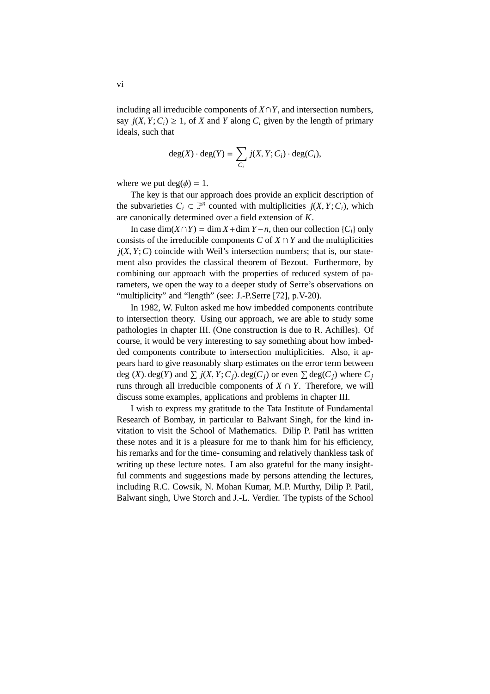including all irreducible components of  $X \cap Y$ , and intersection numbers, say  $j(X, Y; C_i) \geq 1$ , of *X* and *Y* along  $C_i$  given by the length of primary ideals, such that

$$
\deg(X) \cdot \deg(Y) = \sum_{C_i} j(X, Y; C_i) \cdot \deg(C_i),
$$

where we put  $deg(\phi) = 1$ .

The key is that our approach does provide an explicit description of the subvarieties  $C_i \subset \mathbb{P}^n$  counted with multiplicities  $j(X, Y; C_i)$ , which are canonically determined over a field extension of *K*.

In case dim( $X \cap Y$ ) = dim  $X$ +dim  $Y$ −*n*, then our collection { $C_i$ } only consists of the irreducible components *C* of  $X \cap Y$  and the multiplicities  $j(X, Y; C)$  coincide with Weil's intersection numbers; that is, our statement also provides the classical theorem of Bezout. Furthermore, by combining our approach with the properties of reduced system of parameters, we open the way to a deeper study of Serre's observations on "multiplicity" and "length" (see: J.-P.Serre [72], p.V-20).

In 1982, W. Fulton asked me how imbedded components contribute to intersection theory. Using our approach, we are able to study some pathologies in chapter III. (One construction is due to R. Achilles). Of course, it would be very interesting to say something about how imbedded components contribute to intersection multiplicities. Also, it appears hard to give reasonably sharp estimates on the error term between deg (*X*). deg(*Y*) and  $\sum j(X, Y; C_j)$ . deg(*C<sub>j</sub>*) or even  $\sum$  deg(*C<sub>j</sub>*) where *C<sub>j</sub>* runs through all irreducible components of  $X \cap Y$ . Therefore, we will discuss some examples, applications and problems in chapter III.

I wish to express my gratitude to the Tata Institute of Fundamental Research of Bombay, in particular to Balwant Singh, for the kind invitation to visit the School of Mathematics. Dilip P. Patil has written these notes and it is a pleasure for me to thank him for his efficiency, his remarks and for the time- consuming and relatively thankless task of writing up these lecture notes. I am also grateful for the many insightful comments and suggestions made by persons attending the lectures, including R.C. Cowsik, N. Mohan Kumar, M.P. Murthy, Dilip P. Patil, Balwant singh, Uwe Storch and J.-L. Verdier. The typists of the School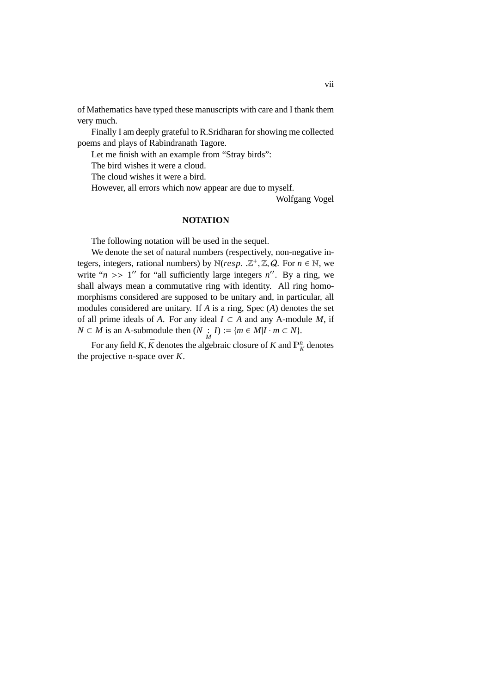of Mathematics have typed these manuscripts with care and I thank them very much.

Finally I am deeply grateful to R.Sridharan for showing me collected poems and plays of Rabindranath Tagore.

Let me finish with an example from "Stray birds":

The bird wishes it were a cloud.

The cloud wishes it were a bird.

However, all errors which now appear are due to myself.

Wolfgang Vogel

### **NOTATION**

The following notation will be used in the sequel.

We denote the set of natural numbers (respectively, non-negative integers, integers, rational numbers) by  $\mathbb{N}(resp. \mathbb{Z}^+, \mathbb{Z}, Q.$  For  $n \in \mathbb{N}$ , we write " $n \gg 1$ " for "all sufficiently large integers  $n''$ . By a ring, we shall always mean a commutative ring with identity. All ring homomorphisms considered are supposed to be unitary and, in particular, all modules considered are unitary. If *A* is a ring, Spec (*A*) denotes the set of all prime ideals of *A*. For any ideal  $I \subset A$  and any A-module *M*, if *N* ⊂ *M* is an A-submodule then  $(N : I) := {m \in M | I \cdot m \subset N}$ .

For any field *K*,  $\bar{K}$  denotes the algebraic closure of *K* and  $\mathbb{P}_K^n$  denotes the projective n-space over *K*.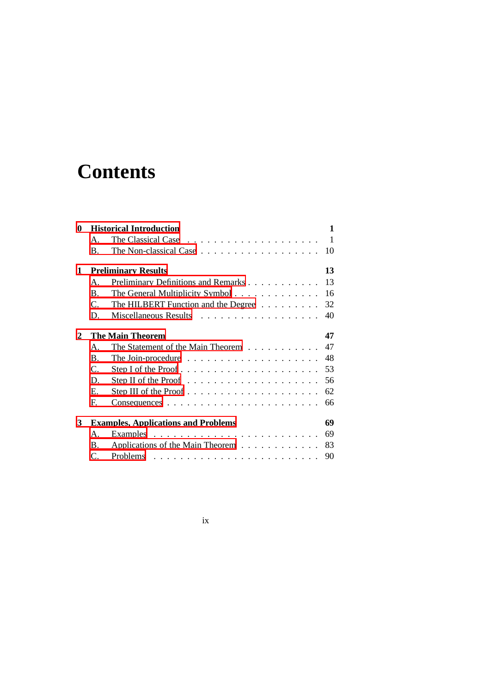# **Contents**

| <b>Historical Introduction</b><br>0 |                         |                                                                    | 1  |
|-------------------------------------|-------------------------|--------------------------------------------------------------------|----|
|                                     | $\mathsf{A}$ .          | The Classical Case $\ldots \ldots \ldots \ldots \ldots \ldots$     | 1  |
|                                     | $\mathbf{B}$ .          | The Non-classical Case $\ldots \ldots \ldots \ldots \ldots \ldots$ | 10 |
| $\mathbf{1}$                        |                         | <b>Preliminary Results</b>                                         | 13 |
|                                     | $\mathsf{A}$ .          | Preliminary Definitions and Remarks                                | 13 |
|                                     | <sub>R</sub>            | The General Multiplicity Symbol                                    | 16 |
|                                     | $C_{\cdot}$             | The HILBERT Function and the Degree                                | 32 |
|                                     | D.                      | Miscellaneous Results                                              | 40 |
| 2                                   | <b>The Main Theorem</b> |                                                                    | 47 |
|                                     | $\mathsf{A}$ .          | The Statement of the Main Theorem                                  | 47 |
|                                     | <b>B.</b>               | The Join-procedure $\ldots \ldots \ldots \ldots \ldots \ldots$     | 48 |
|                                     | $C_{\cdot}$             |                                                                    | 53 |
|                                     | D.                      | Step II of the Proof $\dots \dots \dots \dots \dots \dots \dots$   | 56 |
|                                     | E.                      |                                                                    | 62 |
|                                     | F.                      |                                                                    | 66 |
| 3                                   |                         | <b>Examples, Applications and Problems</b>                         | 69 |
|                                     | Α.                      |                                                                    | 69 |
|                                     | <b>B.</b>               | Applications of the Main Theorem                                   | 83 |
|                                     | $\mathcal{C}$ .         |                                                                    | 90 |

ix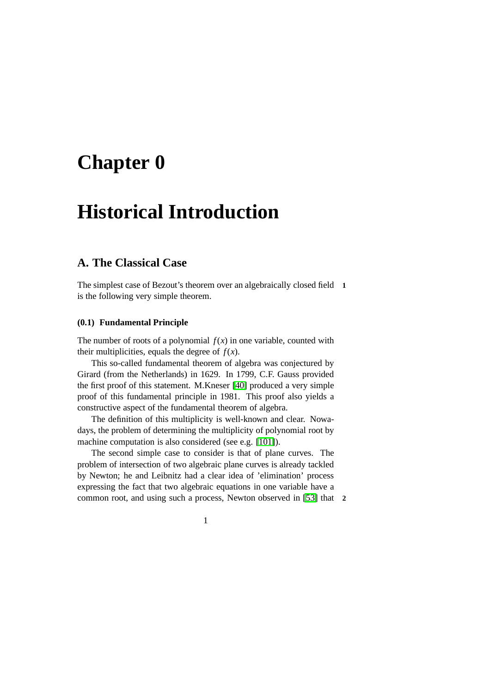## <span id="page-10-0"></span>**Chapter 0**

## **Historical Introduction**

### <span id="page-10-1"></span>**A. The Classical Case**

The simplest case of Bezout's theorem over an algebraically closed field **1** is the following very simple theorem.

### **(0.1) Fundamental Principle**

The number of roots of a polynomial  $f(x)$  in one variable, counted with their multiplicities, equals the degree of  $f(x)$ .

This so-called fundamental theorem of algebra was conjectured by Girard (from the Netherlands) in 1629. In 1799, C.F. Gauss provided the first proof of this statement. M.Kneser [\[40\]](#page-107-0) produced a very simple proof of this fundamental principle in 1981. This proof also yields a constructive aspect of the fundamental theorem of algebra.

The definition of this multiplicity is well-known and clear. Nowadays, the problem of determining the multiplicity of polynomial root by machine computation is also considered (see e.g. [\[101\]](#page-112-0)).

The second simple case to consider is that of plane curves. The problem of intersection of two algebraic plane curves is already tackled by Newton; he and Leibnitz had a clear idea of 'elimination' process expressing the fact that two algebraic equations in one variable have a common root, and using such a process, Newton observed in [\[53\]](#page-108-0) that **2**

1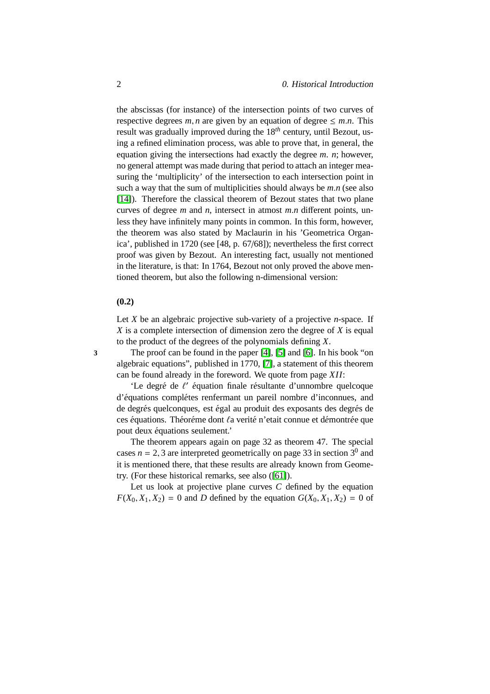the abscissas (for instance) of the intersection points of two curves of respective degrees  $m, n$  are given by an equation of degree  $\leq m.n$ . This result was gradually improved during the 18*th* century, until Bezout, using a refined elimination process, was able to prove that, in general, the equation giving the intersections had exactly the degree *m*. *n*; however, no general attempt was made during that period to attach an integer measuring the 'multiplicity' of the intersection to each intersection point in such a way that the sum of multiplicities should always be *m*.*n* (see also [\[14\]](#page-105-0)). Therefore the classical theorem of Bezout states that two plane curves of degree *m* and *n*, intersect in atmost *m*.*n* different points, unless they have infinitely many points in common. In this form, however, the theorem was also stated by Maclaurin in his 'Geometrica Organica', published in 1720 (see [48, p. 67/68]); nevertheless the first correct proof was given by Bezout. An interesting fact, usually not mentioned in the literature, is that: In 1764, Bezout not only proved the above mentioned theorem, but also the following n-dimensional version:

### **(0.2)**

Let *X* be an algebraic projective sub-variety of a projective *n*-space. If *X* is a complete intersection of dimension zero the degree of *X* is equal to the product of the degrees of the polynomials defining *X*.

**3** The proof can be found in the paper [\[4\]](#page-104-0), [\[5\]](#page-104-1) and [\[6\]](#page-104-2). In his book "on algebraic equations", published in 1770, [\[7\]](#page-104-3), a statement of this theorem can be found already in the foreword. We quote from page *XII*:

'Le degré de  $\ell'$  équation finale résultante d'unnombre quelcoque d'équations complétes renfermant un pareil nombre d'inconnues, and de degrés quelconques, est égal au produit des exposants des degrés de ces équations. Théoréme dont *la* verité n'etait connue et démontrée que pout deux équations seulement.'

The theorem appears again on page 32 as theorem 47. The special cases  $n = 2, 3$  are interpreted geometrically on page 33 in section  $3^0$  and it is mentioned there, that these results are already known from Geometry. (For these historical remarks, see also ([\[61\]](#page-109-0)).

Let us look at projective plane curves *C* defined by the equation  $F(X_0, X_1, X_2) = 0$  and *D* defined by the equation  $G(X_0, X_1, X_2) = 0$  of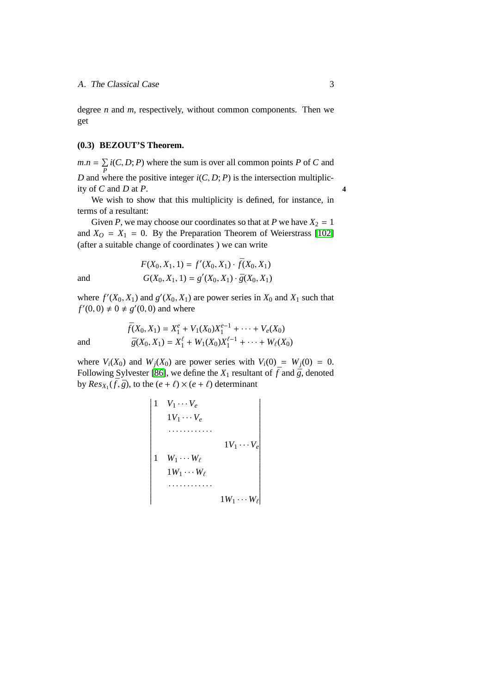degree *n* and *m*, respectively, without common components. Then we get

### **(0.3) BEZOUT'S Theorem.**

 $m.n = \sum$ *P i*(*C*, *D*; *P*) where the sum is over all common points *P* of *C* and *D* and where the positive integer  $i(C, D; P)$  is the intersection multiplicity of  $C$  and  $D$  at  $P$ .

We wish to show that this multiplicity is defined, for instance, in terms of a resultant:

Given *P*, we may choose our coordinates so that at *P* we have  $X_2 = 1$ and  $X_O = X_1 = 0$ . By the Preparation Theorem of Weierstrass [\[102\]](#page-112-1) (after a suitable change of coordinates ) we can write

and  
\n
$$
F(X_0, X_1, 1) = f'(X_0, X_1) \cdot \bar{f}(X_0, X_1)
$$
\n
$$
G(X_0, X_1, 1) = g'(X_0, X_1) \cdot \bar{g}(X_0, X_1)
$$

where  $f'(X_0, X_1)$  and  $g'(X_0, X_1)$  are power series in  $X_0$  and  $X_1$  such that  $f'(0, 0) \neq 0 \neq g'(0, 0)$  and where

and  
\n
$$
\bar{f}(X_0, X_1) = X_1^e + V_1(X_0)X_1^{e-1} + \dots + V_e(X_0)
$$
\n
$$
\bar{g}(X_0, X_1) = X_1^e + W_1(X_0)X_1^{e-1} + \dots + W_e(X_0)
$$

where  $V_i(X_0)$  and  $W_j(X_0)$  are power series with  $V_i(0) = W_j(0) = 0$ . Following Sylvester [\[86\]](#page-111-0), we define the  $X_1$  resultant of  $\bar{f}$  and  $\bar{g}$ , denoted by  $Res_{X_1}(\bar{f}, \bar{g})$ , to the  $(e + \ell) \times (e + \ell)$  determinant

$$
\begin{vmatrix}\n1 & V_1 \cdots V_e \\
1V_1 \cdots V_e \\
\vdots \\
1 & W_1 \cdots W_\ell \\
1W_1 \cdots W_\ell \\
\vdots \\
1W_1 \cdots W_\ell\n\end{vmatrix}
$$
\n
$$
\begin{vmatrix}\n1V_1 \cdots V_e \\
1W_1 \cdots W_\ell \\
\vdots \\
1W_1 \cdots W_\ell\n\end{vmatrix}
$$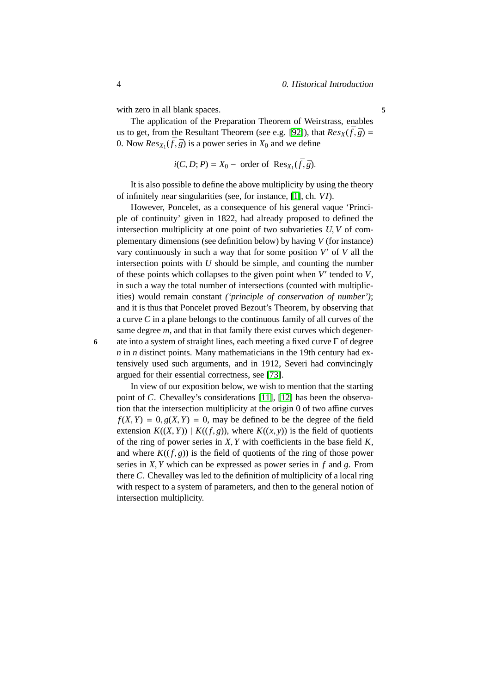with zero in all blank spaces. **5** 

The application of the Preparation Theorem of Weirstrass, enables us to get, from the Resultant Theorem (see e.g. [\[92\]](#page-111-1)), that  $Res_X(\bar{f}, \bar{g}) =$ 0. Now  $Res_{X_1}(\bar{f}, \bar{g})$  is a power series in  $X_0$  and we define

$$
i(C, D; P) = X_0 - \text{order of Res}_{X_1}(\bar{f}, \bar{g}).
$$

It is also possible to define the above multiplicity by using the theory of infinitely near singularities (see, for instance, [\[1\]](#page-104-4), ch. *VI*).

However, Poncelet, as a consequence of his general vaque 'Principle of continuity' given in 1822, had already proposed to defined the intersection multiplicity at one point of two subvarieties *U*, *V* of complementary dimensions (see definition below) by having *V* (for instance) vary continuously in such a way that for some position V' of V all the intersection points with *U* should be simple, and counting the number of these points which collapses to the given point when *V* ′ tended to *V*, in such a way the total number of intersections (counted with multiplicities) would remain constant *('principle of conservation of number')*; and it is thus that Poncelet proved Bezout's Theorem, by observing that a curve *C* in a plane belongs to the continuous family of all curves of the same degree *m*, and that in that family there exist curves which degener-**6** ate into a system of straight lines, each meeting a fixed curve Γ of degree *n* in *n* distinct points. Many mathematicians in the 19th century had extensively used such arguments, and in 1912, Severi had convincingly argued for their essential correctness, see [\[73\]](#page-110-0).

In view of our exposition below, we wish to mention that the starting point of *C*. Chevalley's considerations [\[11\]](#page-105-1), [\[12\]](#page-105-2) has been the observation that the intersection multiplicity at the origin 0 of two affine curves  $f(X, Y) = 0$ ,  $g(X, Y) = 0$ , may be defined to be the degree of the field extension  $K((X, Y)) | K((f, g))$ , where  $K((x, y))$  is the field of quotients of the ring of power series in *X*, *Y* with coefficients in the base field *K*, and where  $K((f, g))$  is the field of quotients of the ring of those power series in *X*, *Y* which can be expressed as power series in *f* and *g*. From there *C*. Chevalley was led to the definition of multiplicity of a local ring with respect to a system of parameters, and then to the general notion of intersection multiplicity.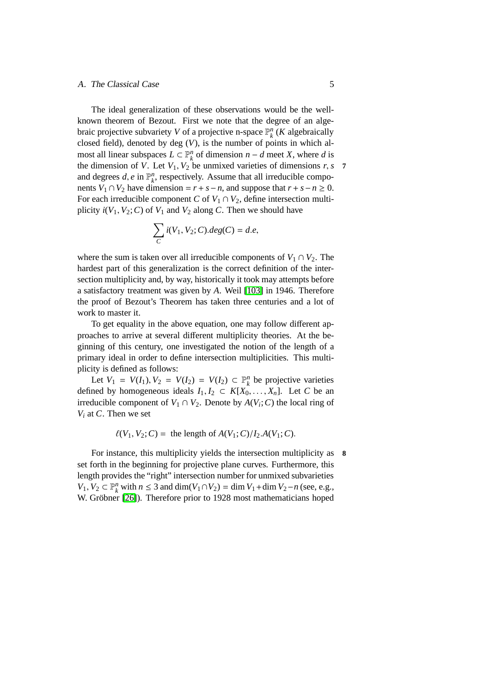### A. The Classical Case 5

The ideal generalization of these observations would be the wellknown theorem of Bezout. First we note that the degree of an algebraic projective subvariety *V* of a projective n-space  $\mathbb{P}_{k}^{n}$  (*K* algebraically closed field), denoted by deg (*V*), is the number of points in which almost all linear subspaces  $L \subset \mathbb{P}_{k}^{n}$  of dimension  $n - d$  meet *X*, where *d* is the dimension of *V*. Let  $V_1$ ,  $V_2$  be unmixed varieties of dimensions *r*, *s* **7** and degrees  $d$ ,  $e$  in  $\mathbb{P}_k^n$ , respectively. Assume that all irreducible components *V*<sub>1</sub> ∩ *V*<sub>2</sub> have dimension =  $r + s - n$ , and suppose that  $r + s - n \ge 0$ . For each irreducible component *C* of  $V_1 \cap V_2$ , define intersection multiplicity  $i(V_1, V_2; C)$  of  $V_1$  and  $V_2$  along *C*. Then we should have

$$
\sum_C i(V_1,V_2;C). deg(C)=d.e,
$$

where the sum is taken over all irreducible components of  $V_1 \cap V_2$ . The hardest part of this generalization is the correct definition of the intersection multiplicity and, by way, historically it took may attempts before a satisfactory treatment was given by *A*. Weil [\[103\]](#page-112-2) in 1946. Therefore the proof of Bezout's Theorem has taken three centuries and a lot of work to master it.

To get equality in the above equation, one may follow different approaches to arrive at several different multiplicity theories. At the beginning of this century, one investigated the notion of the length of a primary ideal in order to define intersection multiplicities. This multiplicity is defined as follows:

Let  $V_1 = V(I_1), V_2 = V(I_2) = V(I_2) \subset \mathbb{P}_k^n$  be projective varieties defined by homogeneous ideals  $I_1, I_2 \subset K[X_0, \ldots, X_n]$ . Let C be an irreducible component of  $V_1 \cap V_2$ . Denote by  $A(V_i; C)$  the local ring of *V<sup>i</sup>* at *C*. Then we set

 $\ell(V_1, V_2; C) =$  the length of  $A(V_1; C)/I_2.A(V_1; C)$ .

For instance, this multiplicity yields the intersection multiplicity as **8** set forth in the beginning for projective plane curves. Furthermore, this length provides the "right" intersection number for unmixed subvarieties *V*<sub>1</sub>, *V*<sub>2</sub> ⊂  $\mathbb{P}_k^n$  with *n* ≤ 3 and dim(*V*<sub>1</sub>∩*V*<sub>2</sub>) = dim *V*<sub>1</sub>+dim *V*<sub>2</sub>−*n* (see, e.g., W. Gröbner [\[26\]](#page-106-0)). Therefore prior to 1928 most mathematicians hoped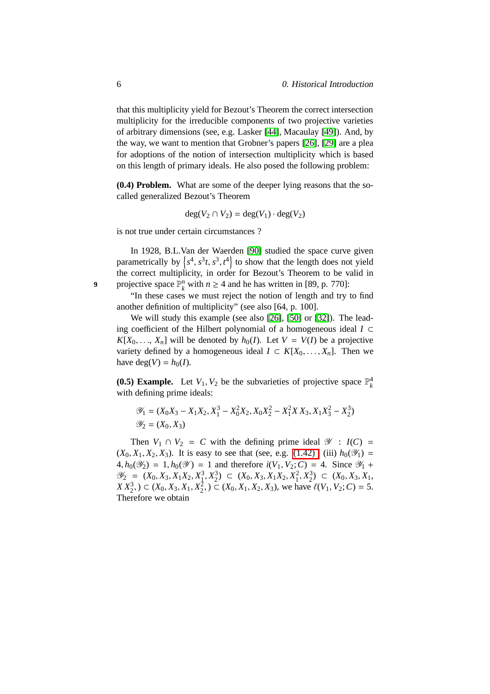that this multiplicity yield for Bezout's Theorem the correct intersection multiplicity for the irreducible components of two projective varieties of arbitrary dimensions (see, e.g. Lasker [\[44\]](#page-107-1), Macaulay [\[49\]](#page-108-1)). And, by the way, we want to mention that Grobner's papers [\[26\]](#page-106-0), [\[29\]](#page-106-1) are a plea for adoptions of the notion of intersection multiplicity which is based on this length of primary ideals. He also posed the following problem:

**(0.4) Problem.** What are some of the deeper lying reasons that the socalled generalized Bezout's Theorem

$$
\deg(V_2 \cap V_2) = \deg(V_1) \cdot \deg(V_2)
$$

is not true under certain circumstances ?

In 1928, B.L.Van der Waerden [\[90\]](#page-111-2) studied the space curve given parametrically by  $\{s^4, s^3t, s^3, t^4\}$  to show that the length does not yield the correct multiplicity, in order for Bezout's Theorem to be valid in 9 projective space  $\mathbb{P}_k^n$  with  $n \geq 4$  and he has written in [89, p. 770]:

"In these cases we must reject the notion of length and try to find another definition of multiplicity" (see also [64, p. 100].

We will study this example (see also [\[26\]](#page-106-0), [\[50\]](#page-108-2) or [\[32\]](#page-106-2)). The leading coefficient of the Hilbert polynomial of a homogeneous ideal *I* ⊂  $K[X_0, \ldots, X_n]$  will be denoted by  $h_0(I)$ . Let  $V = V(I)$  be a projective variety defined by a homogeneous ideal  $I \subset K[X_0, \ldots, X_n]$ . Then we have deg( $V$ ) =  $h_0(I)$ .

**(0.5) Example.** Let  $V_1$ ,  $V_2$  be the subvarieties of projective space  $\mathbb{P}_k^4$ with defining prime ideals:

$$
\mathcal{Y}_1 = (X_0X_3 - X_1X_2, X_1^3 - X_0^2X_2, X_0X_2^2 - X_1^2X X_3, X_1X_3^2 - X_2^3)
$$
  

$$
\mathcal{Y}_2 = (X_0, X_3)
$$

Then  $V_1 \cap V_2 = C$  with the defining prime ideal  $\mathscr{Y}$  :  $I(C) =$  $(X_0, X_1, X_2, X_3)$ . It is easy to see that (see, e.g. (1.42), (iii)  $h_0(\mathscr{Y}_1) =$  $4, h_0(\mathscr{Y}_2) = 1, h_0(\mathscr{Y}) = 1$  and therefore  $i(V_1, V_2; C) = 4$ . Since  $\mathscr{Y}_1$  +  $\mathscr{Y}_2 = (X_0, X_3, X_1X_2, X_1^3, X_2^3) \subset (X_0, X_3, X_1X_2, X_1^2, X_2^3) \subset (X_0, X_3, X_1, X_2^3)$  $X X_2^3$ ,  $) \subset (X_0, X_3, X_1, X_2^2, \cap) \subset (X_0, X_1, X_2, X_3)$ , we have  $\ell(V_1, V_2; C) = 5$ . Therefore we obtain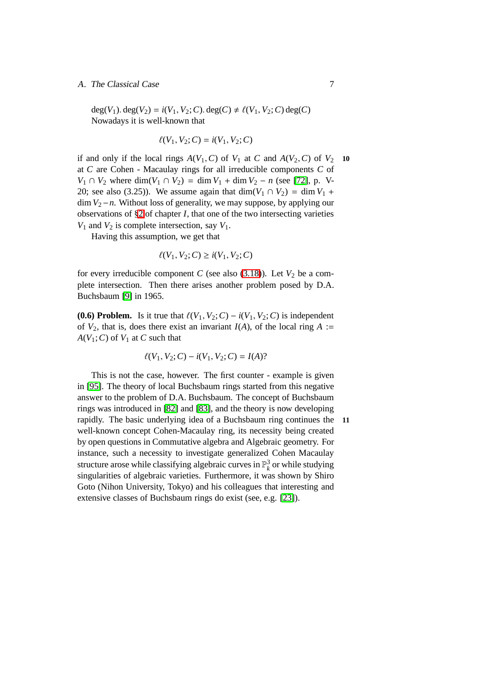### A. The Classical Case 7

 $deg(V_1)$ .  $deg(V_2) = i(V_1, V_2; C)$ .  $deg(C) \neq \ell(V_1, V_2; C)$   $deg(C)$ Nowadays it is well-known that

$$
\ell(V_1, V_2; C) = i(V_1, V_2; C)
$$

if and only if the local rings  $A(V_1, C)$  of  $V_1$  at  $C$  and  $A(V_2, C)$  of  $V_2$  10 at *C* are Cohen - Macaulay rings for all irreducible components *C* of *V*<sub>1</sub> ∩ *V*<sub>2</sub> where dim(*V*<sub>1</sub> ∩ *V*<sub>2</sub>) = dim *V*<sub>1</sub> + dim *V*<sub>2</sub> − *n* (see [\[72\]](#page-109-1), p. V-20; see also (3.25)). We assume again that dim( $V_1 \cap V_2$ ) = dim  $V_1$  + dim *V*2−*n*. Without loss of generality, we may suppose, by applying our observations of [§2](#page-56-0) of chapter *I*, that one of the two intersecting varieties  $V_1$  and  $V_2$  is complete intersection, say  $V_1$ .

Having this assumption, we get that

$$
\ell(V_1, V_2; C) \ge i(V_1, V_2; C)
$$

for every irreducible component *C* (see also  $(3.18)$ ). Let  $V_2$  be a complete intersection. Then there arises another problem posed by D.A. Buchsbaum [\[9\]](#page-104-5) in 1965.

**(0.6) Problem.** Is it true that  $\ell(V_1, V_2; C) - i(V_1, V_2; C)$  is independent of  $V_2$ , that is, does there exist an invariant  $I(A)$ , of the local ring  $A :=$  $A(V_1; C)$  of  $V_1$  at  $C$  such that

$$
\ell(V_1, V_2; C) - i(V_1, V_2; C) = I(A)?
$$

This is not the case, however. The first counter - example is given in [\[95\]](#page-112-3). The theory of local Buchsbaum rings started from this negative answer to the problem of D.A. Buchsbaum. The concept of Buchsbaum rings was introduced in [\[82\]](#page-110-1) and [\[83\]](#page-110-2), and the theory is now developing rapidly. The basic underlying idea of a Buchsbaum ring continues the **11** well-known concept Cohen-Macaulay ring, its necessity being created by open questions in Commutative algebra and Algebraic geometry. For instance, such a necessity to investigate generalized Cohen Macaulay structure arose while classifying algebraic curves in  $\mathbb{P}^3_k$  or while studying singularities of algebraic varieties. Furthermore, it was shown by Shiro Goto (Nihon University, Tokyo) and his colleagues that interesting and extensive classes of Buchsbaum rings do exist (see, e.g. [\[23\]](#page-106-3)).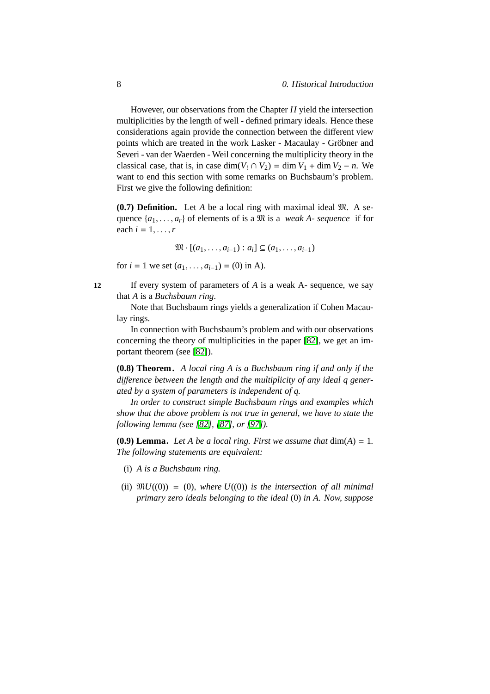However, our observations from the Chapter *II* yield the intersection multiplicities by the length of well - defined primary ideals. Hence these considerations again provide the connection between the different view points which are treated in the work Lasker - Macaulay - Gröbner and Severi - van der Waerden - Weil concerning the multiplicity theory in the classical case, that is, in case dim( $V_1 \cap V_2$ ) = dim  $V_1$  + dim  $V_2$  – *n*. We want to end this section with some remarks on Buchsbaum's problem. First we give the following definition:

**(0.7) Definition.** Let *A* be a local ring with maximal ideal M. A sequence  $\{a_1, \ldots, a_r\}$  of elements of is a  $\mathfrak{M}$  is a *weak A- sequence* if for each  $i = 1, \ldots, r$ 

$$
\mathfrak{M}\cdot [(a_1,\ldots,a_{i-1}):a_i]\subseteq (a_1,\ldots,a_{i-1})
$$

for  $i = 1$  we set  $(a_1, \ldots, a_{i-1}) = (0)$  in A).

**12** If every system of parameters of *A* is a weak A- sequence, we say that *A* is a *Buchsbaum ring*.

Note that Buchsbaum rings yields a generalization if Cohen Macaulay rings.

In connection with Buchsbaum's problem and with our observations concerning the theory of multiplicities in the paper [\[82\]](#page-110-1), we get an important theorem (see [\[82\]](#page-110-1)).

**(0.8) Theorem.** *A local ring A is a Buchsbaum ring if and only if the di*ff*erence between the length and the multiplicity of any ideal q generated by a system of parameters is independent of q.*

*In order to construct simple Buchsbaum rings and examples which show that the above problem is not true in general, we have to state the following lemma (see [\[82\]](#page-110-1), [\[87\]](#page-111-3), or [\[97\]](#page-112-4)).*

**(0.9) Lemma.** Let A be a local ring. First we assume that  $dim(A) = 1$ . *The following statements are equivalent:*

- (i) *A is a Buchsbaum ring.*
- (ii)  $\mathfrak{M}U(0) = (0)$ , *where*  $U((0))$  *is the intersection of all minimal primary zero ideals belonging to the ideal* (0) *in A. Now, suppose*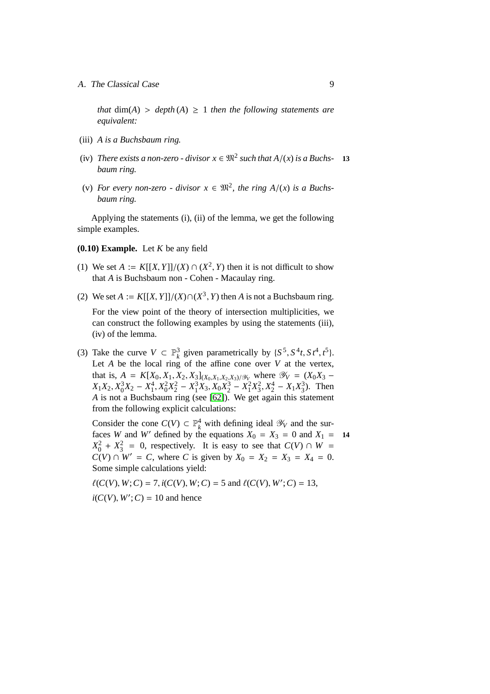A. The Classical Case 9

*that*  $dim(A) > depth(A) \ge 1$  *then the following statements are equivalent:*

- (iii) *A is a Buchsbaum ring.*
- (iv) *There exists a non-zero divisor*  $x \in \mathfrak{M}^2$  *such that*  $A/(x)$  *is a Buchs-* **13** *baum ring.*
- (v) For every non-zero divisor  $x \in \mathbb{R}^2$ , the ring  $A/(x)$  is a Buchs*baum ring.*

Applying the statements (i), (ii) of the lemma, we get the following simple examples.

- **(0.10) Example.** Let *K* be any field
- (1) We set  $A := K[[X, Y]]/(X) \cap (X^2, Y)$  then it is not difficult to show that *A* is Buchsbaum non - Cohen - Macaulay ring.
- (2) We set  $A := K[[X, Y]]/(X) \cap (X^3, Y)$  then  $A$  is not a Buchsbaum ring. For the view point of the theory of intersection multiplicities, we can construct the following examples by using the statements (iii), (iv) of the lemma.
- (3) Take the curve  $V \subset \mathbb{P}^3_k$  given parametrically by  $\{S^5, S^4t, S^4, t^5\}$ . Let  $A$  be the local ring of the affine cone over  $V$  at the vertex, that is,  $A = K[X_0, X_1, X_2, X_3]_{(X_0, X_1, X_2, X_3)/\mathcal{Y}_V}$  where  $\mathcal{Y}_V = (X_0X_3 X_1X_2$ ,  $X_0^3X_2 - X_1^4$ ,  $X_0^2X_2^2 - X_1^3X_3$ ,  $X_0X_2^3 - X_1^2X_3^2$ ,  $X_2^4 - X_1X_3^3$ ). Then *A* is not a Buchsbaum ring (see [\[62\]](#page-109-2)). We get again this statement from the following explicit calculations:

Consider the cone  $C(V) \subset \mathbb{P}_k^4$  with defining ideal  $\mathscr{Y}_V$  and the surfaces *W* and *W'* defined by the equations  $\dot{X}_0 = X_3 = 0$  and  $X_1 = 14$  $X_0^2 + X_3^2 = 0$ , respectively. It is easy to see that  $C(V) \cap W =$ *C*(*V*) ∩  $W' = C$ , where *C* is given by  $X_0 = X_2 = X_3 = X_4 = 0$ . Some simple calculations yield:

 $\ell(C(V), W; C) = 7$ ,  $i(C(V), W; C) = 5$  and  $\ell(C(V), W'; C) = 13$ ,  $i(C(V), W'; C) = 10$  and hence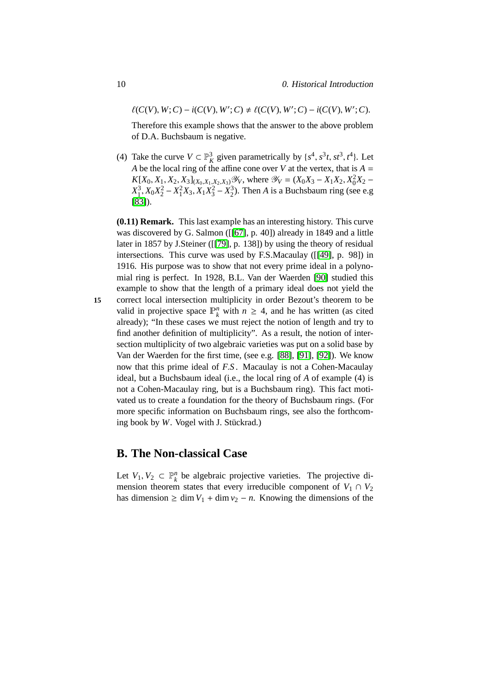$\ell(C(V), W; C) - i(C(V), W'; C) \neq \ell(C(V), W'; C) - i(C(V), W'; C).$ 

Therefore this example shows that the answer to the above problem of D.A. Buchsbaum is negative.

(4) Take the curve  $V \subset \mathbb{P}_{K}^{3}$  given parametrically by  $\{s^{4}, s^{3}t, st^{3}, t^{4}\}$ . Let *A* be the local ring of the affine cone over *V* at the vertex, that is  $A =$  $K[X_0, X_1, X_2, X_3]_{(X_0, X_1, X_2, X_3)}$   $\mathscr{Y}_V$ , where  $\mathscr{Y}_V = (X_0X_3 - X_1X_2, X_0^2X_2 - X_1X_2^2)$  $X_1^3, X_0X_2^2 - X_1^2X_3, X_1X_3^2 - X_2^3$ ). Then *A* is a Buchsbaum ring (see e.g [\[83\]](#page-110-2)).

**(0.11) Remark.** This last example has an interesting history. This curve was discovered by G. Salmon ([[\[67\]](#page-109-3), p. 40]) already in 1849 and a little later in 1857 by J.Steiner ([[\[79\]](#page-110-3), p. 138]) by using the theory of residual intersections. This curve was used by F.S.Macaulay ([[\[49\]](#page-108-1), p. 98]) in 1916. His purpose was to show that not every prime ideal in a polynomial ring is perfect. In 1928, B.L. Van der Waerden [\[90\]](#page-111-2) studied this example to show that the length of a primary ideal does not yield the **15** correct local intersection multiplicity in order Bezout's theorem to be valid in projective space  $\mathbb{P}_k^n$  with  $n \geq 4$ , and he has written (as cited already); "In these cases we must reject the notion of length and try to find another definition of multiplicity". As a result, the notion of intersection multiplicity of two algebraic varieties was put on a solid base by Van der Waerden for the first time, (see e.g. [\[88\]](#page-111-4), [\[91\]](#page-111-5), [\[92\]](#page-111-1)). We know now that this prime ideal of *F*.*S* . Macaulay is not a Cohen-Macaulay ideal, but a Buchsbaum ideal (i.e., the local ring of *A* of example (4) is not a Cohen-Macaulay ring, but is a Buchsbaum ring). This fact motivated us to create a foundation for the theory of Buchsbaum rings. (For more specific information on Buchsbaum rings, see also the forthcoming book by *W*. Vogel with *J*. Stückrad.)

### <span id="page-19-0"></span>**B. The Non-classical Case**

Let  $V_1, V_2 \subset \mathbb{P}_k^n$  be algebraic projective varieties. The projective dimension theorem states that every irreducible component of  $V_1 \cap V_2$ has dimension ≥ dim  $V_1$  + dim  $v_2$  – *n*. Knowing the dimensions of the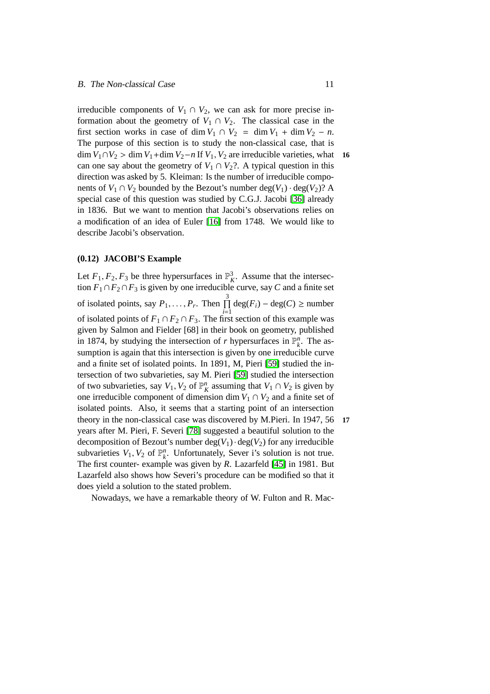irreducible components of  $V_1 \cap V_2$ , we can ask for more precise information about the geometry of  $V_1 \cap V_2$ . The classical case in the first section works in case of dim  $V_1 \cap V_2 = \dim V_1 + \dim V_2 - n$ . The purpose of this section is to study the non-classical case, that is dim  $V_1 ∩ V_2 >$  dim  $V_1 +$ dim  $V_2 - n$  If  $V_1, V_2$  are irreducible varieties, what **16** can one say about the geometry of  $V_1 \cap V_2$ ?. A typical question in this direction was asked by 5. Kleiman: Is the number of irreducible components of  $V_1 \cap V_2$  bounded by the Bezout's number deg( $V_1$ ) · deg( $V_2$ )? A special case of this question was studied by C.G.J. Jacobi [\[36\]](#page-107-2) already in 1836. But we want to mention that Jacobi's observations relies on a modification of an idea of Euler [\[16\]](#page-105-3) from 1748. We would like to describe Jacobi's observation.

#### **(0.12) JACOBI'S Example**

Let  $F_1, F_2, F_3$  be three hypersurfaces in  $\mathbb{P}^3$ . Assume that the intersection  $F_1 \cap F_2 \cap F_3$  is given by one irreducible curve, say *C* and a finite set of isolated points, say  $P_1, ..., P_r$ . Then  $\prod_{i=1}^{3} \text{deg}(F_i) - \text{deg}(C) \ge \text{number}$ of isolated points of  $F_1 \cap F_2 \cap F_3$ . The first section of this example was given by Salmon and Fielder [68] in their book on geometry, published in 1874, by studying the intersection of *r* hypersurfaces in  $\mathbb{P}_k^n$ . The assumption is again that this intersection is given by one irreducible curve and a finite set of isolated points. In 1891, M, Pieri [\[59\]](#page-108-3) studied the intersection of two subvarieties, say M. Pieri [\[59\]](#page-108-3) studied the intersection of two subvarieties, say  $V_1$ ,  $V_2$  of  $\mathbb{P}_K^n$  assuming that  $V_1 \cap V_2$  is given by one irreducible component of dimension dim  $V_1 \cap V_2$  and a finite set of isolated points. Also, it seems that a starting point of an intersection theory in the non-classical case was discovered by M.Pieri. In 1947, 56 **17** years after M. Pieri, F. Severi [\[78\]](#page-110-4) suggested a beautiful solution to the decomposition of Bezout's number  $deg(V_1) \cdot deg(V_2)$  for any irreducible subvarieties  $V_1$ ,  $V_2$  of  $\mathbb{P}_k^n$ . Unfortunately, Sever i's solution is not true. The first counter- example was given by *R*. Lazarfeld [\[45\]](#page-107-3) in 1981. But Lazarfeld also shows how Severi's procedure can be modified so that it does yield a solution to the stated problem.

Nowadays, we have a remarkable theory of W. Fulton and R. Mac-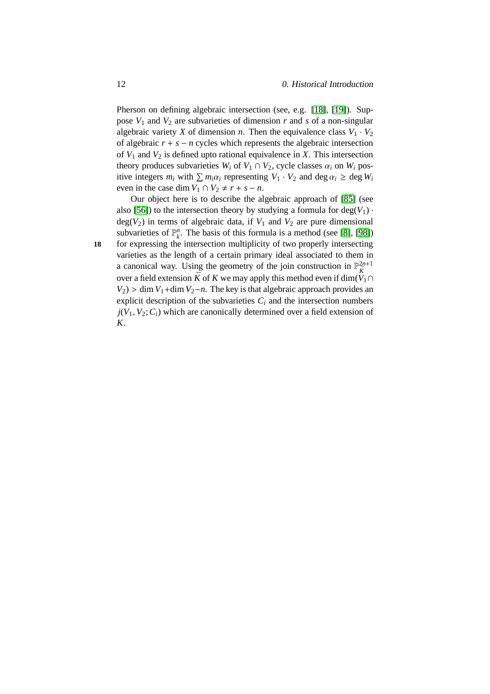Pherson on defining algebraic intersection (see, e.g. [\[18\]](#page-105-4), [\[19\]](#page-105-5)). Suppose  $V_1$  and  $V_2$  are subvarieties of dimension  $r$  and  $s$  of a non-singular algebraic variety *X* of dimension *n*. Then the equivalence class  $V_1 \cdot V_2$ of algebraic  $r + s - n$  cycles which represents the algebraic intersection of  $V_1$  and  $V_2$  is defined upto rational equivalence in *X*. This intersection theory produces subvarieties  $W_i$  of  $V_1 \cap V_2$ , cycle classes  $\alpha_i$  on  $W_i$  positive integers  $m_i$  with  $\sum m_i \alpha_i$  representing  $V_1 \cdot V_2$  and deg  $\alpha_i \ge \text{deg } W_i$ even in the case dim  $V_1 \cap V_2 \neq r + s - n$ .

Our object here is to describe the algebraic approach of [\[85\]](#page-111-6) (see also [\[56\]](#page-108-4)) to the intersection theory by studying a formula for  $deg(V_1)$ .  $deg(V_2)$  in terms of algebraic data, if  $V_1$  and  $V_2$  are pure dimensional subvarieties of  $\mathbb{P}_k^n$ . The basis of this formula is a method (see [\[8\]](#page-104-6), [\[98\]](#page-112-5)) **18** for expressing the intersection multiplicity of two properly intersecting varieties as the length of a certain primary ideal associated to them in a canonical way. Using the geometry of the join construction in  $\mathbb{P}_{\bar{K}}^{2n+1}$ over a field extension  $\bar{K}$  of *K* we may apply this method even if dim( $\hat{V}_1 \cap$  $V_2$ ) > dim  $V_1$ +dim  $V_2$ −*n*. The key is that algebraic approach provides an explicit description of the subvarieties  $C_i$  and the intersection numbers  $j(V_1, V_2; C_i)$  which are canonically determined over a field extension of *K*.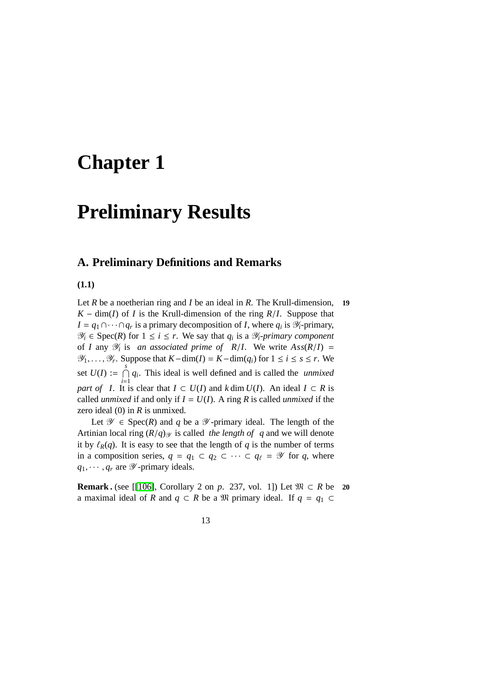## <span id="page-22-0"></span>**Chapter 1**

### **Preliminary Results**

### <span id="page-22-1"></span>**A. Preliminary Definitions and Remarks**

**(1.1)**

Let *R* be a noetherian ring and *I* be an ideal in *R*. The Krull-dimension, **19**  $K - \dim(I)$  of *I* is the Krull-dimension of the ring  $R/I$ . Suppose that  $I = q_1 \cap \cdots \cap q_r$  is a primary decomposition of *I*, where  $q_i$  is  $\mathcal{Y}_i$ -primary,  $\mathcal{Y}_i \in \text{Spec}(R)$  for  $1 \leq i \leq r$ . We say that  $q_i$  is a  $\mathcal{Y}_i$ *-primary component* of *I* any  $\mathcal{Y}_i$  is *an associated prime of R/I*. We write  $Ass(R/I)$  =  $\mathcal{Y}_1, \ldots, \mathcal{Y}_r$ *. Suppose that*  $K$ −dim(*I*) =  $K$ −dim( $q_i$ ) for  $1 \le i \le s \le r$ . We set  $U(I) := \bigcap_{i=1}^{s}$  $\bigcap_{i=1}^{n} q_i$ . This ideal is well defined and is called the *unmixed part of I*. It is clear that  $I \subset U(I)$  and  $k \dim U(I)$ . An ideal  $I \subset R$  is called *unmixed* if and only if  $I = U(I)$ . A ring R is called *unmixed* if the zero ideal (0) in *R* is unmixed.

Let  $\mathscr Y \in \text{Spec}(R)$  and q be a  $\mathscr Y$ -primary ideal. The length of the Artinian local ring  $(R/q)$  is called *the length of q* and we will denote it by  $\ell_R(q)$ . It is easy to see that the length of *q* is the number of terms in a composition series,  $q = q_1 \subset q_2 \subset \cdots \subset q_\ell = \mathcal{Y}$  for  $q$ , where  $q_1, \cdots, q_r$  are  $\mathscr Y$ -primary ideals.

**Remark .** (see [[\[106\]](#page-112-6), Corollary 2 on *p.* 237, vol. 1]) Let  $\mathfrak{M} \subset R$  be 20 a maximal ideal of *R* and  $q \text{ }\subset R$  be a  $\mathfrak{M}$  primary ideal. If  $q = q_1 \subset$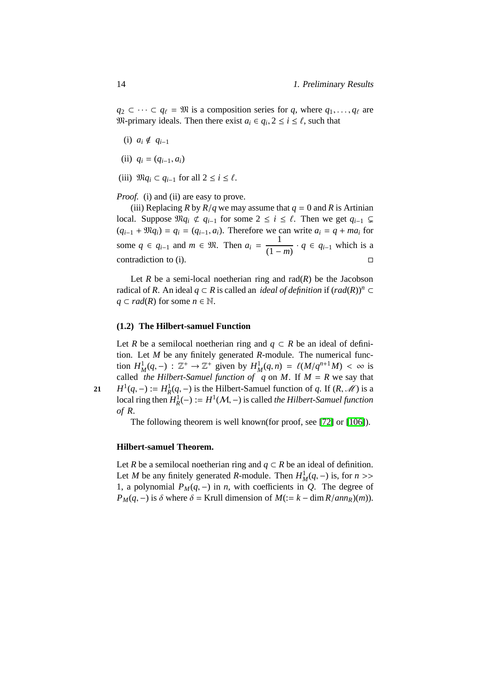$q_2 \subset \cdots \subset q_\ell = \mathfrak{M}$  is a composition series for *q*, where  $q_1, \ldots, q_\ell$  are We primary ideals. Then there exist  $a_i \in q_i$ ,  $2 \le i \le \ell$ , such that

- (i)  $a_i \notin q_{i-1}$
- (ii)  $q_i = (q_{i-1}, a_i)$
- (iii)  $\mathfrak{M}q_i \subset q_{i-1}$  for all  $2 \leq i \leq \ell$ .

*Proof.* (i) and (ii) are easy to prove.

(iii) Replacing *R* by  $R/q$  we may assume that  $q = 0$  and *R* is Artinian local. Suppose  $\mathfrak{M}q_i \not\subset q_{i-1}$  for some  $2 \leq i \leq \ell$ . Then we get  $q_{i-1} \subsetneq$  $(q_{i-1} + \mathfrak{M}q_i) = q_i = (q_{i-1}, a_i)$ . Therefore we can write  $a_i = q + ma_i$  for some  $q \in q_{i-1}$  and  $m \in \mathfrak{M}$ . Then  $a_i = \frac{1}{a_i}$  $\frac{1}{(1-m)}$  ·  $q \in q_{i-1}$  which is a contradiction to (i).  $\Box$ 

Let  $R$  be a semi-local noetherian ring and  $rad(R)$  be the Jacobson radical of *R*. An ideal  $q \text{ }\subset R$  is called an *ideal of definition* if  $\text{(rad}(R))^{n} \subset$ *q* ⊂ *rad*(*R*) for some *n* ∈  $\mathbb N$ .

### **(1.2) The Hilbert-samuel Function**

<span id="page-23-0"></span>Let *R* be a semilocal noetherian ring and  $q \text{ }\subset R$  be an ideal of definition. Let *M* be any finitely generated *R*-module. The numerical function  $H_M^1(q, -)$ :  $\mathbb{Z}^+ \to \mathbb{Z}^+$  given by  $H_M^1(q, n) = \ell(M/q^{n+1}M) < \infty$  is called *the Hilbert-Samuel function of q* on *M*. If  $M = R$  we say that 21  $H^1(q, -) := H^1_R(q, -)$  is the Hilbert-Samuel function of *q*. If  $(R, M)$  is a local ring then  $H_R^1(-) := H^1(\mathcal{M}, -)$  is called *the Hilbert-Samuel function of R*.

The following theorem is well known(for proof, see [\[72\]](#page-109-1) or [\[106\]](#page-112-6)).

### **Hilbert-samuel Theorem.**

Let *R* be a semilocal noetherian ring and  $q \subset R$  be an ideal of definition. Let *M* be any finitely generated *R*-module. Then  $H_M^1(q, -)$  is, for  $n \geq 1$ 1, a polynomial  $P_M(q, -)$  in *n*, with coefficients in *Q*. The degree of *P<sub>M</sub>*(*q*, −) is  $\delta$  where  $\delta$  = Krull dimension of *M*(:= *k* − dim *R*/*ann<sub>R</sub>*)(*m*)).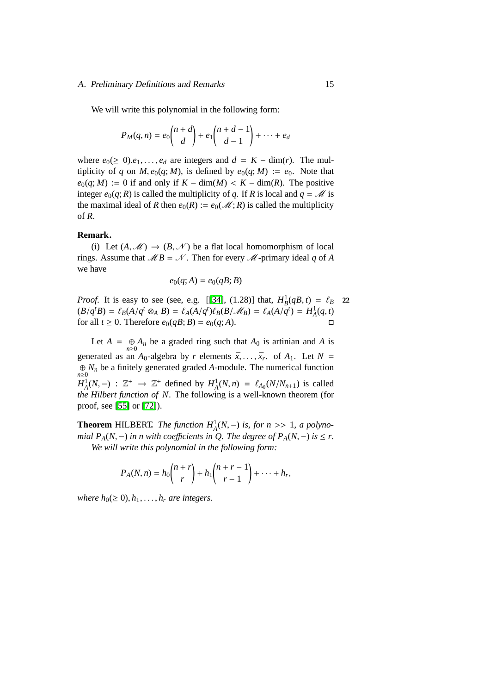### A. Preliminary Definitions and Remarks 15

We will write this polynomial in the following form:

$$
P_M(q,n) = e_0 \binom{n+d}{d} + e_1 \binom{n+d-1}{d-1} + \dots + e_d
$$

where  $e_0 \geq 0$ ). $e_1, \ldots, e_d$  are integers and  $d = K - \dim(r)$ . The multiplicity of *q* on *M*,  $e_0(q; M)$ , is defined by  $e_0(q; M) := e_0$ . Note that  $e_0(q; M) := 0$  if and only if  $K - \dim(M) < K - \dim(R)$ . The positive integer  $e_0(q; R)$  is called the multiplicity of *q*. If *R* is local and  $q = M$  is the maximal ideal of *R* then  $e_0(R) := e_0(\mathcal{M}; R)$  is called the multiplicity of *R*.

### **Remark.**

(i) Let  $(A, \mathcal{M}) \rightarrow (B, \mathcal{N})$  be a flat local homomorphism of local rings. Assume that  $\mathcal{M}B = \mathcal{N}$ . Then for every  $\mathcal{M}$ -primary ideal *q* of *A* we have

$$
e_0(q;A) = e_0(qB;B)
$$

*Proof.* It is easy to see (see, e.g. [[\[34\]](#page-106-4), (1.28)] that,  $H_B^1(qB, t) = \ell_B$  22  $(B/q^t B) = \ell_B(A/q^t \otimes_A B) = \ell_A(A/q^t)\ell_B(B/\mathcal{M}_B) = \ell_A(A/q^t) = H^1_A(q,t)$ for all  $t \geq 0$ . Therefore  $e_0(qB; B) = e_0(q; A)$ .

Let  $A = \bigoplus_{n \geq 0} A_n$  be a graded ring such that  $A_0$  is artinian and *A* is generated as an  $A_0$ -algebra by *r* elements  $\bar{x}, \ldots, \bar{x}_r$  of  $A_1$ . Let  $N =$  $\bigoplus_{n} N_n$  be a finitely generated graded *A*-module. The numerical function *n*≥0 *H*<sup>1</sup><sub>*A*</sub>(*N*,−) :  $\mathbb{Z}^+$  →  $\mathbb{Z}^+$  defined by  $H^1_A(N,n) = \ell_{A_0}(N/N_{n+1})$  is called *the Hilbert function of N*. The following is a well-known theorem (for proof, see [\[55\]](#page-108-5) or [\[72\]](#page-109-1)).

**Theorem** HILBERT. *The function*  $H_A^1(N, -)$  *is, for n* >> 1*, a polynomial*  $P_A(N, -)$  *in n with coefficients in Q. The degree of*  $P_A(N, -)$  *is*  $\leq r$ *. We will write this polynomial in the following form:*

$$
P_A(N,n) = h_0 \binom{n+r}{r} + h_1 \binom{n+r-1}{r-1} + \cdots + h_r,
$$

*where*  $h_0 \geq 0$ ,  $h_1, \ldots, h_r$  *are integers.*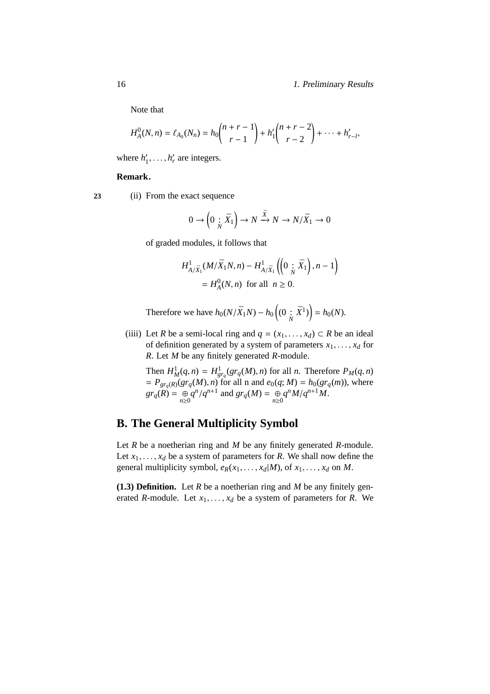Note that

$$
H_A^0(N,n) = \ell_{A_0}(N_n) = h_0 \binom{n+r-1}{r-1} + h_1' \binom{n+r-2}{r-2} + \cdots + h_{r-l}'.
$$

where  $h'_1$  $'_{1}, \ldots, h'_{r}$  are integers.

### **Remark.**

**23** (ii) From the exact sequence

$$
0 \to \left(0\underset{N}{:}\bar{X}_1\right) \to N \xrightarrow{\bar{X}} N \to N/\bar{X}_1 \to 0
$$

of graded modules, it follows that

$$
H^1_{A/\bar{X}_1}(M/\bar{X}_1N, n) - H^1_{A/\bar{X}_1}\left(\left(0\,;\,\bar{X}_1\right), n-1\right) \\
= H^0_A(N, n) \text{ for all } n \ge 0.
$$

Therefore we have  $h_0(N/\bar{X}_1N) - h_0((0 \; ; \; \bar{X}^1)) = h_0(N)$ .

(iiii) Let *R* be a semi-local ring and  $q = (x_1, \ldots, x_d) \subset R$  be an ideal of definition generated by a system of parameters  $x_1, \ldots, x_d$  for *R*. Let *M* be any finitely generated *R*-module.

Then  $H_M^1(q, n) = H_{gr_q}^1(gr_q(M), n)$  for all *n*. Therefore  $P_M(q, n)$  $= P_{gr_q(R)}(gr_q(M), n)$  for all n and  $e_0(q; M) = h_0(gr_q(m))$ , where  $gr_q(R) = \bigoplus_{n\geq 0} q^n/q^{n+1}$  and  $gr_q(M) = \bigoplus_{n\geq 0} q^n M/q^{n+1}M$ .

### <span id="page-25-0"></span>**B. The General Multiplicity Symbol**

Let *R* be a noetherian ring and *M* be any finitely generated *R*-module. Let  $x_1, \ldots, x_d$  be a system of parameters for *R*. We shall now define the general multiplicity symbol,  $e_R(x_1, \ldots, x_d|M)$ , of  $x_1, \ldots, x_d$  on  $M$ .

**(1.3) Definition.** Let *R* be a noetherian ring and *M* be any finitely generated *R*-module. Let  $x_1, \ldots, x_d$  be a system of parameters for *R*. We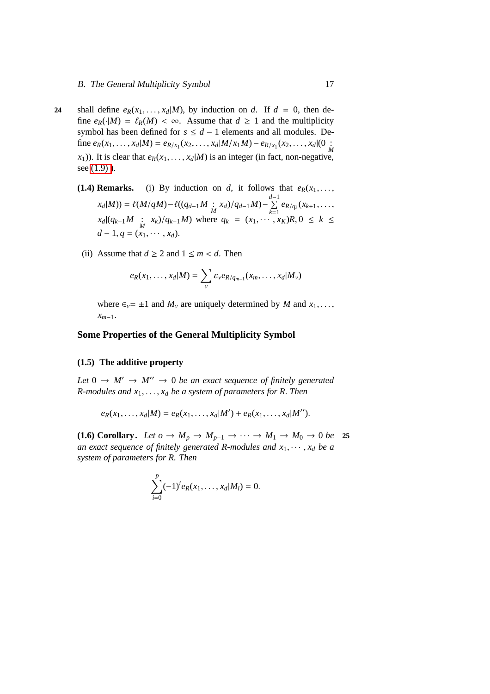- <span id="page-26-2"></span>**24** shall define  $e_R(x_1, \ldots, x_d|M)$ , by induction on *d*. If  $d = 0$ , then define  $e_R(\cdot|M) = \ell_R(M) < \infty$ . Assume that  $d \geq 1$  and the multiplicity symbol has been defined for  $s \leq d - 1$  elements and all modules. Define  $e_R(x_1,...,x_d|M) = e_{R/x_1}(x_2,...,x_d|M/x_1M) - e_{R/x_1}(x_2,...,x_d|0)$  $(x_1)$ ). It is clear that  $e_R(x_1, \ldots, x_d|M)$  is an integer (in fact, non-negative, see [\(1.9\) \)](#page-29-0).
	- **(1.4) Remarks.** (i) By induction on *d*, it follows that  $e_R(x_1, \ldots, x_n)$  $x_d|M) = \ell(M/qM) - \ell((q_{d-1}M \div x_d)/q_{d-1}M) - \sum_{k=1}^{d-1}$  $\sum_{k=1}^{\infty} e_{R/q_k}(x_{k+1}, \ldots,$  $x_d|(q_{k-1}M \cdot x_k)/q_{k-1}M)$  where  $q_k = (x_1, \dots, x_k)R, 0 \le k \le k$  $d-1, q = (x_1, \cdots, x_d).$ 
		- (ii) Assume that  $d \ge 2$  and  $1 \le m < d$ . Then

$$
e_R(x_1,\ldots,x_d|M)=\sum_{\nu}\varepsilon_{\nu}e_{R/q_{m-1}}(x_m,\ldots,x_d|M_{\nu})
$$

where  $\epsilon_v = \pm 1$  and  $M_v$  are uniquely determined by M and  $x_1, \ldots,$ *xm*−1.

### **Some Properties of the General Multiplicity Symbol**

### <span id="page-26-0"></span>**(1.5) The additive property**

*Let*  $0 \rightarrow M' \rightarrow M'' \rightarrow 0$  *be an exact sequence of finitely generated R-modules and x*1, . . . , *x<sup>d</sup> be a system of parameters for R*. *Then*

$$
e_R(x_1,...,x_d|M) = e_R(x_1,...,x_d|M') + e_R(x_1,...,x_d|M'').
$$

<span id="page-26-1"></span>(1.6) Corollary. Let  $o \to M_p \to M_{p-1} \to \cdots \to M_1 \to M_0 \to 0$  be 25 *an exact sequence of finitely generated R-modules and*  $x_1, \dots, x_d$  *be a system of parameters for R. Then*

$$
\sum_{i=0}^p (-1)^i e_R(x_1,\ldots,x_d|M_i) = 0.
$$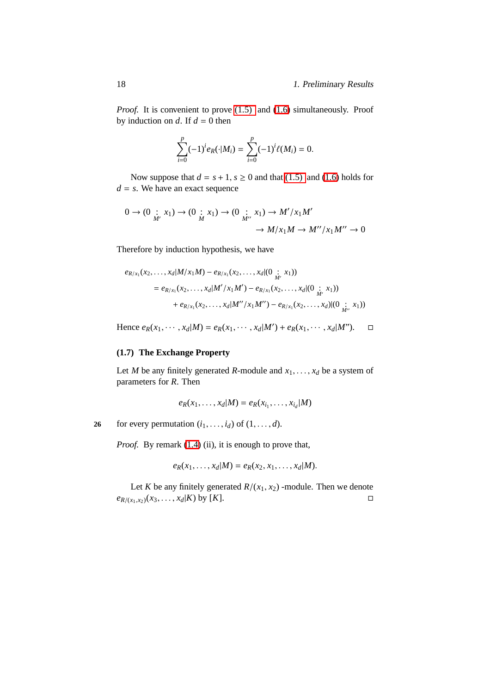*Proof.* It is convenient to prove [\(1.5\)](#page-26-0) and [\(1.6\)](#page-26-1) simultaneously. Proof by induction on  $d$ . If  $d = 0$  then

$$
\sum_{i=0}^p (-1)^i e_R(\cdot | M_i) = \sum_{i=0}^p (-1)^i \ell(M_i) = 0.
$$

Now suppose that  $d = s + 1$ ,  $s \ge 0$  and that [\(1.5\)](#page-26-0) and [\(1.6\)](#page-26-1) holds for  $d = s$ . We have an exact sequence

$$
0 \to (0 \underset{M'}{\cdot} x_1) \to (0 \underset{M}{\cdot} x_1) \to (0 \underset{M''}{\cdot} x_1) \to M'/x_1M'
$$
  

$$
\to M/x_1M \to M''/x_1M'' \to 0
$$

Therefore by induction hypothesis, we have

$$
e_{R/x_1}(x_2,...,x_d|M/x_1M) - e_{R/x_1}(x_2,...,x_d|(0 \underset{M'}{\cdot} x_1))
$$
  
=  $e_{R/x_1}(x_2,...,x_d|M'/x_1M') - e_{R/x_1}(x_2,...,x_d|(0 \underset{M'}{\cdot} x_1))$   
+  $e_{R/x_1}(x_2,...,x_d|M''/x_1M'') - e_{R/x_1}(x_2,...,x_d)|(0 \underset{M''}{\cdot} x_1))$ 

Hence  $e_R(x_1, \dots, x_d|M) = e_R(x_1, \dots, x_d|M') + e_R(x_1, \dots, x_d|M'')$ . □

### <span id="page-27-0"></span>**(1.7) The Exchange Property**

Let *M* be any finitely generated *R*-module and  $x_1, \ldots, x_d$  be a system of parameters for *R*. Then

$$
e_R(x_1,\ldots,x_d|M)=e_R(x_{i_1},\ldots,x_{i_d}|M)
$$

**26** for every permutation  $(i_1, \ldots, i_d)$  of  $(1, \ldots, d)$ .

*Proof.* By remark [\(1.4\)](#page-26-2) (ii), it is enough to prove that,

$$
e_R(x_1,\ldots,x_d|M)=e_R(x_2,x_1,\ldots,x_d|M).
$$

Let *K* be any finitely generated  $R/(x_1, x_2)$  -module. Then we denote  $e_{R/(x_1, x_2)}(x_3, \ldots, x_d | K)$  by [*K*].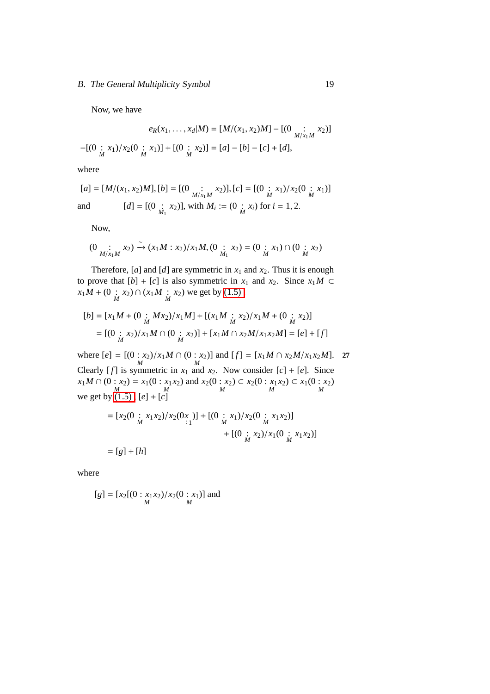### B. The General Multiplicity Symbol 19

Now, we have

$$
e_R(x_1, \dots, x_d | M) = [M/(x_1, x_2)M] - [(0 \underset{M}{\vdots} x_1) / x_2(0 \underset{M}{\vdots} x_1)] + [(0 \underset{M}{\vdots} x_2)] = [a] - [b] - [c] + [d],
$$

where

$$
[a] = [M/(x_1, x_2)M], [b] = [(0 \quad \vdots \quad x_2)], [c] = [(0 \quad \vdots \quad x_1)/x_2(0 \quad \vdots \quad x_1)]
$$
  
and 
$$
[d] = [(0 \quad \vdots \quad x_2)], \text{ with } M_i := (0 \quad \vdots \quad x_i) \text{ for } i = 1, 2.
$$

Now,

(0 : *M*/*x*1*M x*2) ∼ −→ (*x*1*M* : *x*2)/*x*1*M*, (0 : *M*<sup>1</sup> *x*2) = (0 : *M x*1) ∩ (0 : *M x*2)

Therefore,  $[a]$  and  $[d]$  are symmetric in  $x_1$  and  $x_2$ . Thus it is enough to prove that  $[b] + [c]$  is also symmetric in  $x_1$  and  $x_2$ . Since  $x_1M \subset$  $x_1M + (0 \mid x_2) \cap (x_1M \mid x_2)$  we get by (1.5),

$$
[b] = [x_1M + (0 \vdots Mx_2)/x_1M] + [(x_1M \vdots x_2)/x_1M + (0 \vdots x_2)]
$$
  
= [(0 \vdots x\_2)/x\_1M \cap (0 \vdots x\_2)] + [x\_1M \cap x\_2M/x\_1x\_2M] = [e] + [f]

where  $[e] = [(0 : x_2) / x_1 M \cap (0 : x_2)]$  and  $[f] = [x_1 M \cap x_2 M / x_1 x_2 M]$ . **27** Clearly [*f*] is symmetric in  $x_1$  and  $x_2$ . Now consider [*c*] + [*e*]. Since  $x_1M \cap (0:x_2) = x_1(0:x_1x_2)$  and  $x_2(0:x_2) \subset x_2(0:x_1x_2) \subset x_1(0:x_2)$ <br>we get by (1.5),  $[e] + [c]$ 

$$
= [x_2(0 \underset{M}{\div} x_1 x_2) / x_2(0x)] + [(0 \underset{M}{\div} x_1) / x_2(0 \underset{M}{\div} x_1 x_2)]
$$
  
+ [(0 \underset{M}{\div} x\_2) / x\_1(0 \underset{M}{\div} x\_1 x\_2)]  
= [g] + [h]

where

$$
[g] = [x_2[(0:x_1x_2)/x_2(0:x_1)]
$$
 and  
<sub>M</sub>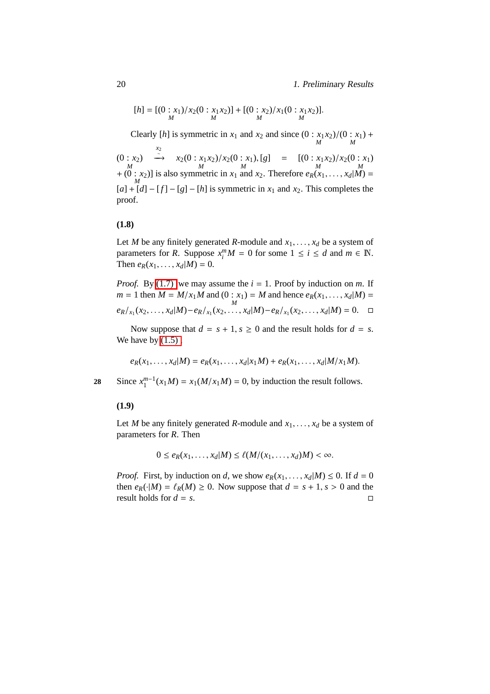$$
[h] = [(0:x1)/x2(0:x1x2)] + [(0:x2)/x1(0:x1x2)].
$$

Clearly [*h*] is symmetric in  $x_1$  and  $x_2$  and since  $(0: x_1x_2)/(0: x_1)$ <br>*M* +  $(0: x_2)$ <br>*M* (0 :  $x_2$ ) <br>  $\stackrel{x_2}{\longrightarrow} x_2(0 : x_1x_2)/x_2(0 : x_1)$ , [g] = [(0 :  $x_1x_2)/x_2(0 : x_1)$ <br>  $+ (0 : x_2)$ ] is also symmetric in  $x_1$  and  $x_2$ . Therefore  $e_R(x_1,...,x_d|M)$  =  $[a] + [d] - [f] - [g] - [h]$  is symmetric in  $x_1$  and  $x_2$ . This completes the proof.

### <span id="page-29-1"></span>**(1.8)**

Let *M* be any finitely generated *R*-module and  $x_1, \ldots, x_d$  be a system of parameters for *R*. Suppose  $x_i^m M = 0$  for some  $1 \le i \le d$  and  $m \in \mathbb{N}$ . Then  $e_R(x_1, ..., x_d|M) = 0$ .

*Proof.* By [\(1.7\)](#page-27-0) we may assume the  $i = 1$ . Proof by induction on *m*. If  $m = 1$  then  $M = M/x_1M$  and  $(0 : x_1) = M$  and hence  $e_R(x_1, ..., x_d|M) = M$  $e_R/_{x_1}(x_2,\ldots,x_d|M) - e_R/_{x_1}(x_2,\ldots,x_d|M) - e_R/_{x_1}(x_2,\ldots,x_d|M) = 0.$ 

Now suppose that  $d = s + 1$ ,  $s \ge 0$  and the result holds for  $d = s$ . We have by  $(1.5)$ ,

$$
e_R(x_1,...,x_d|M) = e_R(x_1,...,x_d|x_1M) + e_R(x_1,...,x_d|M/x_1M).
$$

<span id="page-29-0"></span>Since  $x_1^{m-1}(x_1M) = x_1(M/x_1M) = 0$ , by induction the result follows.

### **(1.9)**

Let *M* be any finitely generated *R*-module and  $x_1, \ldots, x_d$  be a system of parameters for *R*. Then

$$
0 \le e_R(x_1,\ldots,x_d|M) \le \ell(M/(x_1,\ldots,x_d)M) < \infty.
$$

*Proof.* First, by induction on *d*, we show  $e_R(x_1, \ldots, x_d|M) \leq 0$ . If  $d = 0$ then  $e_R(\cdot|M) = \ell_R(M) \ge 0$ . Now suppose that  $d = s + 1$ ,  $s > 0$  and the result holds for  $d = s$ .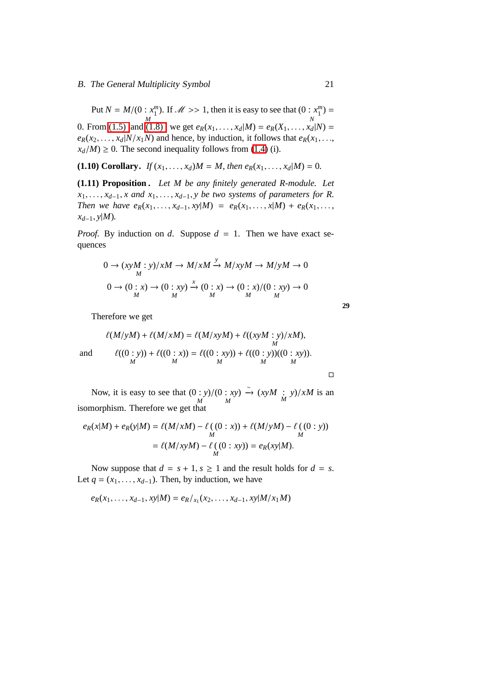Put  $N = M/(0 : x_1^m)$ *M* . If  $\mathcal{M} \gg 1$ , then it is easy to see that  $(0 : x_1^m)$ *N* = 0. From [\(1.5\)](#page-26-0) and (1.8), we get  $e_R(x_1, ..., x_d|M) = e_R(X_1, ..., x_d|N) =$  $e_R(x_2, \ldots, x_d|N/x_1N)$  and hence, by induction, it follows that  $e_R(x_1, \ldots, x_d|N/x_1N)$  $x_d/M$ ) ≥ 0. The second inequality follows from [\(1.4\)](#page-26-2) (i).

<span id="page-30-0"></span>**(1.10) Corollary.** *If*  $(x_1, ..., x_d)M = M$ , then  $e_R(x_1, ..., x_d|M) = 0$ .

**(1.11) Proposition .** *Let M be any finitely generated R-module. Let*  $x_1, \ldots, x_{d-1}, x$  and  $x_1, \ldots, x_{d-1}, y$  be two systems of parameters for R. *Then we have*  $e_R(x_1, \ldots, x_{d-1}, x | M) = e_R(x_1, \ldots, x | M) + e_R(x_1, \ldots, x | M)$ *xd*−1, *y*|*M*)*.*

*Proof.* By induction on *d*. Suppose  $d = 1$ . Then we have exact sequences

$$
0 \to (xyM : y)/xM \to M/xM \xrightarrow{y} M/xyM \to M/yM \to 0
$$
  

$$
0 \to (0 : x) \to (0 : xy) \xrightarrow{x} (0 : x) \to (0 : x)/(0 : xy) \to 0
$$
  

$$
M \xrightarrow{M} M
$$

Therefore we get

$$
\ell(M/yM) + \ell(M/xM) = \ell(M/xyM) + \ell((xyM:y)/xM),
$$
  
and  

$$
\ell((0:y)) + \ell((0:x)) = \ell((0:xy)) + \ell((0:y))((0:xy)).
$$

 $\Box$ 

**29**

Now, it is easy to see that (0 : *y*) *M* /(0 : *xy*) *M*  $ightharpoonup$   $\left(\frac{x}{M} : y\right) / xM$  is an isomorphism. Therefore we get that

$$
e_R(x|M) + e_R(y|M) = \ell(M/xM) - \ell((0:x)) + \ell(M/yM) - \ell((0:y))
$$
  
=  $\ell(M/xyM) - \ell((0:xy)) = e_R(xy|M)$ .

Now suppose that  $d = s + 1$ ,  $s \ge 1$  and the result holds for  $d = s$ . Let  $q = (x_1, \ldots, x_{d-1})$ . Then, by induction, we have

 $e_R(x_1, \ldots, x_{d-1}, xy|M) = e_R /_{x_1}(x_2, \ldots, x_{d-1}, xy|M/x_1M)$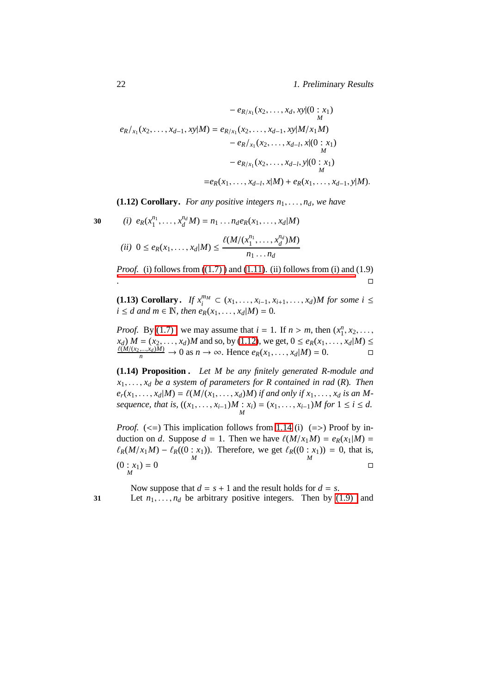$$
- e_{R/x_1}(x_2,...,x_d,xy|(0:x_1)
$$
  
\n
$$
e_R/x_1(x_2,...,x_{d-1},xy|M) = e_{R/x_1}(x_2,...,x_{d-1},xy|M/x_1M)
$$
  
\n
$$
- e_R/x_1(x_2,...,x_{d-1},x|(0:x_1)
$$
  
\n
$$
- e_{R/x_1}(x_2,...,x_{d-l},y|(0:x_1)
$$
  
\n
$$
= e_R(x_1,...,x_{d-l},x|M) + e_R(x_1,...,x_{d-1},y|M).
$$

**(1.12) Corollary.** *For any positive integers*  $n_1, \ldots, n_d$ *, we have* 

$$
30
$$

<span id="page-31-0"></span>30 (i) 
$$
e_R(x_1^{n_1},...,x_d^{n_d}M) = n_1...n_d e_R(x_1,...,x_d|M)
$$
  
\n(ii)  $0 \le e_R(x_1,...,x_d|M) \le \frac{\ell(M/(x_1^{n_1},...,x_d^{n_d})M)}{n_1...n_d}$ 

*Proof.* (i) follows from  $((1.7))$  and  $(1.11)$ . (ii) follows from (i) and  $(1.9)$ [.](#page-29-0)<br>1980 - Paul Barbara, política estadounidense de la propia de la propia de la propia de la propia de la propia<br>1980 - Paul Barbara, política estadounidense de la propia de la propia de la propia de la propia de la propia

**(1.13) Corollary.** *If*  $x_i^{m_M}$  ⊂  $(x_1, ..., x_{i-1}, x_{i+1}, ..., x_d)$ *M for some i* ≤ *i* ≤ *d* and *m* ∈ **N**, then  $e_R(x_1, ..., x_d|M) = 0$ .

*Proof.* By (1.7), we may assume that  $i = 1$ . If  $n > m$ , then  $(x_1^n, x_2, \ldots,$  $x_d$ )  $M = (x_2, ..., x_d)M$  and so, by [\(1.12\)](#page-31-0), we get,  $0 \le e_R(x_1, ..., x_d|M) \le$ <br>  $\frac{\ell(M/(x_2,...,x_d)M)}{n} \to 0$  as  $n \to \infty$ . Hence  $e_R(x_1,...,x_d|M) = 0$ .

<span id="page-31-1"></span>**(1.14) Proposition .** *Let M be any finitely generated R-module and x*1, . . . , *x<sup>d</sup> be a system of parameters for R contained in rad* (*R*)*. Then*  $e_r(x_1, \ldots, x_d|M) = \ell(M/(x_1, \ldots, x_d)M)$  *if and only if*  $x_1, \ldots, x_d$  *is an Msequence, that is,*  $((x_1, ..., x_{i-1})M : x_i) = (x_1, ..., x_{i-1})M$  for  $1 \le i \le d$ .

*Proof.* ( $\le$ =) This implication follows from [1.14](#page-31-1) (i) (=>) Proof by induction on *d*. Suppose  $d = 1$ . Then we have  $\ell(M/x_1M) = e_R(x_1|M)$  $\ell_R(M/x_1M) - \ell_R((0:x_1)).$  Therefore, we get  $\ell_R((0:x_1))$  $= 0$ , that is,  $(0: x_1) = 0$ *M*  $= 0$ 

Now suppose that  $d = s + 1$  and the result holds for  $d = s$ . **31** Let  $n_1, \ldots, n_d$  be arbitrary positive integers. Then by [\(1.9\)](#page-29-0) and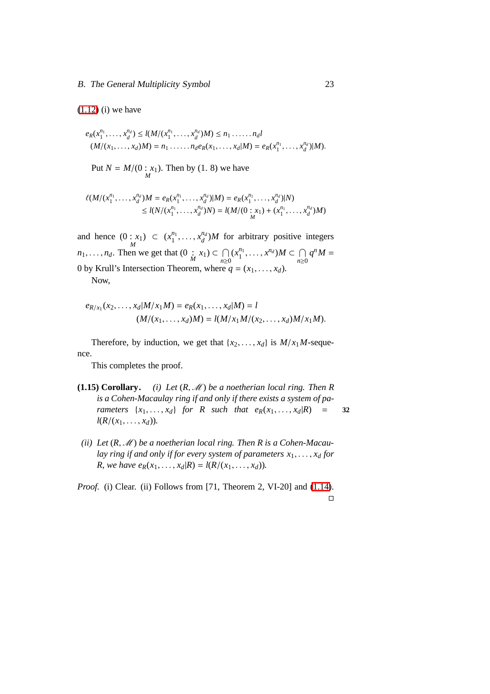### $(1.12)$  (i) we have

$$
e_R(x_1^{n_1},\ldots,x_d^{n_d}) \le l(M/(x_1^{n_1},\ldots,x_d^{n_d})M) \le n_1\ldots\ldots n_d l
$$
  

$$
(M/(x_1,\ldots,x_d)M) = n_1\ldots\ldots n_d e_R(x_1,\ldots,x_d|M) = e_R(x_1^{n_1},\ldots,x_d^{n_d})|M).
$$

Put  $N = M/(0 : x_1$ ). Then by  $(1. 8)$  we have

$$
\ell(M/(x_1^{n_1},\ldots,x_d^{n_d})M = e_R(x_1^{n_1},\ldots,x_d^{n_d})|M) = e_R(x_1^{n_1},\ldots,x_d^{n_d})|N)
$$
  
\n
$$
\leq l(N/(x_1^{n_1},\ldots,x_d^{n_d})N) = l(M/(0:x_1) + (x_1^{n_1},\ldots,x_d^{n_d})M)
$$

and hence  $(0 : x_1) \subset (x_1^{n_1})$  $x_1^{n_1}, \ldots, x_d^{n_d}$  $\frac{d^{n_d}}{d}$ )*M* for arbitrary positive integers *n*<sub>1</sub>, ..., *n*<sub>*d*</sub>. Then we get that  $(0 \mid x_1) \subset \bigcap_{n>0}$ *n*≥0  $(x_1^{n_1})$  $x^{n_1}, \ldots, x^{n_d}$ ) $M \subset \bigcap$ *n*≥0  $q^n M =$ 0 by Krull's Intersection Theorem, where  $q = (x_1, \ldots, x_d)$ . Now,

$$
e_{R/x_1}(x_2,...,x_d|M/x_1M) = e_R(x_1,...,x_d|M) = l
$$
  
(M/(x<sub>1</sub>,...,x<sub>d</sub>)M) = l(M/x<sub>1</sub>M/(x<sub>2</sub>,...,x<sub>d</sub>)M/x<sub>1</sub>M).

Therefore, by induction, we get that  $\{x_2, \ldots, x_d\}$  is  $M/x_1M$ -sequence.

This completes the proof.

- **(1.15) Corollary.** *(i) Let*  $(R, M)$  *be a noetherian local ring. Then*  $R$ *is a Cohen-Macaulay ring if and only if there exists a system of parameters*  $\{x_1, \ldots, x_d\}$  *for R such that*  $e_R(x_1, \ldots, x_d | R)$  *= 32*  $l(R/(x_1, \ldots, x_d)).$
- (*ii*) Let  $(R, M)$  be a noetherian local ring. Then R is a Cohen-Macau*lay ring if and only if for every system of parameters*  $x_1, \ldots, x_d$  *for R, we have e<sub>R</sub>*( $x_1, \ldots, x_d$ |*R*) = *l*( $R/(x_1, \ldots, x_d)$ ).

*Proof.* (i) Clear. (ii) Follows from [71, Theorem 2, VI-20] and [\(1.14\)](#page-31-1).  $\Box$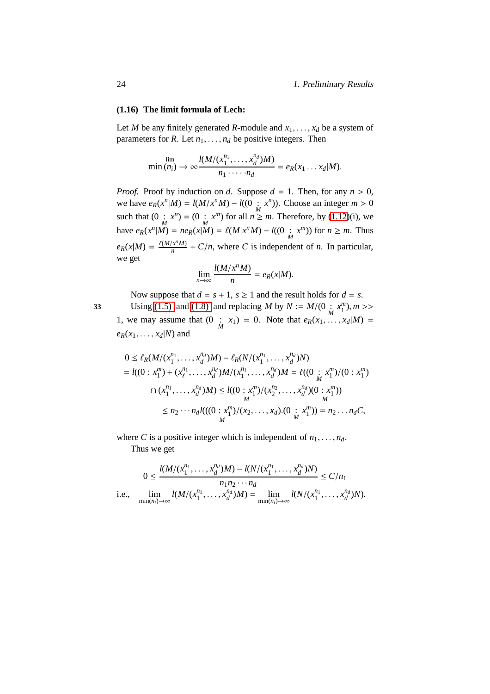### **(1.16) The limit formula of Lech:**

Let *M* be any finitely generated *R*-module and  $x_1, \ldots, x_d$  be a system of parameters for *R*. Let  $n_1, \ldots, n_d$  be positive integers. Then

$$
\min (n_i) \to \infty \frac{l(M/(x_1^{n_1}, \ldots, x_d^{n_d})M)}{n_1 \cdots n_d} = e_R(x_1 \ldots x_d|M).
$$

*Proof.* Proof by induction on *d*. Suppose  $d = 1$ . Then, for any  $n > 0$ , we have  $e_R(x^n|M) = l(M/x^nM) - l((0 \, ; \, x^n))$ . Choose an integer  $m > 0$ such that  $(0 \cdot M^n) = (0 \cdot M^n)$  for all  $n \geq m$ . Therefore, by [\(1.12\)](#page-31-0)(i), we have  $e_R(x^n | \tilde{M}) = ne_R(x | \tilde{M}) = \ell(M | x^n M) - l((0 : x^m))$  for  $n \ge m$ . Thus  $e_R(x|M) = \frac{\ell(M/x^n M)}{n}$  $\frac{f(x^n M)}{n} + C/n$ , where *C* is independent of *n*. In particular, we get

$$
\lim_{n\to\infty}\frac{l(M/x^nM)}{n}=e_R(x|M).
$$

Now suppose that  $d = s + 1$ ,  $s \ge 1$  and the result holds for  $d = s$ . Using [\(1.5\)](#page-26-0) and [\(1.8\)](#page-29-1) and replacing *M* by  $N := M/(0 \frac{1}{M} x_1^m)$ ,  $m >>$ 1, we may assume that  $(0 \quad x_1) = 0$ . Note that  $e_R(x_1, \ldots, x_d|M) =$  $e_R(x_1, \ldots, x_d|N)$  and

$$
0 \le \ell_R(M/(x_1^{n_1}, \dots, x_d^{n_d})M) - \ell_R(N/(x_1^{n_1}, \dots, x_d^{n_d})N)
$$
  
=  $l((0 : x_1^m) + (x_\ell^{n_1}, \dots, x_d^{n_d})M/(x_1^{n_1}, \dots, x_d^{n_d})M = \ell((0 : x_1^m)/(0 : x_1^m))$   
 $\cap (x_1^{n_1}, \dots, x_d^{n_d})M) \le l((0 : x_1^m)/(x_2^n, \dots, x_d^n)(0 : x_1^m))$   
 $\le n_2 \cdots n_d l(((0 : x_1^m)/(x_2, \dots, x_d). (0 : x_1^m)) = n_2 \dots n_d C,$ 

where *C* is a positive integer which is independent of  $n_1, \ldots, n_d$ . Thus we get

$$
0 \le \frac{l(M/(x_1^{n_1}, \dots, x_d^{n_d})M) - l(N/(x_1^{n_1}, \dots, x_d^{n_d})N)}{n_1 n_2 \cdots n_d} \le C/n_1
$$
  
i.e., 
$$
\lim_{\min(n_i) \to \infty} l(M/(x_1^{n_1}, \dots, x_d^{n_d})M) = \lim_{\min(n_i) \to \infty} l(N/(x_1^{n_1}, \dots, x_d^{n_d})N).
$$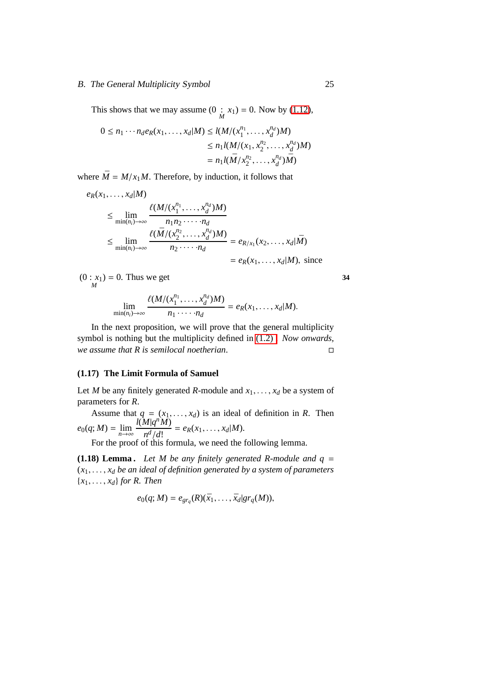### B. The General Multiplicity Symbol 25

This shows that we may assume  $(0 : x_1) = 0$ . Now by [\(1.12\)](#page-31-0),

$$
0 \le n_1 \cdots n_d e_R(x_1, \ldots, x_d|M) \le l(M/(x_1^{n_1}, \ldots, x_d^{n_d})M)
$$
  
\n
$$
\le n_1 l(M/(x_1, x_2^{n_2}, \ldots, x_d^{n_d})M)
$$
  
\n
$$
= n_1 l(\bar{M}/x_2^{n_2}, \ldots, x_d^{n_d})\bar{M})
$$

where  $\overline{M} = M/x_1M$ . Therefore, by induction, it follows that

$$
e_R(x_1, \ldots, x_d|M)
$$
  
\n
$$
\leq \lim_{\min(n_i) \to \infty} \frac{\ell(M/(x_1^{n_1}, \ldots, x_d^{n_d})M)}{n_1 n_2 \cdots n_d}
$$
  
\n
$$
\leq \lim_{\min(n_i) \to \infty} \frac{\ell(\bar{M}/(x_2^{n_2}, \ldots, x_d^{n_d})M)}{n_2 \cdots n_d} = e_{R/x_1}(x_2, \ldots, x_d|\bar{M})
$$
  
\n
$$
= e_R(x_1, \ldots, x_d|M), \text{ since}
$$

 $(0: x_1)$ <br>*M*  $= 0$ . Thus we get  $\frac{34}{2}$ 

$$
\lim_{\min(n_i)\to\infty}\frac{\ell(M/(x_1^{n_1},\ldots,x_d^{n_d})M)}{n_1\cdots n_d}=e_R(x_1,\ldots,x_d|M).
$$

In the next proposition, we will prove that the general multiplicity symbol is nothing but the multiplicity defined in [\(1.2\) .](#page-23-0) *Now onwards, we assume that R is semilocal noetherian*.

### **(1.17) The Limit Formula of Samuel**

Let *M* be any finitely generated *R*-module and  $x_1, \ldots, x_d$  be a system of parameters for *R*.

Assume that  $q = (x_1, \ldots, x_d)$  is an ideal of definition in *R*. Then  $e_0(q;M) = \lim_{n \to \infty}$  $l(M|q^nM)$  $\frac{d^{n} |q^{n} |^{n}}{n^{d} / d!} = e_{R}(x_{1}, \ldots, x_{d} | M).$ 

For the proof of this formula, we need the following lemma.

**(1.18) Lemma.** Let M be any finitely generated R-module and  $q =$ (*x*1, . . . , *x<sup>d</sup> be an ideal of definition generated by a system of parameters* {*x*1, . . . , *xd*} *for R. Then*

$$
e_0(q;M) = e_{gr_q}(R)(\bar{x}_1,\ldots,\bar{x}_d)gr_q(M)),
$$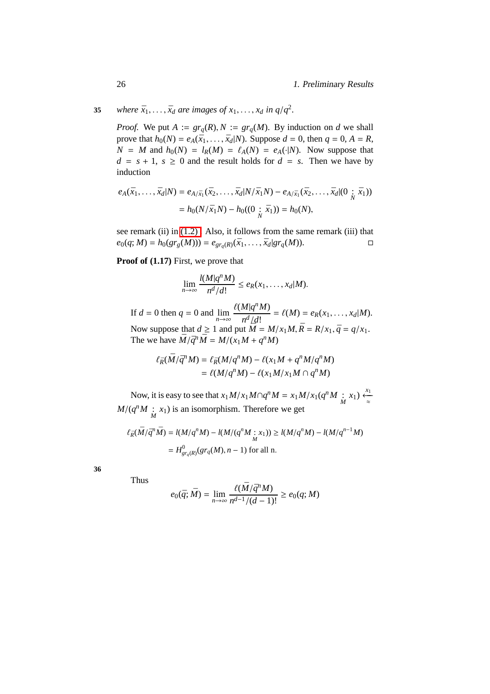**35** *where*  $\bar{x}_1, \ldots, \bar{x}_d$  *are images of*  $x_1, \ldots, x_d$  *in q*/*q*<sup>2</sup>.

*Proof.* We put  $A := gr_a(R), N := gr_a(M)$ . By induction on *d* we shall prove that  $h_0(N) = e_A(\bar{x}_1, ..., \bar{x}_d|N)$ . Suppose  $d = 0$ , then  $q = 0, A = R$ ,  $N = M$  and  $h_0(N) = l_R(M) = \ell_A(N) = e_A(\cdot|N)$ . Now suppose that  $d = s + 1$ ,  $s \ge 0$  and the result holds for  $d = s$ . Then we have by induction

$$
e_A(\bar{x}_1, \dots, \bar{x}_d | N) = e_{A/\bar{x}_1}(\bar{x}_2, \dots, \bar{x}_d | N/\bar{x}_1 N) - e_{A/\bar{x}_1}(\bar{x}_2, \dots, \bar{x}_d | (0 \; ; \; \bar{x}_1))
$$
  
=  $h_0(N/\bar{x}_1 N) - h_0((0 \; ; \; \bar{x}_1)) = h_0(N),$ 

see remark (ii) in [\(1.2\) .](#page-23-0) Also, it follows from the same remark (iii) that  $e_0(q; M) = h_0(gr_g(M))) = e_{gr_q(R)}(\bar{x}_1, \dots, \bar{x}_d | gr_q(M)).$ 

**Proof of (1.17)** First, we prove that

$$
\lim_{n\to\infty}\frac{l(M|q^nM)}{n^d/d!}\leq e_R(x_1,\ldots,x_d|M).
$$

If  $d = 0$  then  $q = 0$  and  $\lim_{n \to \infty}$  $\ell(M|q^nM)$  $\frac{d^{n} |q^{n} M}{n^{d} / d!} = \ell(M) = e_{R}(x_{1}, \ldots, x_{d}|M).$ Now suppose that  $d \ge 1$  and put  $\overline{M} = M/x_1M$ ,  $\overline{R} = R/x_1$ ,  $\overline{q} = q/x_1$ . The we have  $\overline{M}/\overline{q}^n \overline{M} = M/(x_1M + q^nM)$ 

$$
\ell_{\bar{R}}(\bar{M}/\bar{q}^n M) = \ell_{\bar{R}}(M/q^n M) - \ell(x_1 M + q^n M/q^n M)
$$
  
= 
$$
\ell(M/q^n M) - \ell(x_1 M/x_1 M \cap q^n M)
$$

Now, it is easy to see that  $x_1M/x_1M \cap q^nM = x_1M/x_1(q^nM \cdot x_1) \stackrel{x_1}{\leftarrow}$  $M/(q^n M : x_1)$  is an isomorphism. Therefore we get

$$
\ell_{\bar{R}}(\bar{M}/\bar{q}^n \bar{M}) = l(M/q^n M) - l(M/(q^n M : x_1)) \ge l(M/q^n M) - l(M/q^{n-1} M)
$$
  
=  $H^0_{gr_q(R)}(gr_q(M), n - 1)$  for all n.

**36**

Thus

$$
e_0(\bar{q};\bar{M}) = \lim_{n \to \infty} \frac{\ell(\bar{M}/\bar{q}^n M)}{n^{d-1}/(d-1)!} \ge e_0(q;M)
$$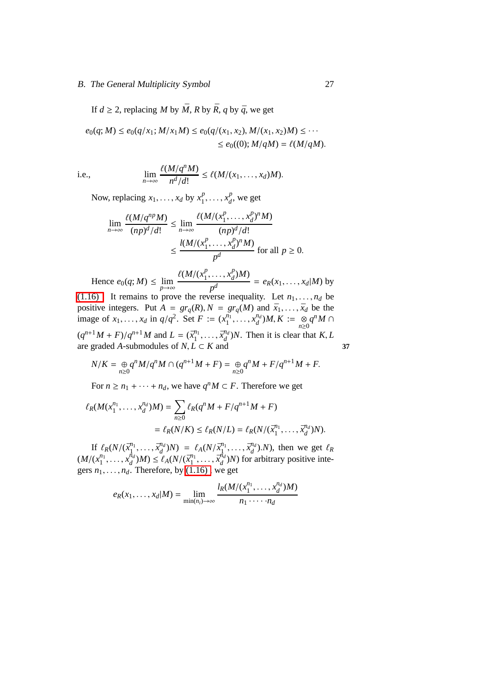### B. The General Multiplicity Symbol 27

If  $d \ge 2$ , replacing M by  $\overline{M}$ , R by  $\overline{R}$ , q by  $\overline{q}$ , we get

$$
e_0(q;M) \le e_0(q/x_1;M/x_1M) \le e_0(q/(x_1,x_2),M/(x_1,x_2)M) \le \cdots \le e_0((0);M/qM) = \ell(M/qM).
$$

i.e., 
$$
\lim_{n \to \infty} \frac{\ell(M/q^nM)}{n^d/d!} \leq \ell(M/(x_1,\ldots,x_d)M).
$$

Now, replacing  $x_1, \ldots, x_d$  by  $x_1^p$  $\frac{p}{1}, \ldots, x_d^p$  $\frac{p}{d}$ , we get

$$
\lim_{n \to \infty} \frac{\ell(M/q^{np}M)}{(np)^d/d!} \le \lim_{n \to \infty} \frac{\ell(M/(x_1^p, \dots, x_d^p)^n M)}{(np)^d/d!}
$$

$$
\le \frac{l(M/(x_1^p, \dots, x_d^p)^n M)}{p^d} \text{ for all } p \ge 0.
$$

Hence  $e_0(q; M) \leq \lim_{p \to \infty}$  $\ell(M/(x_1^p))$  $\frac{p}{1}, \ldots, x_d^p$  $_{d}^{p})M$  $\frac{p^d}{p^d}$  =  $e_R(x_1, \ldots, x_d|M)$  by

(1.16). It remains to prove the reverse inequality. Let  $n_1, \ldots, n_d$  be positive integers. Put  $A = \text{gr}_q(R), N = \text{gr}_q(M)$  and  $\bar{x}_1, \ldots, \bar{x}_d$  be the image of  $x_1, ..., x_d$  in  $q/q^2$ . Set  $F := (x_1^{n_1})$  $x_1^{n_1}, \ldots, x_d^{n_d}$  $_{d}^{n_d}$ )*M*, *K* :=  $_{n\geq 0}$  $q^n M \cap$  $(q^{n+1}M + F)/q^{n+1}M$  and  $L = (\bar{x}_1^{n_1})$  $\bar{x}_1^{n_1}, \ldots, \bar{x}_d^{n_d}$  $\binom{nd}{d}$  *N*. Then it is clear that *K*, *L* are graded *A*-submodules of *N*,  $L$  ⊂ *K* and **37** 

$$
N/K=\underset{n\geq 0}{\oplus}q^nM/q^nM\cap (q^{n+1}M+F)=\underset{n\geq 0}{\oplus}q^nM+F/q^{n+1}M+F.
$$

For  $n \ge n_1 + \cdots + n_d$ , we have  $q^n M \subset F$ . Therefore we get

$$
\ell_R(M(x_1^{n_1}, \dots, x_d^{n_d})M) = \sum_{n \ge 0} \ell_R(q^n M + F/q^{n+1} M + F)
$$
  
=  $\ell_R(N/K) \le \ell_R(N/L) = \ell_R(N/(\bar{x}_1^{n_1}, \dots, \bar{x}_d^{n_d})N).$ 

If  $\ell_R(N/(\bar{x}_1^{n_1}))$  $\bar{x}_d^{n_1}, \ldots, \bar{x}_d^{n_d}$  $\ell_A(N/\bar{x}_1^{n_1})$  $\bar{x}_d^{n_1}, \ldots, \bar{x}_d^{n_d}$  $\binom{n_d}{d}$ .*N*), then we get  $\ell_R$  $(M/(x_1^{n_1})$  $x_1^{n_1}, \ldots, x_d^{n_d}$  $\frac{d^{n} d}{d}$ )*M*)  $\leq \ell_A(N/(\bar{x}_1^{n_1}))$  $\bar{x}_1^{n_1}, \ldots, \bar{x}_d^{n_d}$  $\binom{n_d}{d}$ *N*) for arbitrary positive integers  $n_1, \ldots, n_d$ . Therefore, by  $(1.16)$ , we get

$$
e_R(x_1,\ldots,x_d|M) = \lim_{\min(n_i)\to\infty} \frac{l_R(M/(x_1^{n_1},\ldots,x_d^{n_d})M)}{n_1\cdots n_d}
$$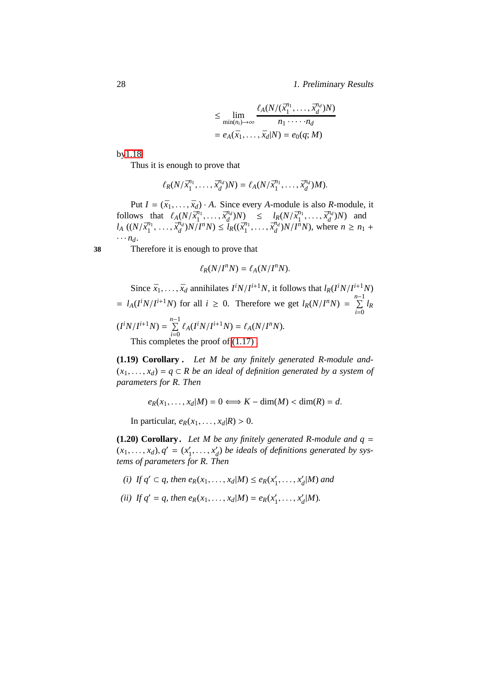28 1. Preliminary Results

$$
\leq \lim_{\min(n_i)\to\infty} \frac{\ell_A(N/(\bar{x}_1^{n_1},\ldots,\bar{x}_d^{n_d})N)}{n_1\cdots n_d}
$$

$$
= e_A(\bar{x}_1,\ldots,\bar{x}_d|N) = e_0(q;M)
$$

b[y1.18.](#page-34-0)

Thus it is enough to prove that

$$
\ell_R(N/\bar{x}_1^{n_1},\ldots,\bar{x}_d^{n_d})N)=\ell_A(N/\bar{x}_1^{n_1},\ldots,\bar{x}_d^{n_d})M).
$$

Put  $I = (\bar{x}_1, \ldots, \bar{x}_d) \cdot A$ . Since every *A*-module is also *R*-module, it follows that  $\ell_A(N/\bar{x}_1^{n_1})$  $\bar{x}_1^{n_1}, \ldots, \bar{x}_d^{n_d}$  $\frac{d^{n_d}}{d}$ )*N*)  $\leq l_R(N/\bar{x}_1^{n_1})$  $\bar{x}_1^{n_1}, \ldots, \bar{x}_d^{n_d}$  $\binom{n_d}{d}$ *N*) and  $l_A$  ((*N*/*x*<sup>n<sub>1</sub></sup>)  $\bar{x}_1^{n_1}, \ldots, \bar{x}_d^{n_d}$  $\frac{d^{n_d}}{d}$ ) $N$  $\big(\frac{I^n}{N}\big)$   $\leq \frac{u}{l_R}$  $\big((\bar{x}_1^{n_1})\big)$  $\bar{x}_1^{n_1}, \ldots, \bar{x}_d^{n_d}$  $\frac{n_d}{d}$ )*N*/*I<sup>n</sup>N*), where  $n \ge n_1 +$  $\cdots$   $n_d$ .

**38** Therefore it is enough to prove that

$$
\ell_R(N/I^nN)=\ell_A(N/I^nN).
$$

Since 
$$
\bar{x}_1, ..., \bar{x}_d
$$
 annihilates  $I^i N / I^{i+1} N$ , it follows that  $l_R(I^i N / I^{i+1} N)$   
\n=  $l_A(I^i N / I^{i+1} N)$  for all  $i \ge 0$ . Therefore we get  $l_R(N / I^n N) = \sum_{i=0}^{n-1} l_R(I^i N / I^{i+1} N) = \sum_{i=0}^{n-1} \ell_A(I^i N / I^{i+1} N) = \ell_A(N / I^n N)$ .  
\nThis completes the proof of (1.17).

<span id="page-37-0"></span>**(1.19) Corollary .** *Let M be any finitely generated R-module and-*  $(x_1, \ldots, x_d) = q \subset R$  *be an ideal of definition generated by a system of parameters for R. Then*

 $e_R(x_1, \ldots, x_d|M) = 0 \Longleftrightarrow K - \dim(M) < \dim(R) = d.$ 

In particular,  $e_R(x_1, \ldots, x_d|R) > 0$ .

**(1.20) Corollary.** Let M be any finitely generated R-module and  $q =$  $(x_1, \ldots, x_d), q' = (x'_1)$  $x'_{1}, \ldots, x'_{a}$ *d* ) *be ideals of definitions generated by systems of parameters for R. Then*

- *(i) If*  $q' ⊂ q$ *, then*  $e_R(x_1, ..., x_d|M) ≤ e_R(x'_1, ..., x'_d)$  $d_d^{\prime}$ |*M*) and
- *(ii) If*  $q' = q$ *, then*  $e_R(x_1, \ldots, x_d|M) = e_R(x'_1)$  $x'_{1}, \ldots, x'_{a}$  $d$ <sup> $M$ </sup>).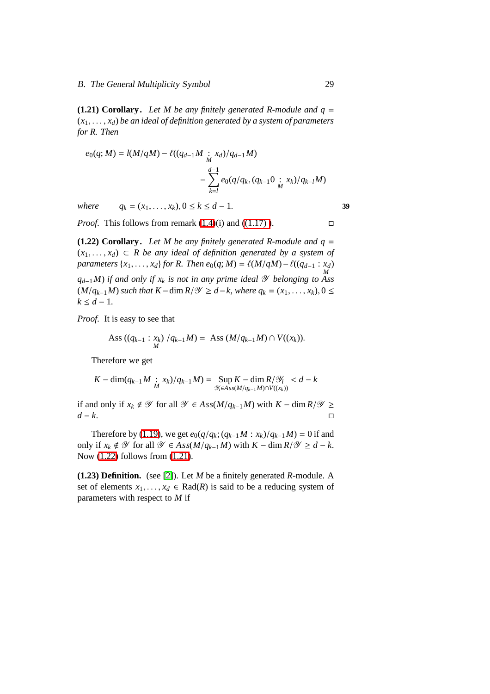<span id="page-38-1"></span>**(1.21) Corollary.** Let M be any finitely generated R-module and  $q =$  $(x_1, \ldots, x_d)$  *be an ideal of definition generated by a system of parameters for R. Then*

$$
e_0(q; M) = l(M/qM) - l((q_{d-1}M \underset{M}{\vdots} x_d)/q_{d-1}M) - \sum_{k=l}^{d-1} e_0(q/q_k, (q_{k-1}0 \underset{M}{\vdots} x_k)/q_{k-l}M)
$$

*where*  $q_k = (x_1, \ldots, x_k), 0 \le k \le d - 1.$  **39** 

<span id="page-38-0"></span>*Proof.* This follows from remark  $(1.4)(i)$  and  $((1.17))$ .

**(1.22) Corollary.** Let M be any finitely generated R-module and  $q =$  $(x_1, \ldots, x_d)$  ⊂ *R* be any ideal of definition generated by a system of *parameters*  $\{x_1, \ldots, x_d\}$  *for R. Then e*<sub>0</sub>(*q*; *M*) =  $\ell(M/qM) - \ell((q_{d-1} : x_d)$ *M qd*−1*M*) *if and only if x<sup>k</sup> is not in any prime ideal* Y *belonging to Ass*  $(M/q_{k-1}M)$  *such that*  $K$  − dim  $R/\mathscr{Y} \geq d$  − k, where  $q_k = (x_1, \ldots, x_k)$ , 0 ≤  $k$  ≤  $d$  − 1*.* 

*Proof.* It is easy to see that

$$
Ass ((q_{k-1} : x_k) / q_{k-1} M) = Ass (M/q_{k-1} M) \cap V((x_k)).
$$

Therefore we get

$$
K - \dim(q_{k-1}M \, : \, x_k)/q_{k-1}M) = \sup_{\mathcal{Y}_i \in Ass(M/q_{k-1}M) \cap V((x_k))} < d-k
$$

if and only if  $x_k \notin \mathcal{Y}$  for all  $\mathcal{Y} \in Ass(M/q_{k-1}M)$  with  $K - \dim R/\mathcal{Y} \ge$ *d* − *k*.

Therefore by [\(1.19\)](#page-37-0), we get  $e_0(q/q_k; (q_{k-1}M : x_k)/q_{k-1}M) = 0$  if and only if  $x_k \notin \mathcal{Y}$  for all  $\mathcal{Y} \in Ass(M/q_{k-1}M)$  with  $K - \dim R/\mathcal{Y} \ge d - k$ . Now [\(1.22\)](#page-38-0) follows from [\(1.21\)](#page-38-1).

**(1.23) Definition.** (see [\[2\]](#page-104-0)). Let *M* be a finitely generated *R*-module. A set of elements  $x_1, \ldots, x_d \in \text{Rad}(R)$  is said to be a reducing system of parameters with respect to *M* if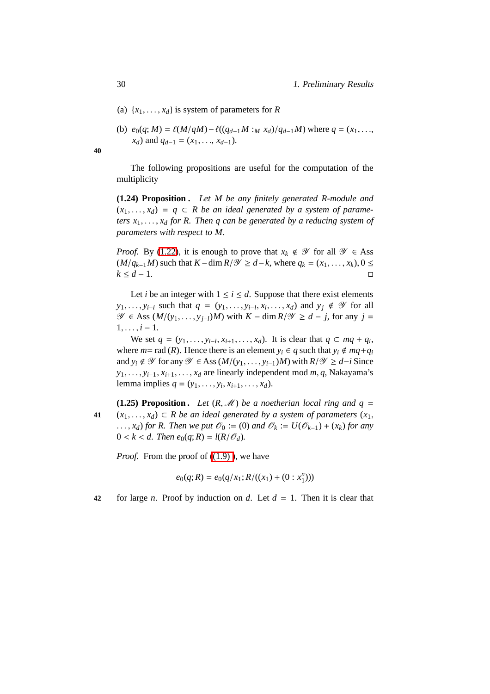- (a)  $\{x_1, \ldots, x_d\}$  is system of parameters for *R*
- (b)  $e_0(q; M) = \ell(M/qM) \ell((q_{d-1}M :_M x_d)/q_{d-1}M)$  where  $q = (x_1, \ldots,$ *x*<sup>*d*</sup>) and *q*<sup>*d*−1</sup> = (*x*<sub>1</sub>, . . ., *x*<sup>*d*−1</sup>).

**40**

The following propositions are useful for the computation of the multiplicity

**(1.24) Proposition .** *Let M be any finitely generated R-module and*  $(x_1, \ldots, x_d) = q$  ⊂ *R* be an ideal generated by a system of parame*ters*  $x_1, \ldots, x_d$  *for* R. Then q can be generated by a reducing system of *parameters with respect to M.*

*Proof.* By [\(1.22\)](#page-38-0), it is enough to prove that  $x_k \notin \mathcal{Y}$  for all  $\mathcal{Y} \in \text{Ass}$  $(M/q_{k-1}M)$  such that  $K$  − dim  $R/\mathscr{Y} \geq d-k$ , where  $q_k = (x_1, \ldots, x_k)$ , 0 ≤  $k \leq d-1$ .

Let *i* be an integer with  $1 \le i \le d$ . Suppose that there exist elements *y*<sub>1</sub>, . . . , *y*<sub>*i*</sub>−*l* such that  $q = (y_1, \ldots, y_{i-1}, x_i, \ldots, x_d)$  and  $y_j \notin \mathcal{Y}$  for all *V* ∈ Ass  $(M/(y_1, \ldots, y_{j-l})M)$  with  $K - \dim R/\mathcal{Y} \ge d - j$ , for any  $j =$  $1, \ldots, i-1.$ 

We set  $q = (y_1, \ldots, y_{i-l}, x_{i+1}, \ldots, x_d)$ . It is clear that  $q \subset mq + q_i$ , where  $m =$  rad  $(R)$ . Hence there is an element  $y_i \in q$  such that  $y_i \notin mq + q_i$ and *y<sub>i</sub>* ∉  $\mathcal Y$  for any  $\mathcal Y$  ∈ Ass  $(M/(y_1, \ldots, y_{i-1})M)$  with  $R/\mathcal Y \ge d-i$  Since *y*1, . . . , *yi*−1, *xi*+1, . . . , *x<sup>d</sup>* are linearly independent mod *m*, *q*, Nakayama's lemma implies  $q = (y_1, \ldots, y_i, x_{i+1}, \ldots, x_d)$ .

<span id="page-39-0"></span>**(1.25) Proposition.** Let  $(R, M)$  be a noetherian local ring and  $q =$ **41**  $(x_1, \ldots, x_d)$  ⊂ *R be an ideal generated by a system of parameters*  $(x_1, \ldots, x_d)$ ..., *x*<sup>*d*</sup>) *for R. Then we put*  $\mathcal{O}_0 := (0)$  *and*  $\mathcal{O}_k := U(\mathcal{O}_{k-1}) + (x_k)$  *for any*  $0 < k < d$ . Then  $e_0(q; R) = l(R/\mathcal{O}_d)$ .

*Proof.* From the proof of  $((1.9))$ , we have

$$
e_0(q;R) = e_0(q/x_1; R/((x_1) + (0:x_1^n)))
$$

**42** for large *n*. Proof by induction on *d*. Let  $d = 1$ . Then it is clear that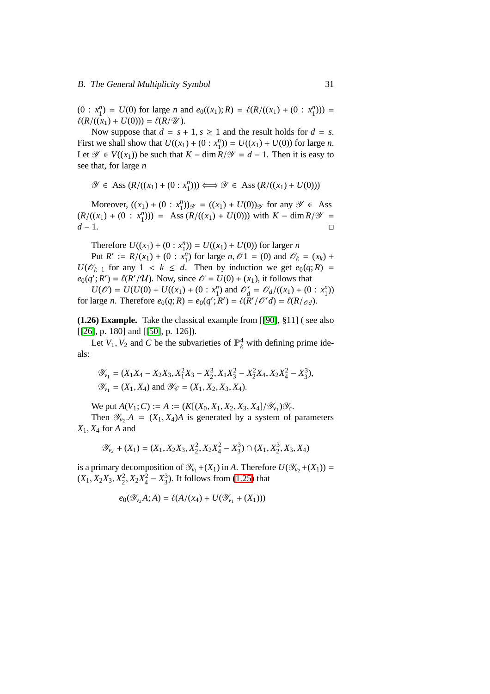$(0: x_1^n) = U(0)$  for large *n* and  $e_0((x_1); R) = \ell(R/((x_1) + (0: x_1^n)))$  =  $\ell(R/((x_1) + U(0))) = \ell(R/\mathcal{U}).$ 

Now suppose that  $d = s + 1$ ,  $s \ge 1$  and the result holds for  $d = s$ . First we shall show that  $U((x_1) + (0 : x_1^n)) = U((x_1) + U(0))$  for large *n*. Let  $\mathcal{Y}$  ∈  $V((x_1))$  be such that  $K - \dim R / \mathcal{Y} = d - 1$ . Then it is easy to see that, for large *n*

$$
\mathcal{Y} \in \text{Ass}(R/((x_1) + (0 : x_1^n))) \Longleftrightarrow \mathcal{Y} \in \text{Ass}(R/((x_1) + U(0)))
$$

Moreover,  $((x_1) + (0 : x_1^n))_{\mathscr{Y}} = ((x_1) + U(0))_{\mathscr{Y}}$  for any  $\mathscr{Y} \in \text{Ass}$  $(R/((x_1) + (0 : x_1^n))) = \text{Ass } (R/((x_1) + U(0))) \text{ with } K - \dim R/\mathcal{Y} =$ *d* − 1.

Therefore  $U((x_1) + (0 : x_1^n)) = U((x_1) + U(0))$  for larger *n* 

Put  $R' := R/(x_1) + (0 : x_1^n)$  for large  $n, \mathcal{O}1 = (0)$  and  $\mathcal{O}_k = (x_k) +$ *U*( $\mathcal{O}_{k-1}$  for any 1 < *k* ≤ *d*. Then by induction we get  $e_0(q; R)$  =  $e_0(q'; R') = \ell(R'/\mathcal{U})$ . Now, since  $\mathcal{O} = U(0) + (x_1)$ , it follows that

 $U(\mathcal{O}) = U(U(0) + U((x_1) + (0 : x_1^n) \text{ and } \mathcal{O}'_d = \mathcal{O}_d/((x_1) + (0 : x_1^n))$ for large *n*. Therefore  $e_0(q; R) = e_0(q'; R') = \ell(R'/\mathcal{O}'d) = \ell(R/\mathcal{O}d)$ .

**(1.26) Example.** Take the classical example from [[\[90\]](#page-111-0), §11] ( see also [[\[26\]](#page-106-0), p. 180] and [[\[50\]](#page-108-0), p. 126]).

Let  $V_1$ ,  $V_2$  and *C* be the subvarieties of  $\mathbb{P}_k^4$  with defining prime ideals:

$$
\mathcal{Y}_{v_1} = (X_1X_4 - X_2X_3, X_1^2X_3 - X_2^3, X_1X_3^2 - X_2^2X_4, X_2X_4^2 - X_3^3),
$$
  

$$
\mathcal{Y}_{v_1} = (X_1, X_4) \text{ and } \mathcal{Y}_{\mathcal{C}} = (X_1, X_2, X_3, X_4).
$$

We put  $A(V_1; C) := A := (K[(X_0, X_1, X_2, X_3, X_4]/\mathcal{Y}_{V_1})\mathcal{Y}_c$ .

Then  $\mathcal{Y}_{v_2}$   $A = (X_1, X_4)A$  is generated by a system of parameters *X*1, *X*<sup>4</sup> for *A* and

$$
\mathcal{Y}_{v_2} + (X_1) = (X_1, X_2X_3, X_2^2, X_2X_4^2 - X_3^3) \cap (X_1, X_2^3, X_3, X_4)
$$

is a primary decomposition of  $\mathcal{Y}_{v_1} + (X_1)$  in *A*. Therefore  $U(\mathcal{Y}_{v_2} + (X_1)) =$  $(X_1, X_2X_3, X_2^2, X_2X_4^2 - X_3^3)$ . It follows from [\(1.25\)](#page-39-0) that

$$
e_0(\mathscr{Y}_{v_2}A;A) = \ell(A/(x_4) + U(\mathscr{Y}_{v_1} + (X_1)))
$$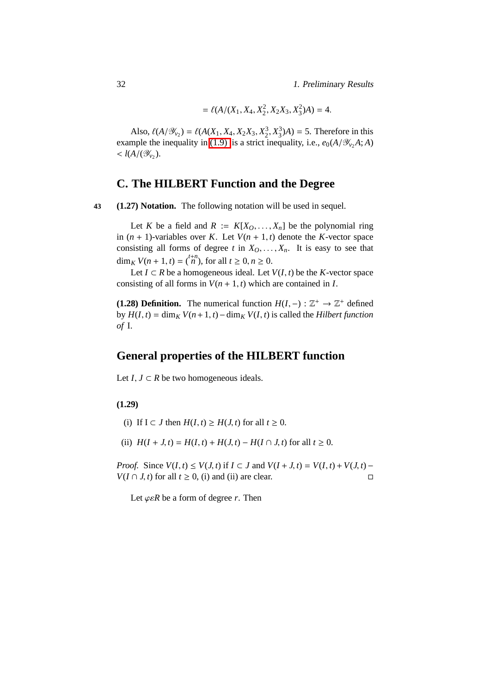$= \ell(A/(X_1, X_4, X_2^2, X_2X_3, X_3^2)A) = 4.$ 

Also,  $\ell(A/\mathcal{Y}_{v_2}) = \ell(A(X_1, X_4, X_2X_3, X_2^3, X_3^3)A) = 5$ . Therefore in this example the inequality in [\(1.9\)](#page-29-0) is a strict inequality, i.e.,  $e_0(A/\mathcal{Y}_v,A;A)$  $<$   $l(A/(\mathcal{Y}_{v_2}).$ 

# **C. The HILBERT Function and the Degree**

**43 (1.27) Notation.** The following notation will be used in sequel.

Let *K* be a field and  $R := K[X_0, \ldots, X_n]$  be the polynomial ring in  $(n + 1)$ -variables over *K*. Let  $V(n + 1, t)$  denote the *K*-vector space consisting all forms of degree *t* in  $X_0, \ldots, X_n$ . It is easy to see that dim<sub>*K*</sub>  $V(n + 1, t) = {t+n \choose n}$ , for all  $t \ge 0, n \ge 0$ .

Let *I* ⊂ *R* be a homogeneous ideal. Let *V*(*I*, *t*) be the *K*-vector space consisting of all forms in  $V(n + 1, t)$  which are contained in *I*.

**(1.28) Definition.** The numerical function  $H(I, -): \mathbb{Z}^+ \to \mathbb{Z}^+$  defined  $\frac{dy}{dx}$  *by*  $H(I, t) = \dim_K V(n+1, t) - \dim_K V(I, t)$  *is called the <i>Hilbert function of* I.

# **General properties of the HILBERT function**

Let *I*, *J* ⊂ *R* be two homogeneous ideals.

## <span id="page-41-0"></span>**(1.29)**

- (i) If  $I \subset J$  then  $H(I, t) \geq H(J, t)$  for all  $t \geq 0$ .
- (ii)  $H(I + J, t) = H(I, t) + H(J, t) H(I \cap J, t)$  for all  $t \ge 0$ .

*Proof.* Since  $V(I, t) \leq V(J, t)$  if  $I \subset J$  and  $V(I + J, t) = V(I, t) + V(J, t) - I$  $V(I \cap J, t)$  for all  $t \ge 0$ , (i) and (ii) are clear.

Let  $\varphi \in R$  be a form of degree *r*. Then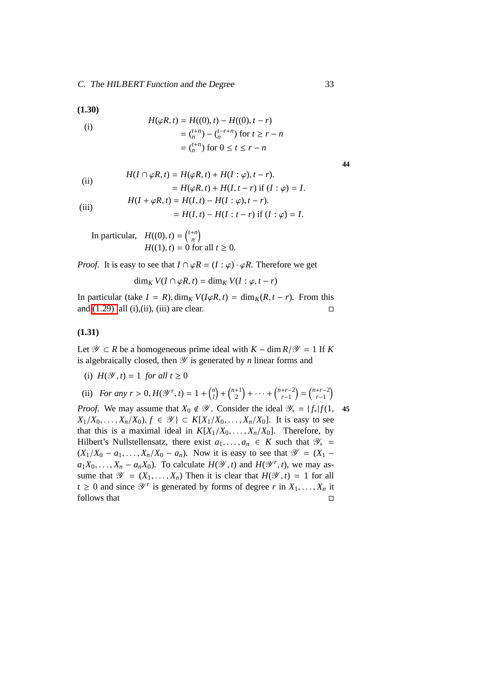<span id="page-42-0"></span>**(1.30)**

(i)  
\n
$$
H(\varphi R, t) = H((0), t) - H((0), t - r)
$$
\n
$$
= \binom{t+n}{n} - \binom{t-r+n}{n} \text{ for } t \ge r - n
$$
\n
$$
= \binom{t+n}{n} \text{ for } 0 \le t \le r - n
$$

$$
44
$$

(ii)

\n
$$
H(I \cap \varphi R, t) = H(\varphi R, t) + H(I : \varphi), t - r).
$$
\n
$$
= H(\varphi R, t) + H(I, t - r) \text{ if } (I : \varphi) = I.
$$
\n(iii)

\n
$$
H(I + \varphi R, t) = H(I, t) - H(I : \varphi), t - r).
$$
\n
$$
= H(I, t) - H(I : t - r) \text{ if } (I : \varphi) = I.
$$

$$
-H(t,t) - H(t, t - t) \ln(t)
$$
  
In particular,  $H((0), t) = {t+n \choose n}$ 

 $\binom{+n}{n}$ *H*((1), *t*) = 0 for all *t*  $\geq$  0.

*Proof.* It is easy to see that  $I \cap \varphi R = (I : \varphi) \cdot \varphi R$ . Therefore we get

$$
\dim_K V(I \cap \varphi R, t) = \dim_K V(I : \varphi, t - r)
$$

In particular (take  $I = R$ ), dim<sub>*K*</sub>  $V(I\varphi R, t) = \dim_K (R, t - r)$ . From this and  $(1.29)$  all  $(i)$ ,  $(ii)$ ,  $(iii)$  are clear.

## **(1.31)**

Let  $\mathcal{Y} \subset R$  be a homogeneous prime ideal with  $K - \dim R / \mathcal{Y} = 1$  If *K* is algebraically closed, then  $\mathscr Y$  is generated by *n* linear forms and

(i)  $H(\mathcal{Y}, t) = 1$  *for all*  $t \ge 0$ 

(ii) For any 
$$
r > 0
$$
,  $H(\mathcal{Y}^r, t) = 1 + {n \choose l} + {n+1 \choose 2} + \cdots + {n+r-2 \choose r-1} = {n+r-2 \choose r-1}$ 

*Proof.* We may assume that  $X_0 \notin \mathcal{Y}$ . Consider the ideal  $\mathcal{Y}_* = \{f_* | f(1, 45) \}$ *X*<sub>1</sub>/*X*<sub>0</sub>, . . . , *X<sub>n</sub>*/*X*<sub>0</sub>), *f* ∈  $\mathcal{Y}$  ∈ *K*[*X*<sub>1</sub>/*X*<sub>0</sub>, . . . , *X<sub>n</sub>*/*X*<sub>0</sub>]. It is easy to see that this is a maximal ideal in  $K[X_1/X_0, \ldots, X_n/X_0]$ . Therefore, by Hilbert's Nullstellensatz, there exist  $a_1, \ldots, a_n \in K$  such that  $\mathcal{Y}_* =$  $(X_1/X_0 - a_1, \ldots, X_n/X_0 - a_n)$ . Now it is easy to see that  $\mathscr{Y} = (X_1 - a_1)^T$  $a_1X_0, \ldots, X_n - a_nX_0$ ). To calculate  $H(\mathcal{Y}, t)$  and  $H(\mathcal{Y}^r, t)$ , we may assume that  $\mathcal{Y} = (X_1, \ldots, X_n)$  Then it is clear that  $H(\mathcal{Y}, t) = 1$  for all  $t \geq 0$  and since  $\mathcal{Y}^r$  is generated by forms of degree *r* in  $X_1, \ldots, X_n$  it follows that  $\Box$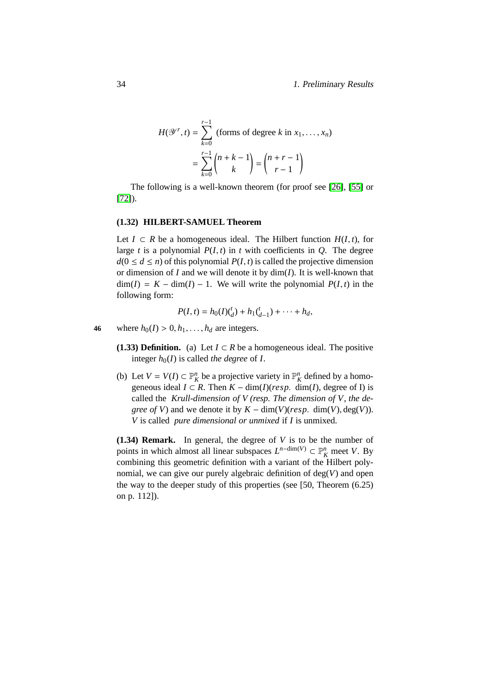$$
H(\mathcal{Y}^r, t) = \sum_{k=0}^{r-1} \text{ (forms of degree } k \text{ in } x_1, \dots, x_n)
$$

$$
= \sum_{k=0}^{r-1} {n+k-1 \choose k} = {n+r-1 \choose r-1}
$$

The following is a well-known theorem (for proof see [\[26\]](#page-106-0), [\[55\]](#page-108-1) or [\[72\]](#page-109-0)).

### <span id="page-43-1"></span>**(1.32) HILBERT-SAMUEL Theorem**

Let *I* ⊂ *R* be a homogeneous ideal. The Hilbert function  $H(I, t)$ , for large *t* is a polynomial  $P(I, t)$  in *t* with coefficients in *Q*. The degree  $d(0 \le d \le n)$  of this polynomial  $P(I, t)$  is called the projective dimension or dimension of *I* and we will denote it by dim(*I*). It is well-known that  $\dim(I) = K - \dim(I) - 1$ . We will write the polynomial  $P(I, t)$  in the following form:

$$
P(I, t) = h_0(I)(_d^t) + h_1(\frac{t}{d-1}) + \cdots + h_d,
$$

- **46** where  $h_0(I) > 0, h_1, \ldots, h_d$  are integers.
	- **(1.33) Definition.** (a) Let  $I \subset R$  be a homogeneous ideal. The positive integer  $h_0(I)$  is called *the degree* of *I*.
	- (b) Let  $V = V(I) \subset \mathbb{P}_{K}^{n}$  be a projective variety in  $\mathbb{P}_{K}^{n}$  defined by a homogeneous ideal  $I \subset R$ . Then  $K - \dim(I)(resp. \dim(I))$ , degree of I) is called the *Krull-dimension of V (resp. The dimension of V, the degree of V*) and we denote it by  $K - \dim(V)(resp. \dim(V), \deg(V)).$ *V* is called *pure dimensional or unmixed* if *I* is unmixed.

<span id="page-43-0"></span>**(1.34) Remark.** In general, the degree of *V* is to be the number of points in which almost all linear subspaces  $L^{n-\dim(V)} \subset \mathbb{P}^n_K$  meet *V*. By combining this geometric definition with a variant of the Hilbert polynomial, we can give our purely algebraic definition of deg(*V*) and open the way to the deeper study of this properties (see [50, Theorem (6.25) on p. 112]).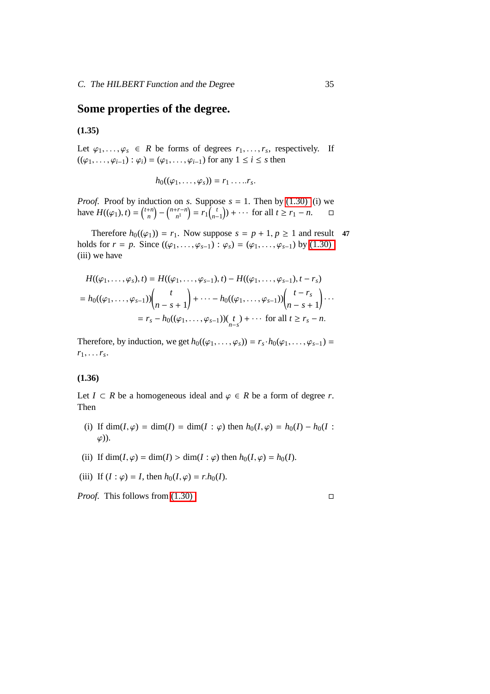# **Some properties of the degree.**

# <span id="page-44-1"></span>**(1.35)**

Let  $\varphi_1, \ldots, \varphi_s \in R$  be forms of degrees  $r_1, \ldots, r_s$ , respectively. If  $((\varphi_1, ..., \varphi_{i-1}) : \varphi_i) = (\varphi_1, ..., \varphi_{i-1})$  for any  $1 \le i \le s$  then

$$
h_0((\varphi_1,\ldots,\varphi_s))=r_1\ldots.r_s.
$$

*Proof.* Proof by induction on *s*. Suppose  $s = 1$ . Then by [\(1.30\)](#page-42-0) (i) we have  $H((\varphi_1), t) = \binom{t+n}{n}$  $\binom{n+n}{n} - \binom{n+r-n}{n}$  $r_{n}^{r-n}$  =  $r_{1}$   $\left(\begin{array}{c} t \\ n_{-} \end{array}\right)$  $\binom{t}{n-1}$  + · · · for all  $t \geq r_1 - n$ .  $\Box$ 

Therefore  $h_0((\varphi_1)) = r_1$ . Now suppose  $s = p + 1, p \ge 1$  and result 47 holds for *r* = *p*. Since  $((\varphi_1, ..., \varphi_{s-1}) : \varphi_s) = (\varphi_1, ..., \varphi_{s-1})$  by [\(1.30\)](#page-42-0) (iii) we have

$$
H((\varphi_1, ..., \varphi_s), t) = H((\varphi_1, ..., \varphi_{s-1}), t) - H((\varphi_1, ..., \varphi_{s-1}), t - r_s)
$$
  
=  $h_0((\varphi_1, ..., \varphi_{s-1})) \binom{t}{n-s+1} + \cdots - h_0((\varphi_1, ..., \varphi_{s-1})) \binom{t-r_s}{n-s+1} \cdots$   
=  $r_s - h_0((\varphi_1, ..., \varphi_{s-1})) \binom{t}{n-s} + \cdots$  for all  $t \ge r_s - n$ .

Therefore, by induction, we get  $h_0((\varphi_1, \ldots, \varphi_s)) = r_s \cdot h_0(\varphi_1, \ldots, \varphi_{s-1}) =$  $r_1, \ldots r_s$ .

## <span id="page-44-0"></span>**(1.36)**

Let *I* ⊂ *R* be a homogeneous ideal and  $\varphi$  ∈ *R* be a form of degree *r*. Then

- (i) If  $\dim(I, \varphi) = \dim(I) = \dim(I : \varphi)$  then  $h_0(I, \varphi) = h_0(I) h_0(I : \varphi)$  $\varphi$ )).
- (ii) If  $\dim(I, \varphi) = \dim(I) > \dim(I : \varphi)$  then  $h_0(I, \varphi) = h_0(I)$ .
- (iii) If  $(I : \varphi) = I$ , then  $h_0(I, \varphi) = r \cdot h_0(I)$ .

*Proof.* This follows from  $(1.30)$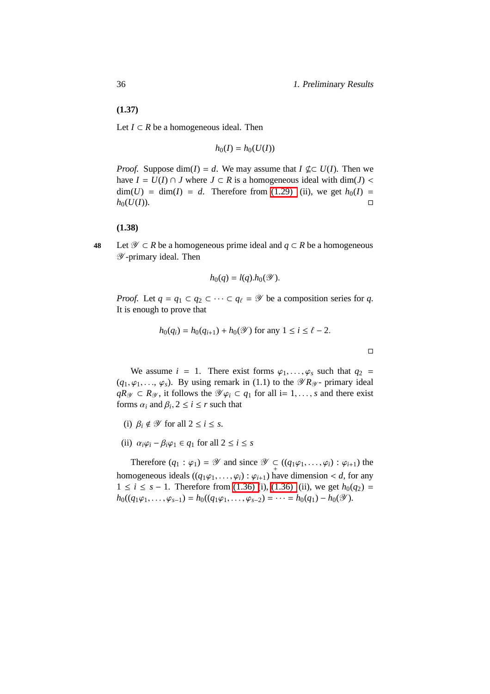36 1. Preliminary Results

<span id="page-45-0"></span>**(1.37)**

Let  $I$  ⊂  $R$  be a homogeneous ideal. Then

$$
h_0(I) = h_0(U(I))
$$

*Proof.* Suppose  $\dim(I) = d$ . We may assume that  $I \not\subseteq U(I)$ . Then we have  $I = U(I) ∩ J$  where  $J ⊂ R$  is a homogeneous ideal with dim(*J*) <  $\dim(U) = \dim(I) = d$ . Therefore from [\(1.29\)](#page-41-0) (ii), we get  $h_0(I) =$  $h_0(U(I))$ .

#### **(1.38)**

<span id="page-45-1"></span>**48** Let  $\mathcal{Y} \subset R$  be a homogeneous prime ideal and *q* ⊂ *R* be a homogeneous Y -primary ideal. Then

$$
h_0(q) = l(q) . h_0(\mathscr{Y}).
$$

*Proof.* Let  $q = q_1 \subset q_2 \subset \cdots \subset q_\ell = \mathcal{Y}$  be a composition series for q. It is enough to prove that

$$
h_0(q_i) = h_0(q_{i+1}) + h_0(\mathcal{Y})
$$
 for any  $1 \le i \le \ell - 2$ .

 $\Box$ 

We assume  $i = 1$ . There exist forms  $\varphi_1, \ldots, \varphi_s$  such that  $q_2 =$  $(q_1, \varphi_1, \ldots, \varphi_s)$ . By using remark in (1.1) to the  $\mathscr{D}R_{\mathscr{Y}}$ - primary ideal *qR*<sub>Y</sub> ⊂ *R*<sub>Y</sub>, it follows the  $\mathcal{Y}\varphi_i$  ⊂  $q_1$  for all i= 1, ..., *s* and there exist forms  $\alpha_i$  and  $\beta_i$ ,  $2 \le i \le r$  such that

- (i)  $\beta_i \notin \mathcal{Y}$  for all  $2 \leq i \leq s$ .
- (ii)  $\alpha_i \varphi_i \beta_i \varphi_1 \in q_1$  for all  $2 \leq i \leq s$

Therefore  $(q_1 : \varphi_1) = \mathscr{Y}$  and since  $\mathscr{Y} \subset (q_1\varphi_1, \dots, \varphi_i) : \varphi_{i+1}$  the homogeneous ideals  $((q_1\varphi_1, \ldots, \varphi_i) : \varphi_{i+1})$  have dimension < *d*, for any 1 ≤ *i* ≤ *s* − 1. Therefore from [\(1.36\) \(](#page-44-0)i), [\(1.36\)](#page-44-0) (ii), we get  $h_0(q_2)$  =  $h_0((q_1\varphi_1,\ldots,\varphi_{s-1}) = h_0((q_1\varphi_1,\ldots,\varphi_{s-2}) = \cdots = h_0(q_1) - h_0(\mathscr{Y}).$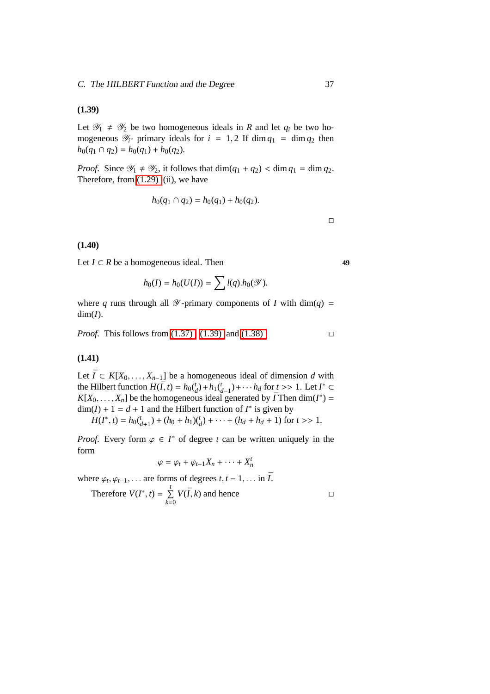## <span id="page-46-0"></span>**(1.39)**

Let  $\mathscr{Y}_1 \neq \mathscr{Y}_2$  be two homogeneous ideals in *R* and let  $q_i$  be two homogeneous  $\mathcal{Y}_i$ - primary ideals for  $i = 1, 2$  If dim  $q_1 = \dim q_2$  then  $h_0(q_1 \cap q_2) = h_0(q_1) + h_0(q_2).$ 

*Proof.* Since  $\mathcal{Y}_1 \neq \mathcal{Y}_2$ , it follows that  $\dim(q_1 + q_2) < \dim q_1 = \dim q_2$ . Therefore, from [\(1.29\)](#page-41-0) (ii), we have

$$
h_0(q_1 \cap q_2) = h_0(q_1) + h_0(q_2).
$$

 $\Box$ 

### <span id="page-46-1"></span>**(1.40)**

Let  $I \subset R$  be a homogeneous ideal. Then **49** 

$$
h_0(I) = h_0(U(I)) = \sum l(q) . h_0(\mathscr{Y}).
$$

where *q* runs through all  $\mathcal{Y}$ -primary components of *I* with dim(*q*) =  $dim(I)$ .

*Proof.* This follows from  $(1.37)$ .  $(1.39)$  and  $(1.38)$ .

## **(1.41)**

Let  $\overline{I}$  ⊂  $K[X_0, \ldots, X_{n-1}]$  be a homogeneous ideal of dimension *d* with the Hilbert function  $H(\bar{I}, t) = h_0 \binom{t}{d} + h_1 \binom{t}{d-1} + \cdots + h_d$  for  $t \geq 1$ . Let  $I^* \subset$  $K[X_0, \ldots, X_n]$  be the homogeneous ideal generated by  $\overline{I}$  Then dim( $I^*$ ) =  $\dim(I) + 1 = d + 1$  and the Hilbert function of  $I^*$  is given by

 $H(I^*, t) = h_0(\frac{t}{d+1}) + (h_0 + h_1)(\frac{t}{d}) + \cdots + (h_d + h_d + 1)$  for  $t \gg 1$ .

*Proof.* Every form  $\varphi \in I^*$  of degree *t* can be written uniquely in the form

$$
\varphi = \varphi_t + \varphi_{t-1}X_n + \cdots + X_n^t
$$

where  $\varphi_t, \varphi_{t-1}, \ldots$  are forms of degrees  $t, t-1, \ldots$  in  $\overline{I}$ .

Therefore 
$$
V(I^*, t) = \sum_{k=0}^{t} V(\bar{I}, k)
$$
 and hence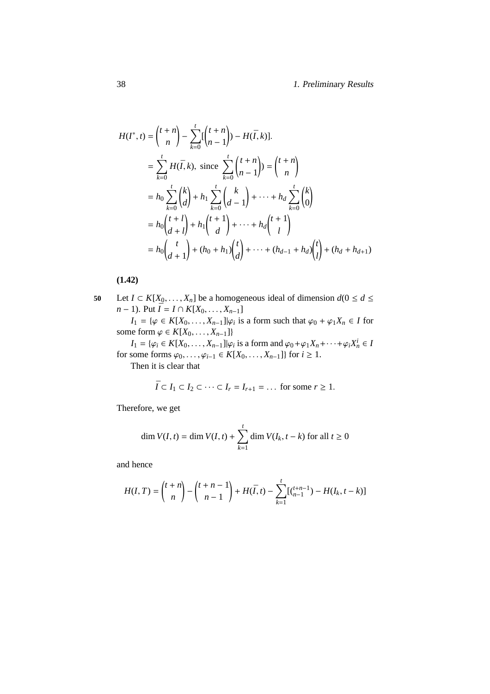$$
H(I^*, t) = {t+n \choose n} - \sum_{k=0}^t [t + n \choose n-1} - H(\overline{I}, k)].
$$
  
\n
$$
= \sum_{k=0}^t H(\overline{I}, k), \text{ since } \sum_{k=0}^t {t+n \choose n-1} = {t+n \choose n}
$$
  
\n
$$
= h_0 \sum_{k=0}^t {k \choose d} + h_1 \sum_{k=0}^t {k \choose d-1} + \dots + h_d \sum_{k=0}^t {k \choose 0}
$$
  
\n
$$
= h_0 {t+l \choose d+l} + h_1 {t+1 \choose d} + \dots + h_d {t+1 \choose l}
$$
  
\n
$$
= h_0 {t \choose d+1} + (h_0 + h_1){t \choose d} + \dots + (h_{d-1} + h_d){t \choose l} + (h_d + h_{d+1})
$$

**(1.42)**

<span id="page-47-0"></span>50 Let 
$$
I \subset K[X_0, ..., X_n]
$$
 be a homogeneous ideal of dimension  $d(0 \le d \le n-1)$ . Put  $\overline{I} = I \cap K[X_0, ..., X_{n-1}]$ 

*I*<sub>1</sub> = { $\varphi$  ∈ *K*[*X*<sub>0</sub>, . . . , *X*<sub>*n*−1</sub>]| $\varphi$ *i* is a form such that  $\varphi$ <sup>0</sup> +  $\varphi$ <sub>1</sub>*X*<sub>*n*</sub> ∈ *I* for some form  $\varphi \in K[X_0, \ldots, X_{n-1}]\}$ 

 $I_1 = \{\varphi_i \in K[X_0, \ldots, X_{n-1} | \mid \varphi_i \text{ is a form and } \varphi_0 + \varphi_1 X_n + \cdots + \varphi_i X_n^i \in I\}$ for some forms  $\varphi_0, ..., \varphi_{i-1}$  ∈  $K[X_0, ..., X_{n-1}]$ } for *i* ≥ 1.

Then it is clear that

$$
\overline{I} \subset I_1 \subset I_2 \subset \cdots \subset I_r = I_{r+1} = \ldots
$$
 for some  $r \ge 1$ .

Therefore, we get

$$
\dim V(I, t) = \dim V(I, t) + \sum_{k=1}^{t} \dim V(I_k, t - k)
$$
 for all  $t \ge 0$ 

and hence

$$
H(I,T) = {t+n \choose n} - {t+n-1 \choose n-1} + H(\overline{I},t) - \sum_{k=1}^{t} \left[ {t+n-1 \choose n-1} - H(I_k,t-k) \right]
$$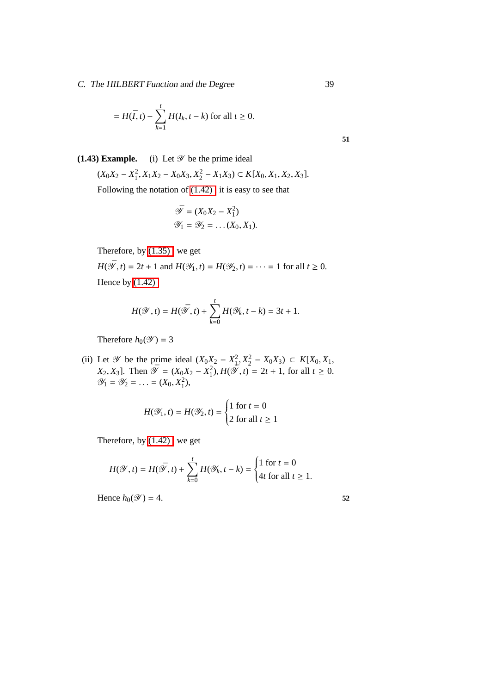C. The HILBERT Function and the Degree 39

$$
= H(\overline{I}, t) - \sum_{k=1}^{t} H(I_k, t - k)
$$
 for all  $t \ge 0$ .

# **(1.43) Example.** (i) Let  $\mathscr Y$  be the prime ideal

 $(X_0X_2 - X_1^2, X_1X_2 - X_0X_3, X_2^2 - X_1X_3) \subset K[X_0, X_1, X_2, X_3].$ Following the notation of [\(1.42\) ,](#page-47-0) it is easy to see that

$$
\overline{\mathscr{Y}} = (X_0 X_2 - X_1^2)
$$
  

$$
\mathscr{Y}_1 = \mathscr{Y}_2 = \dots (X_0, X_1).
$$

Therefore, by [\(1.35\) ,](#page-44-1) we get

*H*( $\bar{\mathcal{Y}}$ , *t*) = 2*t* + 1 and *H*( $\mathcal{Y}_1$ , *t*) = *H*( $\mathcal{Y}_2$ , *t*) = · · · = 1 for all *t*  $\geq$  0. Hence by [\(1.42\)](#page-47-0)

$$
H(\mathscr{Y},t) = H(\bar{\mathscr{Y}},t) + \sum_{k=0}^{t} H(\mathscr{Y}_k,t-k) = 3t + 1.
$$

Therefore  $h_0(\mathscr{Y}) = 3$ 

(ii) Let  $\mathcal{Y}$  be the prime ideal  $(X_0X_2 - X_1^2, X_2^2 - X_0X_3)$  ⊂  $K[X_0, X_1, X_2]$ *X*<sub>2</sub>, *X*<sub>3</sub>]. Then  $\overline{\mathscr{Y}} = (X_0X_2 - X_1^2), H(\overline{\mathscr{Y}}, t) = 2t + 1$ , for all *t* ≥ 0.  $\mathscr{Y}_1 = \mathscr{Y}_2 = \ldots = (X_0, X_1^2),$ 

$$
H(\mathcal{Y}_1, t) = H(\mathcal{Y}_2, t) = \begin{cases} 1 & \text{for } t = 0 \\ 2 & \text{for all } t \ge 1 \end{cases}
$$

Therefore, by [\(1.42\) ,](#page-47-0) we get

$$
H(\mathcal{Y},t) = H(\bar{\mathcal{Y}},t) + \sum_{k=0}^t H(\mathcal{Y}_k,t-k) = \begin{cases} 1 \text{ for } t=0\\ 4t \text{ for all } t\geq 1. \end{cases}
$$

Hence  $h_0(\mathscr{Y}) = 4$ . 52

**51**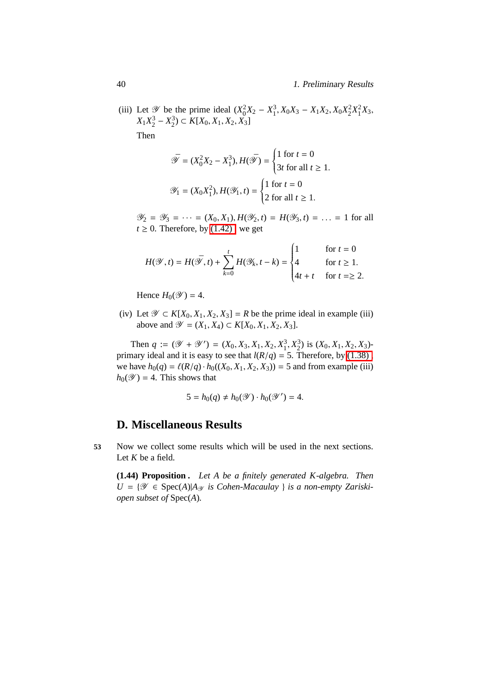(iii) Let  $\mathcal{Y}$  be the prime ideal  $(X_0^2 X_2 - X_1^3, X_0 X_3 - X_1 X_2, X_0 X_2^2 X_1^2 X_3,$ *X*<sub>1</sub> $X_2^3$  −  $X_2^3$ ) ⊂ *K*[*X*<sub>0</sub>, *X*<sub>1</sub>, *X*<sub>2</sub>, *X*<sub>3</sub>] Then

$$
\bar{\mathcal{Y}} = (X_0^2 X_2 - X_1^3), H(\bar{\mathcal{Y}}) = \begin{cases} 1 \text{ for } t = 0 \\ 3t \text{ for all } t \ge 1. \end{cases}
$$

$$
\mathcal{Y}_1 = (X_0 X_1^2), H(\mathcal{Y}_1, t) = \begin{cases} 1 \text{ for } t = 0 \\ 2 \text{ for all } t \ge 1. \end{cases}
$$

 $\mathcal{Y}_2 = \mathcal{Y}_3 = \cdots = (X_0, X_1), H(\mathcal{Y}_2, t) = H(\mathcal{Y}_3, t) = \cdots = 1$  for all  $t \geq 0$ . Therefore, by (1.42), we get

$$
H(\mathcal{Y},t) = H(\bar{\mathcal{Y}},t) + \sum_{k=0}^{t} H(\mathcal{Y}_k,t-k) = \begin{cases} 1 & \text{for } t = 0\\ 4 & \text{for } t \ge 1, \\ 4t + t & \text{for } t = \ge 2. \end{cases}
$$

Hence  $H_0(\mathscr{Y}) = 4$ .

(iv) Let  $\mathcal{Y} \subset K[X_0, X_1, X_2, X_3] = R$  be the prime ideal in example (iii) above and  $\mathcal{Y} = (X_1, X_4) \subset K[X_0, X_1, X_2, X_3].$ 

Then  $q := (\mathcal{Y} + \mathcal{Y}') = (X_0, X_3, X_1, X_2, X_1^3, X_2^3)$  is  $(X_0, X_1, X_2, X_3)$ primary ideal and it is easy to see that  $l(R/q) = 5$ . Therefore, by (1.38), we have  $h_0(q) = \ell(R/q) \cdot h_0((X_0, X_1, X_2, X_3)) = 5$  and from example (iii)  $h_0(\mathscr{Y}) = 4$ . This shows that

$$
5 = h_0(q) \neq h_0(\mathscr{Y}) \cdot h_0(\mathscr{Y}') = 4.
$$

# **D. Miscellaneous Results**

<span id="page-49-0"></span>**53** Now we collect some results which will be used in the next sections. Let *K* be a field.

**(1.44) Proposition .** *Let A be a finitely generated K-algebra. Then*  $U = \{ \mathscr{Y} \in \text{Spec}(A) | A_{\mathscr{Y}} \text{ is Cohen-Macaulay } \}$  *is a non-empty Zariskiopen subset of* Spec(*A*)*.*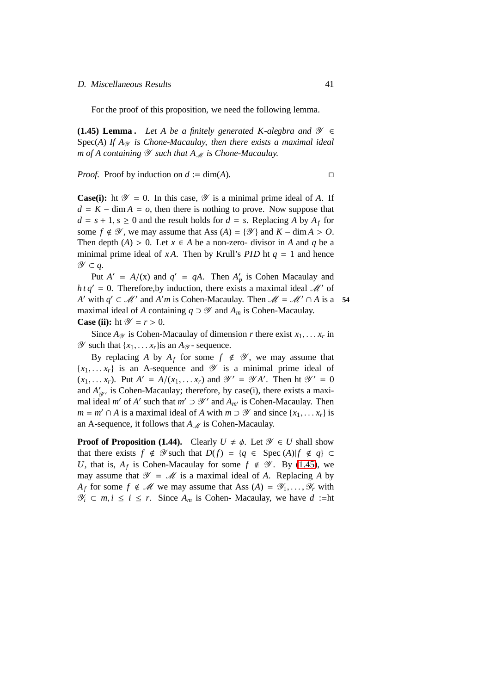#### D. Miscellaneous Results 41

For the proof of this proposition, we need the following lemma.

<span id="page-50-0"></span>**(1.45) Lemma .** *Let A be a finitely generated K-alegbra and*  $\mathcal{Y} \in$ Spec(A) If  $A_{\mathcal{Y}}$  *is Chone-Macaulay, then there exists a maximal ideal m* of A containing  $\mathscr Y$  such that  $A_M$  is Chone-Macaulay.

*Proof.* Proof by induction on  $d := \dim(A)$ .

**Case(i):** ht  $\mathscr Y = 0$ . In this case,  $\mathscr Y$  is a minimal prime ideal of A. If  $d = K - \dim A = o$ , then there is nothing to prove. Now suppose that  $d = s + 1, s \ge 0$  and the result holds for  $d = s$ . Replacing *A* by  $A_f$  for some  $f \notin \mathcal{Y}$ , we may assume that Ass  $(A) = \{ \mathcal{Y} \}$  and  $K - \dim A > 0$ . Then depth  $(A) > 0$ . Let  $x \in A$  be a non-zero- divisor in *A* and *q* be a minimal prime ideal of *xA*. Then by Krull's *PID* ht  $q = 1$  and hence Y ⊂ *q*.

Put  $A' = A/(x)$  and  $q' = qA$ . Then  $A'_p$  is Cohen Macaulay and  $h t q' = 0$ . Therefore, by induction, there exists a maximal ideal  $\mathcal{M}'$  of *A*' with  $q' \subset M'$  and *A'm* is Cohen-Macaulay. Then  $M = M' \cap A$  is a 54 maximal ideal of *A* containing  $q \supset \mathscr{Y}$  and  $A_m$  is Cohen-Macaulay. **Case (ii):** ht  $\mathscr{Y} = r > 0$ .

Since  $A_{\mathscr{Y}}$  is Cohen-Macaulay of dimension *r* there exist  $x_1, \ldots, x_r$  in  $\mathscr Y$  such that  $\{x_1, \ldots, x_r\}$  is an  $A_{\mathscr Y}$ - sequence.

By replacing *A* by  $A_f$  for some  $f \notin \mathscr{Y}$ , we may assume that  ${x_1, \ldots, x_r}$  is an A-sequence and  $\mathscr Y$  is a minimal prime ideal of  $(x_1, \ldots, x_r)$ . Put  $A' = A/(x_1, \ldots, x_r)$  and  $\mathscr{Y}' = \mathscr{Y}A'$ . Then ht  $\mathscr{Y}' = 0$ and  $A'_{\mathscr{Y}}$ , is Cohen-Macaulay; therefore, by case(i), there exists a maximal ideal *m'* of *A'* such that  $m' \supset \mathcal{Y}'$  and  $A_{m'}$  is Cohen-Macaulay. Then *m* = *m'* ∩ *A* is a maximal ideal of *A* with *m* ⊃  $\mathcal{Y}$  and since {*x*<sub>1</sub>, . . . *x<sub>r</sub>*} is an A-sequence, it follows that  $A_{\mathcal{M}}$  is Cohen-Macaulay.

**Proof of Proposition (1.44).** Clearly  $U \neq \emptyset$ . Let  $\mathscr{Y} \in U$  shall show that there exists  $f \notin \mathcal{Y}$  such that  $D(f) = \{q \in \text{Spec } (A) | f \notin q\} \subset$ *U*, that is,  $A_f$  is Cohen-Macaulay for some  $f \notin \mathcal{Y}$ . By [\(1.45\)](#page-50-0), we may assume that  $\mathcal{Y} = \mathcal{M}$  is a maximal ideal of *A*. Replacing *A* by *A<sub>f</sub>* for some  $f \notin \mathcal{M}$  we may assume that Ass  $(A) = \mathcal{Y}_1, \ldots, \mathcal{Y}_r$  with  $\mathcal{Y}_i$  ⊂ *m*, *i* ≤ *i* ≤ *r*. Since  $A_m$  is Cohen- Macaulay, we have *d* :=ht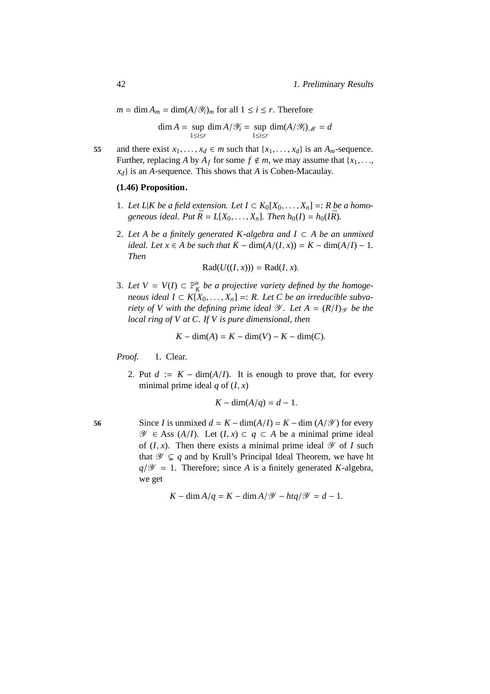$m = \dim A_m = \dim(A/\mathcal{Y}_i)_m$  for all  $1 \le i \le r$ . Therefore

$$
\dim A = \sup_{1 \le i \le r} \dim A / \mathcal{Y}_i = \sup_{1 \le i \le r} \dim (A / \mathcal{Y}_i)_{\mathcal{M}} = d
$$

<span id="page-51-0"></span>**55** and there exist  $x_1, \ldots, x_d \in m$  such that  $\{x_1, \ldots, x_d\}$  is an  $A_m$ -sequence. Further, replacing *A* by  $A_f$  for some  $f \notin m$ , we may assume that {*x*<sub>1</sub>, ..., *xd*} is an *A*-sequence. This shows that *A* is Cohen-Macaulay.

# **(1.46) Proposition.**

- 1. Let  $L|K$  be a field extension. Let  $I \subset K_0[X_0, \ldots, X_n] =: R$  be a homo*geneous ideal. Put*  $\bar{R} = L[X_0, \ldots, X_n]$ *. Then*  $h_0(I) = h_0(I\bar{R})$ *.*
- 2. Let A be a finitely generated K-algebra and  $I \subset A$  be an unmixed *ideal. Let*  $x \in A$  *be such that*  $K - \dim(A/(I, x)) = K - \dim(A/I) - 1$ . *Then*

$$
Rad(U((I, x))) = Rad(I, x).
$$

3. Let  $V = V(I) \subset \mathbb{P}_{K}^{n}$  be a projective variety defined by the homoge*neous ideal I* ⊂  $K[X_0, \ldots, X_n]$  =: *R. Let C be an irreducible subvariety of V with the defining prime ideal*  $\mathcal{Y}$ *. Let*  $A = (R/I)_{\mathcal{Y}}$  *be the local ring of V at C. If V is pure dimensional, then*

$$
K - \dim(A) = K - \dim(V) - K - \dim(C).
$$

Proof. 1. Clear.

2. Put  $d := K - \dim(A/I)$ . It is enough to prove that, for every minimal prime ideal  $q$  of  $(I, x)$ 

$$
K - \dim(A/q) = d - 1.
$$

56 Since *I* is unmixed  $d = K - \dim(A/I) = K - \dim(A/\mathcal{Y})$  for every  $\mathcal{Y}$  ∈ Ass (*A*/*I*). Let (*I*, *x*) ⊂ *q* ⊂ *A* be a minimal prime ideal of  $(I, x)$ . Then there exists a minimal prime ideal  $\mathscr Y$  of *I* such that  $\mathscr{Y} \subsetneq q$  and by Krull's Principal Ideal Theorem, we have ht  $q/\mathscr{Y} = 1$ . Therefore; since *A* is a finitely generated *K*-algebra, we get

$$
K - \dim A/q = K - \dim A/\mathcal{Y} - htq/\mathcal{Y} = d - 1.
$$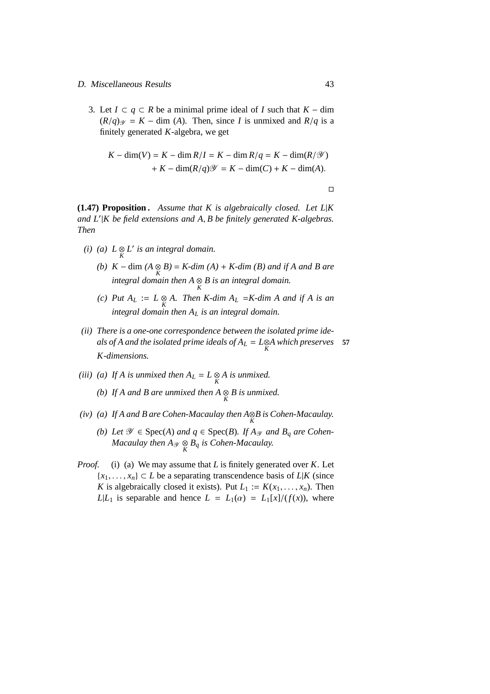### D. Miscellaneous Results 43

3. Let  $I \subset q \subset R$  be a minimal prime ideal of *I* such that  $K - \dim$  $(R/q)_{\mathcal{Y}} = K - \dim(A)$ . Then, since *I* is unmixed and  $R/q$  is a finitely generated *K*-algebra, we get

$$
K - \dim(V) = K - \dim R/I = K - \dim R/q = K - \dim(R/\mathcal{Y})
$$

$$
+ K - \dim(R/q)\mathcal{Y} = K - \dim(C) + K - \dim(A).
$$

 $\Box$ 

<span id="page-52-0"></span>**(1.47) Proposition .** *Assume that K is algebraically closed. Let L*|*K and L*′ |*K be field extensions and A*, *B be finitely generated K-algebras. Then*

- *(i) (a)*  $L \underset{K}{\otimes} L'$  *is an integral domain.* 
	- *(b) K* − dim *(A* ⊗ *K B)* = *K-dim (A)* + *K-dim (B) and if A and B are integral domain then A* ⊗ *K B is an integral domain.*
	- *(c) Put A<sup>L</sup>* := *L* ⊗ *K A. Then K-dim A<sup>L</sup>* =*K-dim A and if A is an integral domain then A<sup>L</sup> is an integral domain.*
- *(ii) There is a one-one correspondence between the isolated prime ideals of A and the isolated prime ideals of*  $A_L = L \otimes A$  *which preserves* **57** *K-dimensions.*
- *(iii) (a)* If A is unmixed then  $A_L = L \underset{K}{\otimes} A$  is unmixed.
	- *(b)* If A and B are unmixed then  $A \underset{K}{\otimes} B$  is unmixed.
- *(iv) (a) If A and B are Cohen-Macaulay then A*⊗ *K B is Cohen-Macaulay.*
	- *(b)* Let  $\mathcal{Y}$  ∈ Spec(*A*) *and*  $q$  ∈ Spec(*B*)*.* If  $A_{\mathcal{Y}}$  *and*  $B_{q}$  *are Cohen-Macaulay then*  $A_{\mathscr{Y}} \underset{K}{\otimes} B_q$  *is Cohen-Macaulay.*
- *Proof.* (i) (a) We may assume that *L* is finitely generated over *K*. Let  ${x_1, \ldots, x_n} \subset L$  be a separating transcendence basis of  $L|K$  (since *K* is algebraically closed it exists). Put  $L_1 := K(x_1, \ldots, x_n)$ . Then  $L|L_1$  is separable and hence  $L = L_1(\alpha) = L_1[x]/(f(x))$ , where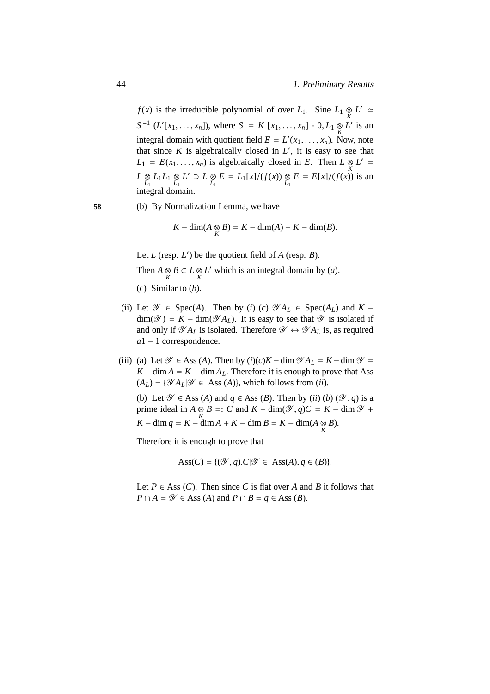*f*(*x*) is the irreducible polynomial of over *L*<sub>1</sub>. Sine *L*<sub>1</sub> ⊗ *L*<sup>'</sup> ≈  $S^{-1}$  (*L*<sup>'</sup>[*x*<sub>1</sub>, . . . , *x<sub>n</sub>*]), where *S* = *K* [*x*<sub>1</sub>, . . . , *x<sub>n</sub>*] - 0, *L*<sub>1</sub> ⊗ *L*<sup>'</sup> is an integral domain with quotient field  $E = L'(x_1, \ldots, x_n)$ . Now, note that since  $K$  is algebraically closed in  $L'$ , it is easy to see that  $L_1 = E(x_1, \ldots, x_n)$  is algebraically closed in *E*. Then  $L \underset{K}{\otimes} L' =$  $L \underset{L_1}{\otimes} L_1 L_1 \underset{L_1}{\otimes} L' \supset L \underset{L_1}{\otimes} E = L_1[x]/(f(x)) \underset{L_1}{\otimes} E = E[x]/(f(x))$  is an integral domain.

**58** (b) By Normalization Lemma, we have

$$
K - \dim(A \underset{K}{\otimes} B) = K - \dim(A) + K - \dim(B).
$$

Let  $L$  (resp.  $L'$ ) be the quotient field of  $A$  (resp.  $B$ ).

Then  $A \underset{K}{\otimes} B \subset L \underset{K}{\otimes} L'$  which is an integral domain by (*a*).

- (c) Similar to (*b*).
- (ii) Let  $\mathcal{Y} \in \text{Spec}(A)$ . Then by (*i*) (*c*)  $\mathcal{Y}A_L \in \text{Spec}(A_L)$  and  $K \dim(\mathcal{Y}) = K - \dim(\mathcal{Y} A_L)$ . It is easy to see that  $\mathcal Y$  is isolated if and only if  $\mathscr{A}_{A_L}$  is isolated. Therefore  $\mathscr{Y} \leftrightarrow \mathscr{Y}_{A_L}$  is, as required *a*1 − 1 correspondence.
- (iii) (a) Let  $\mathcal{Y} \in \text{Ass}(A)$ . Then by  $(i)(c)K \dim \mathcal{Y}A_L = K \dim \mathcal{Y} =$  $K - \dim A = K - \dim A_L$ . Therefore it is enough to prove that Ass  $(A_L) = \{ \mathscr{Y} A_L | \mathscr{Y} \in \text{Ass } (A) \}$ , which follows from (*ii*).

(b) Let  $\mathcal{Y} \in$  Ass (A) and  $q \in$  Ass (B). Then by (*ii*) (*b*) ( $\mathcal{Y}, q$ ) is a prime ideal in  $A \underset{K}{\otimes} B =: C$  and  $K - \dim(\mathcal{Y}, q)C = K - \dim \mathcal{Y} +$ *K* − dim *q* = *K* − dim *A* + *K* − dim *B* = *K* − dim(*A*  $\frac{\otimes B}{K}$ ).

Therefore it is enough to prove that

$$
Ass(C) = \{ (\mathcal{Y}, q) . C | \mathcal{Y} \in Ass(A), q \in (B) \}.
$$

Let  $P \in \text{Ass } (C)$ . Then since *C* is flat over *A* and *B* it follows that  $P \cap A = \mathcal{Y} \in$  *Ass* (*A*) and  $P \cap B = q \in$  *Ass* (*B*).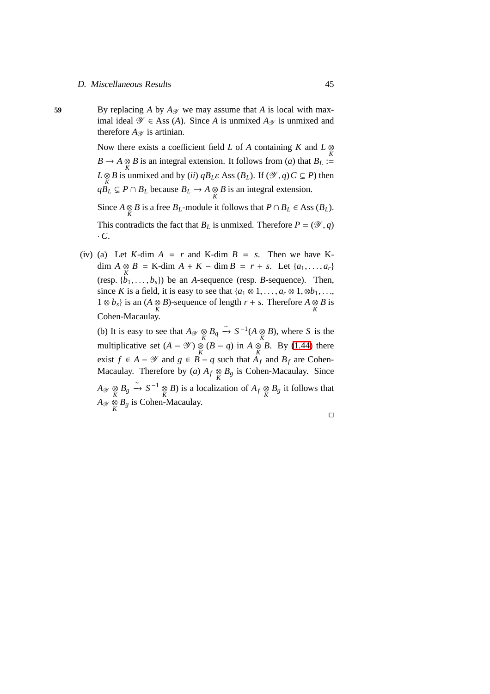**59** By replacing *A* by  $A_{\mathscr{Y}}$  we may assume that *A* is local with maximal ideal  $\mathcal{Y}$  ∈ Ass (*A*). Since *A* is unmixed *A*<sub> $\mathcal{Y}$ </sub> is unmixed and therefore  $A_{\mathscr{Y}}$  is artinian.

> Now there exists a coefficient field *L* of *A* containing *K* and *L* ⊗  $B \to A \underset{K}{\otimes} B$  is an integral extension. It follows from (*a*) that  $B_L :=$  $L \otimes B$  is unmixed and by (*ii*)  $qB_L\varepsilon$  Ass ( $B_L$ ). If ( $\mathscr{Y}, q$ )  $C \subsetneq P$ ) then  $qB_L$  ⊆ *P* ∩ *B<sub>L</sub>* because  $B_L$  → *A* ⊗ *B* is an integral extension. Since  $A \otimes B$  is a free  $B_L$ -module it follows that  $P \cap B_L \in \text{Ass } (B_L)$ .

> This contradicts the fact that  $B_L$  is unmixed. Therefore  $P = (\mathcal{Y}, q)$ · *C*.

(iv) (a) Let *K*-dim  $A = r$  and *K*-dim  $B = s$ . Then we have *K*dim  $A \underset{K}{\otimes} B =$  K-dim  $A + K -$ dim  $B = r + s$ . Let {*a*<sub>1</sub>, ..., *a*<sub>*r*</sub>} (resp.  $\{b_1, \ldots, b_s\}$ ) be an *A*-sequence (resp. *B*-sequence). Then, since *K* is a field, it is easy to see that  $\{a_1 \otimes 1, \ldots, a_r \otimes 1, \otimes b_1, \ldots, a_r \otimes b_r\}$ 1 ⊗ *b<sub>s</sub>*} is an (*A* ⊗ *B*)-sequence of length *r* + *s*. Therefore *A* ⊗ *B* is Cohen-Macaulay.

(b) It is easy to see that  $A_{\mathscr{Y}} \underset{K}{\otimes} B_q \xrightarrow{\sim} S^{-1}(A \underset{K}{\otimes} B)$ , where *S* is the multiplicative set  $(A - \mathcal{Y}) \underset{K}{\otimes} (B - q)$  in  $A \underset{K}{\otimes} B$ . By [\(1.44\)](#page-49-0) there exist *f* ∈ *A* −  $\mathcal Y$  and *g* ∈ *B* − *q* such that  $A_f$  and  $B_f$  are Cohen-Macaulay. Therefore by (*a*)  $A_f \underset{K}{\otimes} B_g$  is Cohen-Macaulay. Since  $A_{\mathscr{Y}} \underset{K}{\otimes} B_g \xrightarrow{\sim} S^{-1} \underset{K}{\otimes} B$ ) is a localization of  $A_f \underset{K}{\otimes} B_g$  it follows that  $A_{\mathscr{Y}} \underset{K}{\otimes} B_{g}$  is Cohen-Macaulay.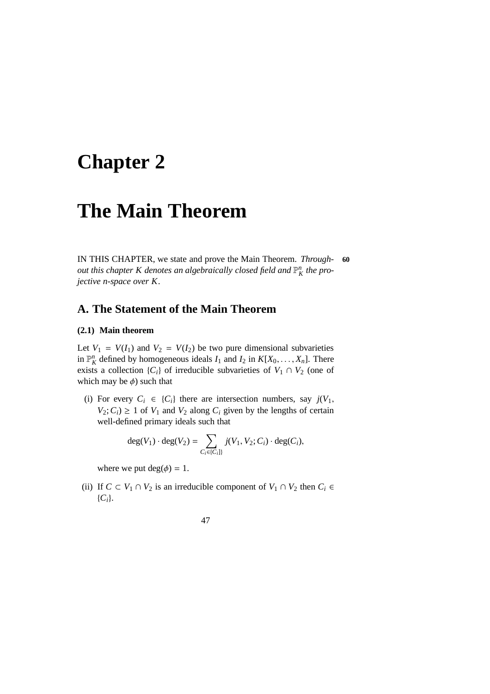# **Chapter 2**

# **The Main Theorem**

IN THIS CHAPTER, we state and prove the Main Theorem. *Through-* **60** *out this chapter K denotes an algebraically closed field and*  $\mathbb{P}^n_K$  *the projective n-space over K*.

# <span id="page-56-0"></span>**A. The Statement of the Main Theorem**

### **(2.1) Main theorem**

Let  $V_1 = V(I_1)$  and  $V_2 = V(I_2)$  be two pure dimensional subvarieties in  $\mathbb{P}_K^n$  defined by homogeneous ideals  $I_1$  and  $I_2$  in  $K[X_0, \ldots, X_n]$ . There exists a collection  ${C_i}$  of irreducible subvarieties of  $V_1 \cap V_2$  (one of which may be  $\phi$ ) such that

(i) For every  $C_i \in \{C_i\}$  there are intersection numbers, say  $j(V_1,$  $V_2$ ;  $C_i$ )  $\geq$  1 of  $V_1$  and  $V_2$  along  $C_i$  given by the lengths of certain well-defined primary ideals such that

$$
\deg(V_1) \cdot \deg(V_2) = \sum_{C_i \in \{C_i\}} j(V_1, V_2; C_i) \cdot \deg(C_i),
$$

where we put  $deg(\phi) = 1$ .

(ii) If  $C \subset V_1 \cap V_2$  is an irreducible component of  $V_1 \cap V_2$  then  $C_i \in$ {*Ci*}.

47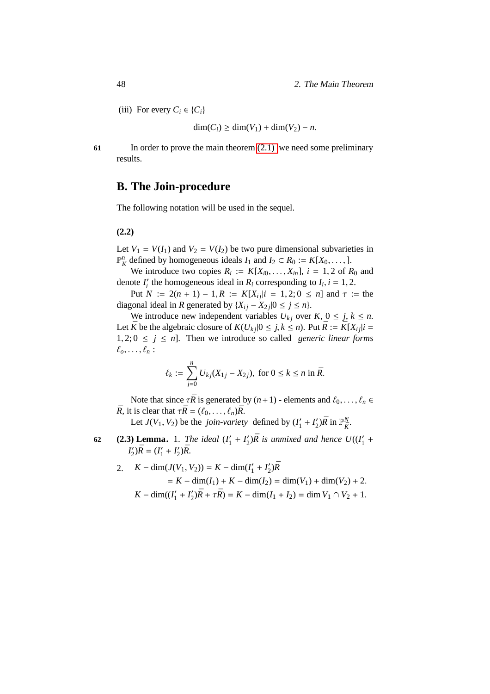(iii) For every  $C_i \in \{C_i\}$ 

 $\dim(C_i)$  ≥ dim(*V*<sub>1</sub>) + dim(*V*<sub>2</sub>) − *n*.

**61** In order to prove the main theorem [\(2.1\)](#page-56-0) we need some preliminary results.

# **B. The Join-procedure**

The following notation will be used in the sequel.

### **(2.2)**

Let  $V_1 = V(I_1)$  and  $V_2 = V(I_2)$  be two pure dimensional subvarieties in  $\mathbb{P}_K^n$  defined by homogeneous ideals *I*<sub>1</sub> and *I*<sub>2</sub> ⊂ *R*<sub>0</sub> := *K*[*X*<sub>0</sub>, ..., ].

We introduce two copies  $R_i := K[X_{i0}, \ldots, X_{in}], i = 1, 2$  of  $R_0$  and denote  $I'_i$  the homogeneous ideal in  $R_i$  corresponding to  $I_i$ ,  $i = 1, 2$ .

Put  $N := 2(n + 1) - 1$ ,  $R := K[X_i | i = 1, 2; 0 \le n]$  and  $\tau :=$  the diagonal ideal in *R* generated by  $\{X_{ij} - X_{2j} | 0 \le j \le n\}.$ 

We introduce new independent variables  $U_{kj}$  over  $K$ ,  $0 \leq j, k \leq n$ . Let  $\bar{K}$  be the algebraic closure of  $K(U_{ki}|0 \leq j, k \leq n)$ . Put  $\bar{R} := \bar{K}[X_{ij}|i =$  $1, 2; 0 \leq i \leq n$ . Then we introduce so called *generic linear forms*  $\ell_0, \ldots, \ell_n$ :

$$
\ell_k := \sum_{j=0}^n U_{kj} (X_{1j} - X_{2j}), \text{ for } 0 \le k \le n \text{ in } \bar{R}.
$$

Note that since  $\tau \bar{R}$  is generated by  $(n+1)$  - elements and  $\ell_0, \ldots, \ell_n \in$  $\bar{R}$ , it is clear that  $\tau \bar{R} = (\ell_0, \ldots, \ell_n) \bar{R}$ .

Let  $J(V_1, V_2)$  be the *join-variety* defined by  $(I'_1)$  $I'_1 + I'_2$  $\binom{1}{2}$ *R* in  $\mathbb{P}_{\bar{K}}^N$ .

<span id="page-57-0"></span>**(2.3) Lemma.** 1. *The ideal* (*I* ′  $I'_1 + I'_2$  $\mathcal{L}_2'$ ) $\bar{R}$  is unmixed and hence  $U((I'_1))$ **62 (2.3)** Lemma. 1. The ideal  $(I'_1 + I'_2)\bar{R}$  is unmixed and hence  $U((I'_1 + I'_2)\bar{R})$  $I_2'$  $I'_{2}$ ) $\bar{R} = (I'_{1})$  $I'_1 + I'_2$  $_{2}^{\prime})\bar{R}.$ 

2. 
$$
K - \dim(J(V_1, V_2)) = K - \dim(I'_1 + I'_2)\overline{R}
$$
  
=  $K - \dim(I_1) + K - \dim(I_2) = \dim(V_1) + \dim(V_2) + 2$ .  

$$
K - \dim((I'_1 + I'_2)\overline{R} + \tau \overline{R}) = K - \dim(I_1 + I_2) = \dim V_1 \cap V_2 + 1
$$
.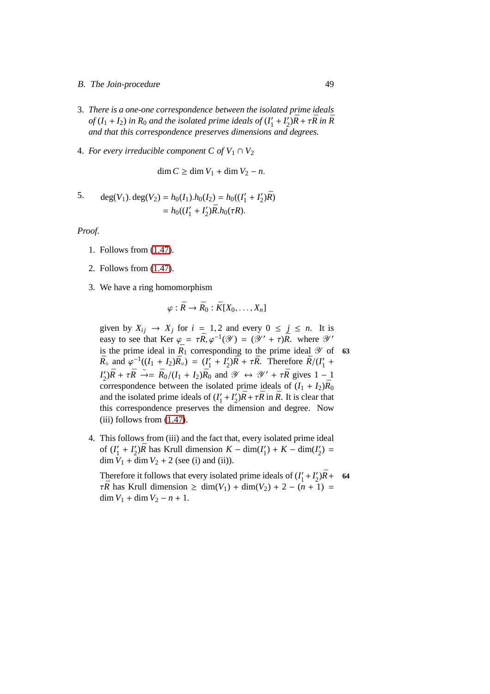- B. The Join-procedure 49
- 3. *There is a one-one correspondence between the isolated prime ideals*  $of$   $(I_1 + I_2)$  *in*  $R_0$  *and the isolated prime ideals of*  $(I'_1 + I'_2)\overline{R} + \tau \overline{R}$  *in*  $\overline{R}$ *and that this correspondence preserves dimensions and degrees.*
- 4. *For every irreducible component C of*  $V_1 \cap V_2$

dim  $C$  ≥ dim  $V_1$  + dim  $V_2$  − *n*.

5. 
$$
\deg(V_1) \cdot \deg(V_2) = h_0(I_1) \cdot h_0(I_2) = h_0((I'_1 + I'_2)\overline{R})
$$

$$
= h_0((I'_1 + I'_2)\overline{R} \cdot h_0(\tau R)).
$$

*Proof.*

- 1. Follows from [\(1.47\)](#page-52-0).
- 2. Follows from [\(1.47\)](#page-52-0).
- 3. We have a ring homomorphism

$$
\varphi:\bar{R}\to\bar{R}_0:\bar{K}[X_0,\ldots,X_n]
$$

given by  $X_{ij} \rightarrow X_j$  for  $i = 1, 2$  and every  $0 \le j \le n$ . It is easy to see that Ker  $\varphi = \tau \bar{R}, \varphi^{-1}(\mathscr{Y}) = (\mathscr{Y}' + \tau) \bar{R}$ . where  $\mathscr{Y}'$ is the prime ideal in  $\bar{R}_1$  corresponding to the prime ideal  $\mathscr Y$  of 63  $\bar{R}_{\circ}$  and  $\varphi^{-1}((I_1 + I_2)\bar{R}_{\circ}) = (I'_1)$  $I'_1 + I'_2$  $\frac{Z}{2}$ ) $\bar{R} + \tau \bar{R}$ . Therefore  $\bar{R}/(I_1')$  $\frac{7}{1}$  + *I* ′  $\overline{X}_2'$ ) $\overline{R}$  +  $\tau \overline{R}$   $\rightarrow$  =  $\overline{R}_0/(I_1 + I_2)\overline{R}_0$  and  $\mathscr{Y} \leftrightarrow \mathscr{Y}' + \tau \overline{R}$  gives 1 - 1 correspondence between the isolated prime ideals of  $(I_1 + I_2)\bar{R}_0$ and the isolated prime ideals of  $(I_1')$  $I'_1 + I'_2$  $\sqrt{2}$ ) $\bar{R} + \tau \bar{R}$  in  $\bar{R}$ . It is clear that this correspondence preserves the dimension and degree. Now (iii) follows from [\(1.47\)](#page-52-0).

4. This follows from (iii) and the fact that, every isolated prime ideal of  $(I'_1)$  $I'_1 + I'_2$  $\sqrt{2}/\bar{R}$  has Krull dimension  $K - \dim(I_1)$  $I'_1$ ) + *K* – dim( $I'_2$  $'_{2}) =$ dim  $V_1$  + dim  $V_2$  + 2 (see (i) and (ii)).

Therefore it follows that every isolated prime ideals of (*I* ′  $I'_1 + I'_2$  $^{'}_{2}$ ) $\bar{R}$  + 64  $\tau \bar{R}$  has Krull dimension  $\geq \dim(V_1) + \dim(V_2) + 2 - (n + 1) =$ dim  $V_1$  + dim  $V_2$  –  $n + 1$ .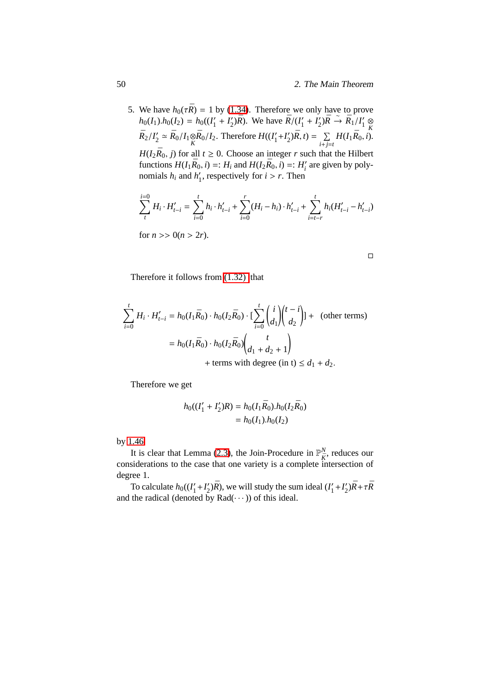5. We have  $h_0(\tau \bar{R}) = 1$  by [\(1.34\)](#page-43-0). Therefore we only have to prove  $h_0(I_1)h_0(I_2) = h_0((I'_1 + I'_2)\bar{R})$ . We have  $\bar{R}/(I'_1 + I'_2)\bar{R} \to \bar{R}_1/I'_1 \underset{\wp}{\otimes}$  $R_2/I'_2 \simeq R_0/I_1 \otimes R_0/I_2$ . Therefore  $H((I'_1 + I'_2)\overline{R}, t) = \sum H(I_1\overline{R}_0, t)$ .  $Z_2' \simeq \bar{R}_0/I_1 \otimes \bar{R}_0/I_2$ . Therefore  $H((I_1')$  $I_1' + I_2'$  $\sum_{2}^{\prime}$  $\sum$  $\bar{R}$ , *t*) =  $\sum$  $\sum_{i+j=t} H(I_1 \bar{R}_0, i).$ 

 $H(I_2\bar{R}_0, j)$  for all  $t \geq 0$ . Choose an integer *r* such that the Hilbert functions  $H(I_1\bar{R}_0, i) =: H_i$  and  $H(I_2\bar{R}_0, i) =: H'_i$  are given by polynomials  $h_i$  and  $h'_1$  $\frac{1}{1}$ , respectively for  $i > r$ . Then

$$
\sum_{t}^{i=0} H_i \cdot H'_{t-i} = \sum_{i=0}^{t} h_i \cdot h'_{t-i} + \sum_{i=0}^{r} (H_i - h_i) \cdot h'_{t-i} + \sum_{i=t-r}^{t} h_i (H'_{t-i} - h'_{t-i})
$$
  
for  $n >> 0 (n > 2r)$ .

Therefore it follows from [\(1.32\)](#page-43-1) that

$$
\sum_{i=0}^{t} H_i \cdot H'_{t-i} = h_0(I_1 \bar{R}_0) \cdot h_0(I_2 \bar{R}_0) \cdot \left[ \sum_{i=0}^{t} {i \choose d_1} {t-i \choose d_2} \right] + \text{ (other terms)}
$$
\n
$$
= h_0(I_1 \bar{R}_0) \cdot h_0(I_2 \bar{R}_0) {t \choose d_1 + d_2 + 1}
$$
\n+ terms with degree (in t) ≤ d<sub>1</sub> + d<sub>2</sub>.

Therefore we get

$$
h_0((I'_1 + I'_2)R) = h_0(I_1\bar{R}_0).h_0(I_2\bar{R}_0)
$$
  
=  $h_0(I_1).h_0(I_2)$ 

by [1.46.](#page-51-0)

It is clear that Lemma [\(2.3\)](#page-57-0), the Join-Procedure in  $\mathbb{P}_{\bar{K}}^{N}$ , reduces our considerations to the case that one variety is a complete intersection of degree 1.

<span id="page-59-0"></span>To calculate  $h_0((I'_1))$  $I'_1 + I'_2$  $\mathcal{L}'_2$ ) $\bar{R}$ ), we will study the sum ideal ( $I'_1$  $I'_1 + I'_2$  $\frac{1}{2}$ ) $\bar{R}$ + $\tau \bar{R}$ and the radical (denoted by  $Rad(\cdots)$ ) of this ideal.

 $\Box$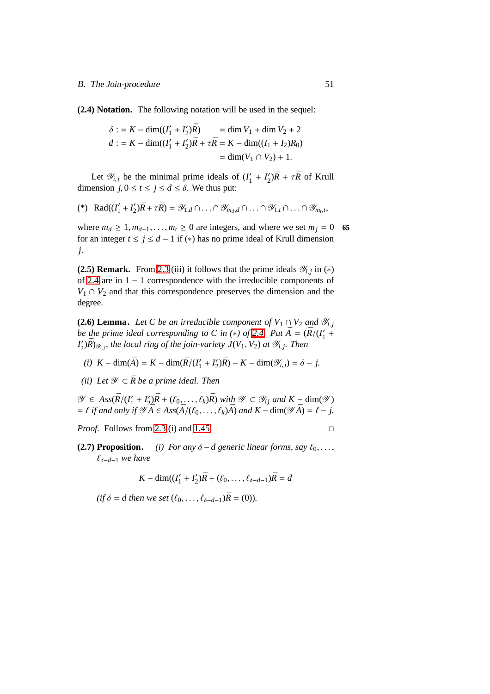**(2.4) Notation.** The following notation will be used in the sequel:

$$
\delta := K - \dim((I'_1 + I'_2)\bar{R}) = \dim V_1 + \dim V_2 + 2
$$
  

$$
d := K - \dim((I'_1 + I'_2)\bar{R} + \tau \bar{R}) = K - \dim((I_1 + I_2)R_0)
$$
  

$$
= \dim(V_1 \cap V_2) + 1.
$$

Let  $\mathscr{Y}_{i,j}$  be the minimal prime ideals of  $(I'_1)$  $I'_1 + I'_2$  $\frac{Z}{2}$ ) $\bar{R}$  +  $\tau \bar{R}$  of Krull dimension  $j, 0 \le t \le j \le d \le \delta$ . We thus put:

$$
(*) \ \ \text{Rad}((I'_1 + I'_2)\bar{R} + \tau \bar{R}) = \mathscr{Y}_{1,d} \cap \ldots \cap \mathscr{Y}_{m_d,d} \cap \ldots \cap \mathscr{Y}_{1,t} \cap \ldots \cap \mathscr{Y}_{m_t,t},
$$

where  $m_d \geq 1, m_{d-1}, \ldots, m_t \geq 0$  are integers, and where we set  $m_j = 0$  65 for an integer  $t \le j \le d - 1$  if (\*) has no prime ideal of Krull dimension *j*.

<span id="page-60-0"></span>**(2.5) Remark.** From [2.3](#page-57-0) (iii) it follows that the prime ideals  $\mathscr{Y}_{i,j}$  in  $(*)$ of [2.4](#page-59-0) are in 1 − 1 correspondence with the irreducible components of  $V_1 \cap V_2$  and that this correspondence preserves the dimension and the degree.

<span id="page-60-1"></span>**(2.6) Lemma.** *Let C be an irreducible component of*  $V_1 \cap V_2$  *and*  $\mathcal{Y}_{i,j}$ *be the prime ideal corresponding to C in (\*) of [2.4.](#page-59-0)* Put  $\overline{A} = (\overline{R}/(I_1' + I_2'')$ *I* ′  $Z'_{2}$ ) $\bar{R}$ ) $\mathscr{Y}_{i,j}$ , the local ring of the join-variety  $J(V_1, V_2)$  at  $\mathscr{Y}_{i,j}$ . Then

- $(i)$  *K* − dim( $\bar{A}$ ) = *K* − dim( $\bar{R}/(I'_1)$  $I'_1 + I'_2$  $\mathcal{L}'_2(\bar{R}) - K - \dim(\mathcal{Y}_{i,j}) = \delta - j.$
- *(ii)* Let  $\mathcal{Y} \subset \overline{R}$  be a prime ideal. Then

 $\mathscr{Y} \in Ass(\bar{R}/(I'_1))$  $I'_1 + I'_2$  $\mathcal{L}_2^{\prime}$ ) $\bar{R}$  + ( $\ell_0$ , . . . ,  $\ell_k$ ) $\bar{R}$ ) *with*  $\mathcal{Y} \subset \mathcal{Y}_{ij}$  *and*  $K - \dim(\mathcal{Y})$  $= \ell$  *if and only if*  $\mathscr{Y} \overline{A} \in Ass(\overline{A}/(\ell_0, \ldots, \ell_k)\overline{A})$  *and*  $K - \dim(\mathscr{Y} \overline{A}) = \ell - j$ .

<span id="page-60-2"></span>*Proof.* Follows from [2.3](#page-57-0) (i) and [1.45.](#page-50-0) □

**(2.7) Proposition.** *(i) For any*  $\delta - d$  generic linear forms, say  $\ell_0, \ldots$ , ℓδ−*d*−<sup>1</sup> *we have*

$$
K - \dim((I'_1 + I'_2)\bar{R} + (\ell_0, \dots, \ell_{\delta - d - 1})\bar{R} = d
$$

 $(if \delta = d then we set (l_0, \ldots, l_{\delta - d - 1})\bar{R} = (0)).$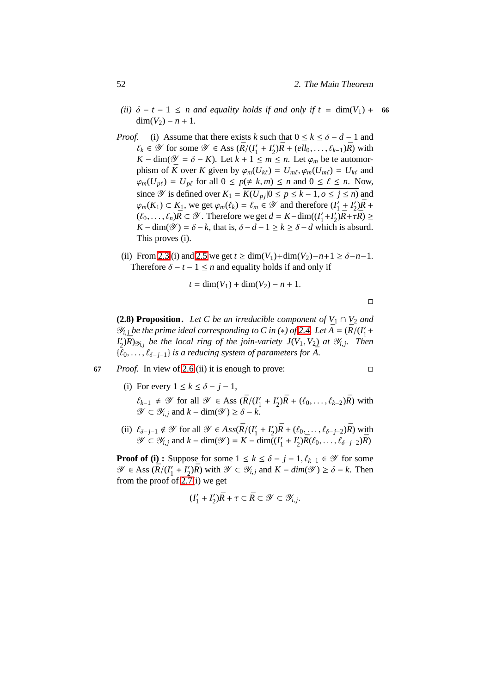- *(ii)*  $\delta t 1 \le n$  *and equality holds if and only if*  $t = \dim(V_1) + 66$  $dim(V_2) - n + 1.$
- *Proof.* (i) Assume that there exists *k* such that  $0 \le k \le \delta d 1$  and  $\ell_k \in \mathscr{Y}$  for some  $\mathscr{Y} \in \text{Ass } (\bar{R}/(I'_1))$  $I'_1 + I'_2$  $2\chi_2'$ ) $\bar{R}$  + (*ell*<sub>0</sub>, ...,  $\ell_{k-1}$ ) $\bar{R}$ ) with *K* − dim( $\mathcal{Y} = \delta$  − *K*). Let  $k + 1 \le m \le n$ . Let  $\varphi_m$  be te automorphism of  $\bar{K}$  over  $K$  given by  $\varphi_m(U_{k\ell}) = U_{m\ell}, \varphi_m(U_{m\ell}) = U_{k\ell}$  and  $\varphi_m(U_{p\ell}) = U_{p\ell}$  for all  $0 \leq p(\neq k, m) \leq n$  and  $0 \leq \ell \leq n$ . Now, since  $\mathcal Y$  is defined over  $K_1 = \overline{K(U_{pj}|0 \le p \le k-1, o \le j \le n)}$  and  $\varphi_m(K_1)$  ⊂  $K_1$ , we get  $\varphi_m(\ell_k) = \ell_m$  ∈  $\mathscr Y$  and therefore (*I*<sup>'</sup><sub>1</sub>  $I'_1 + I'_2$  $^{7}_{2}$ ) $\bar{R}$  +  $(\ell_0, \ldots, \ell_n)$  $\bar{R}$  ⊂  $\mathscr Y$ . Therefore we get  $d = K$ −dim( $(I'_1)$  $I'_1 + I'_2$  $\sum_{2}^{\prime}$ *j* $\bar{R}$ +*τ* $\bar{R}$ ) ≥  $K - \dim(\mathcal{Y}) = \delta - k$ , that is,  $\delta - d - 1 \ge k \ge \delta - d$  which is absurd. This proves (i).
	- (ii) From [2.3](#page-57-0) (i) and [2.5](#page-60-0) we get  $t \ge \dim(V_1) + \dim(V_2) n + 1 \ge \delta n 1$ . Therefore  $\delta - t - 1 \leq n$  and equality holds if and only if

$$
t = \dim(V_1) + \dim(V_2) - n + 1.
$$

$$
\Box
$$

**(2.8) Proposition.** *Let C be an irreducible component of*  $V_1 \cap V_2$  *and*  $\mathscr{Y}_{i,j}$  *be the prime ideal corresponding to C in (\*) of [2.4.](#page-59-0) Let*  $\bar{A} = (\bar{R}/(I_1/\mathbb{Z}))$  $1'$ *I*<sup>'</sup>,  $Z(\sum_{i,j} \bar{R})_{\mathscr{Y}_{i,j}}$  be the local ring of the join-variety  $J(V_1, V_2)$  at  $\mathscr{Y}_{i,j}$ . Then  $\{\ell_0, \ldots, \ell_{\delta-j-1}\}$  *is a reducing system of parameters for* A.

- **67** *Proof.* In view of [2.6](#page-60-1) (ii) it is enough to prove:
	- (i) For every  $1 \le k \le \delta j 1$ ,
		- $\ell_{k-1}$  ≠  $\mathscr Y$  for all  $\mathscr Y$  ∈ Ass ( $\bar{R}/(I'_1)$  $I'_1 + I'_2$  $2\lambda_2'$ ) $\bar{R} + (\ell_0, \ldots, \ell_{k-2})\bar{R}$ ) with  $\mathscr{Y} \subset \mathscr{Y}_{i,j}$  and  $k - \dim(\mathscr{Y}) \geq \delta - k$ .
	- (ii)  $\ell_{\delta-j-1} \notin \mathscr{Y}$  for all  $\mathscr{Y} \in Ass(\bar{R}/(I'_1))$  $I'_1 + I'_2$  $\chi_2'$ ) $\bar{R} + (\ell_0, \ldots, \ell_{\delta-j-2})\bar{R}$ ) with  $\mathscr{Y} \subset \mathscr{Y}_{i,j}$  and  $k - \dim(\mathscr{Y}) = K - \dim((I'_1))$  $I'_1 + I'_2$  $\bar{R}(\ell_0, \ldots, \ell_{\delta-j-2})\bar{R}$

**Proof of (i) :** Suppose for some  $1 \leq k \leq \delta - j - 1$ ,  $\ell_{k-1} \in \mathcal{Y}$  for some  $\mathscr{Y} \in \text{Ass } (\bar{R}/(I'_1))$  $I'_1 + I'_2$  $2\chi'_{2}$ ) $\bar{R}$ ) with  $\mathscr{Y} \subset \mathscr{Y}_{i,j}$  and  $K - \dim(\mathscr{Y}) \ge \delta - k$ . Then from the proof of [2.7\(](#page-60-2)i) we get

$$
(I'_1 + I'_2)\bar{R} + \tau \subset \bar{R} \subset \mathcal{Y} \subset \mathcal{Y}_{i,j}.
$$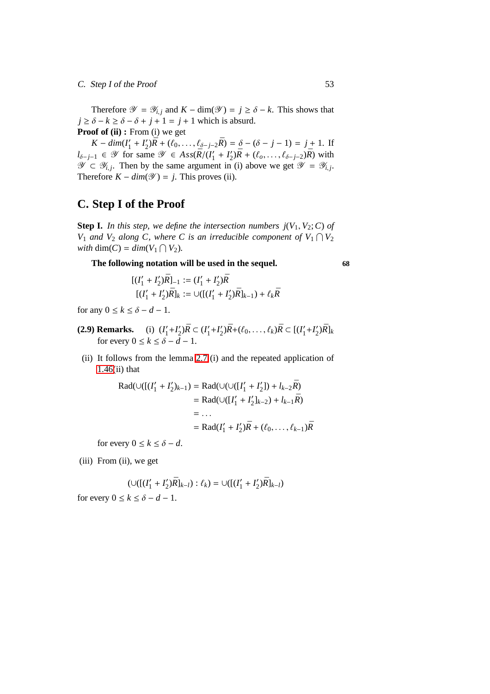# C. Step I of the Proof 53

Therefore  $\mathcal{Y} = \mathcal{Y}_{i,j}$  and  $K - \dim(\mathcal{Y}) = j \ge \delta - k$ . This shows that  $j \ge \delta - k \ge \delta - \delta + j + 1 = j + 1$  which is absurd. **Proof of (ii) :** From (i) we get

 $K - dim(I'_1)$  $I'_1 + I'_2$  $\sum_{j=1}^{j}(\bar{R} + (\ell_0, \ldots, \ell_{\delta-j-2}\bar{R}) = \delta - (\delta - j - 1) = j + 1.$  If  $l_{\delta-j-1}$  ∈  $\mathscr Y$  for same  $\mathscr Y$  ∈  $Ass(\bar R/(\bar I'_1))$  $I'_1 + I'_2$  $2\bar{R} + (\ell_0, \ldots, \ell_{\delta-j-2})\bar{R}$  with  $\mathscr{Y} \subset \mathscr{Y}_{i,j}$ . Then by the same argument in (i) above we get  $\mathscr{Y} = \mathscr{Y}_{i,j}$ . Therefore  $K - dim(\mathcal{Y}) = j$ . This proves (ii).

# **C. Step I of the Proof**

**Step I.** In this step, we define the intersection numbers  $j(V_1, V_2; C)$  of *V*<sub>1</sub> *and V*<sub>2</sub> *along C*, *where C is an irreducible component of V*<sub>1</sub>  $\cap$  *V*<sub>2</sub> *with* dim(*C*) =  $dim(V_1 \cap V_2)$ *.* 

**The following notation will be used in the sequel. 68**

$$
\begin{aligned} \left[ (I'_1 + I'_2) \bar{R} \right]_{-1} &:= (I'_1 + I'_2) \bar{R} \\ \left[ (I'_1 + I'_2) \bar{R} \right]_{k} &:= \cup \left( \left[ (I'_1 + I'_2) \bar{R} \right]_{k-1} \right) + \ell_k \bar{R} \end{aligned}
$$

<span id="page-62-0"></span>for any  $0 \le k \le \delta - d - 1$ .

- **(2.9) Remarks.** (i) (*I* ′  $I'_1 + I'_2$  $\binom{7}{2}$ *R* ⊂ (*I*<sup> $\prime$ </sup><sub>1</sub>  $I_1' + I_2'$  $\bar{R}$ <sup>2</sup>) $\bar{R}$  + ( $\ell_0$ , . . . ,  $\ell_k$ ) $\bar{R}$  ⊂ [( $I'_1$  $I_1' + I_2'$  $_{2}^{\prime})\bar{R}]_{k}$ for every  $0 \le k \le \delta - d - 1$ .
- (ii) It follows from the lemma [2.7](#page-60-2) (i) and the repeated application of  $1.46(ii)$  $1.46(ii)$  that

Rad(∪([(
$$
I'_1 + I'_2
$$
)<sub>k-1</sub>) = Rad(∪(∪([ $I'_1 + I'_2$ ]) +  $l_{k-2}\bar{R}$ )  
\n= Rad(∪([ $I'_1 + I'_2$ ]<sub>k-2</sub>) +  $l_{k-1}\bar{R}$ )  
\n= ...  
\n= Rad( $I'_1 + I'_2$ ) $\bar{R}$  + ( $\ell_0$ , ...,  $\ell_{k-1}$ ) $\bar{R}$ 

for every  $0 \le k \le \delta - d$ .

(iii) From (ii), we get

$$
(\cup([((I'_1 + I'_2)\bar{R}]_{k-l}) : \ell_k) = \cup([(I'_1 + I'_2)\bar{R}]_{k-l})
$$
 for every  $0 \le k \le \delta - d - 1$ .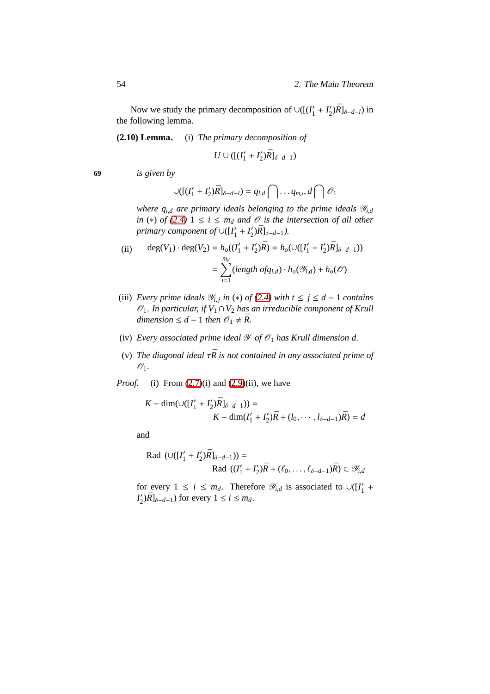<span id="page-63-0"></span>Now we study the primary decomposition of  $\cup ([ (I'_1 + I'_2)R]_{\delta-d-l} )$  in the following lemma.

**(2.10) Lemma.** (i) *The primary decomposition of*

$$
U\cup ([(I_1'+I_2')\bar{R}]_{\delta-d-1})
$$

**69** *is given by*

$$
\cup ([ (I'_1+I'_2) \bar{R}]_{\delta-d-l}) = q_{l,d} \bigcap \ldots q_{m_d}, d \bigcap \mathcal{O}_1
$$

*where*  $q_{i,d}$  *are primary ideals belonging to the prime ideals*  $\mathcal{Y}_{i,d}$ *in* (\*) *of* [\(2.4\)](#page-59-0)  $1 \le i \le m_d$  *and*  $\mathcal{O}$  *is the intersection of all other primary component of* ∪([*I* ′  $I'_1 + I'_2$  $_{2}^{\prime})\bar{R}$ ]<sub>δ−d−1</sub>).

(ii) 
$$
\deg(V_1) \cdot \deg(V_2) = h_o((I'_1 + I'_2)\overline{R}) = h_o(\cup([I'_1 + I'_2)\overline{R}]_{\delta - d - 1}))
$$

$$
= \sum_{i=1}^{m_d} (length \ of_{i,d}) \cdot h_o(\mathscr{Y}_{i,d}) + h_o(\mathscr{O})
$$

- (iii) *Every prime ideals*  $\mathcal{Y}_{i,j}$  *in* (\*) *of* [\(2.4\)](#page-59-0) *with*  $t \leq j \leq d 1$  *contains*  $\mathscr{O}_1$ *. In particular, if*  $V_1 \cap V_2$  *has an irreducible component of Krull dimension* ≤ *d* − 1 *then*  $\mathcal{O}_1$  ≠  $\bar{R}$ .
- (iv) *Every associated prime ideal*  $\mathcal Y$  *of*  $\mathcal O_1$  *has Krull dimension d.*
- (v) *The diagonal ideal*  $\tau \bar{R}$  *is not contained in any associated prime of*  $\mathscr{O}_1$ .
- *Proof.* (i) From  $(2.7)(i)$  and  $(2.9)(ii)$ , we have

$$
K - \dim(\cup([I'_1 + I'_2)\bar{R}]_{\delta - d - 1})) =
$$
  

$$
K - \dim(I'_1 + I'_2)\bar{R} + (l_0, \cdots, l_{\delta - d - 1})\bar{R}) = d
$$

and

Rad 
$$
(\cup ([I'_1 + I'_2)\bar{R}]_{\delta-d-1})) =
$$
  
Rad  $((I'_1 + I'_2)\bar{R} + (\ell_0, ..., \ell_{\delta-d-1})\bar{R}) \subset \mathcal{Y}_{i,d}$ 

for every  $1 \le i \le m_d$ . Therefore  $\mathcal{Y}_{i,d}$  is associated to  $\cup ([I'_1])$  $\frac{7}{1}$  + *I* ′  $\sum_{i=1}^{j}$   $|\bar{R}|_{\delta-d-1}$ ) for every  $1 \leq i \leq m_d$ .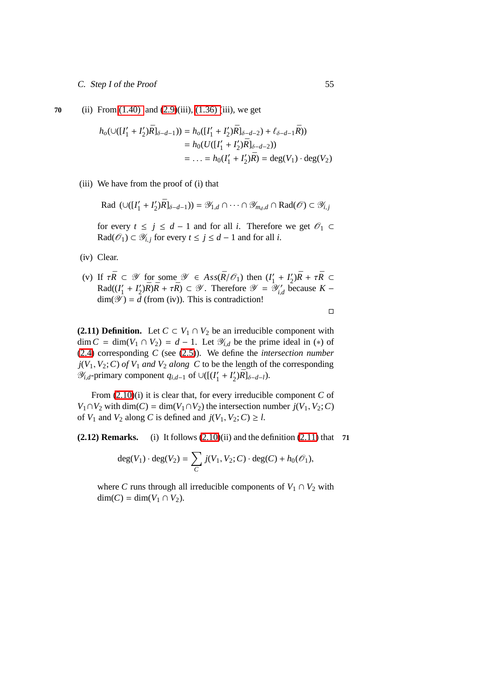**70** (ii) From [\(1.40\)](#page-46-1) and [\(2.9\)](#page-62-0)(iii), [\(1.36\) \(](#page-44-0)iii), we get

$$
h_o(\cup([I'_1 + I'_2)\bar{R}]_{\delta-d-1})) = h_o([I'_1 + I'_2)\bar{R}]_{\delta-d-2}) + \ell_{\delta-d-1}\bar{R})
$$
  
=  $h_0(U([I'_1 + I'_2)\bar{R}]_{\delta-d-2}))$   
= ... =  $h_0(I'_1 + I'_2)\bar{R}) = \deg(V_1) \cdot \deg(V_2)$ 

(iii) We have from the proof of (i) that

Rad 
$$
(\cup([I'_1 + I'_2)\overline{R}]_{\delta-d-1})) = \mathscr{Y}_{1,d} \cap \cdots \cap \mathscr{Y}_{m_d,d} \cap \text{Rad}(\mathscr{O}) \subset \mathscr{Y}_{i,j}
$$

for every  $t \le j \le d - 1$  and for all *i*. Therefore we get  $\mathcal{O}_1$  ⊂ Rad( $\mathcal{O}_1$ ) ⊂  $\mathcal{Y}_{i,j}$  for every  $t \le j \le d - 1$  and for all *i*.

- (iv) Clear.
- (v) If  $\tau \bar{R} \subset \mathscr{Y}$  for some  $\mathscr{Y} \in Ass(\bar{R}/\mathscr{O}_1)$  then  $(I'_1)$  $I'_1 + I'_2$  $\frac{1}{2}$ ) $\bar{R}$  +  $\tau \bar{R}$  ⊂  $Rad(I'_1)$  $I'_1 + I'_2$  $\mathcal{L}'_2$ ) $\bar{R}$ ) $\bar{R}$  +  $\tau \bar{R}$ )  $\subset \mathscr{Y}$ . Therefore  $\mathscr{Y} = \mathscr{Y}'_{i,c}$ *i*,*d* because *K* −  $\dim(\mathscr{Y}) = d$  (from (iv)). This is contradiction!

 $\Box$ 

<span id="page-64-0"></span>**(2.11) Definition.** Let  $C \subset V_1 \cap V_2$  be an irreducible component with dim *C* = dim(*V*<sub>1</sub> ∩ *V*<sub>2</sub>) = *d* − 1. Let  $\mathcal{Y}_{i,d}$  be the prime ideal in (\*) of [\(2.4\)](#page-59-0) corresponding *C* (see [\(2.5\)](#page-60-0)). We define the *intersection number*  $j(V_1, V_2; C)$  *of*  $V_1$  *and*  $V_2$  *along*  $C$  to be the length of the corresponding  $\mathcal{Y}_{i,d}$ -primary component  $q_{i,d-1}$  of ∪([ $(I'_1)$  $I'_1 + I'_2$  $_{2}^{\prime})\bar{R}$ ]<sub>δ−*d*−*l*</sub>).

From [\(2.10\)](#page-63-0)(i) it is clear that, for every irreducible component *C* of *V*<sub>1</sub>∩*V*<sub>2</sub> with dim(*C*) = dim(*V*<sub>1</sub>∩*V*<sub>2</sub>) the intersection number *j*(*V*<sub>1</sub>, *V*<sub>2</sub>; *C*) of  $V_1$  and  $V_2$  along C is defined and  $j(V_1, V_2; C) \ge l$ .

<span id="page-64-1"></span>**(2.12) Remarks.** (i) It follows [\(2.10\)](#page-63-0)(ii) and the definition [\(2.11\)](#page-64-0) that **71**

$$
deg(V_1) \cdot deg(V_2) = \sum_C j(V_1, V_2; C) \cdot deg(C) + h_0(\mathcal{O}_1),
$$

where *C* runs through all irreducible components of  $V_1 \cap V_2$  with  $dim(C) = dim(V_1 ∩ V_2).$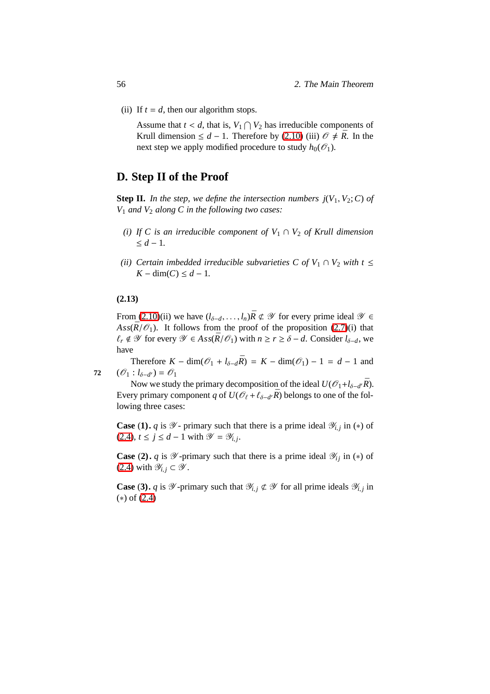(ii) If  $t = d$ , then our algorithm stops.

Assume that  $t < d$ , that is,  $V_1 \cap V_2$  has irreducible components of Krull dimension ≤  $d - 1$ . Therefore by [\(2.10\)](#page-63-0) (iii)  $\mathcal{O} \neq \overline{R}$ . In the next step we apply modified procedure to study  $h_0(\mathcal{O}_1)$ .

# <span id="page-65-2"></span>**D. Step II of the Proof**

**Step II.** In the step, we define the intersection numbers  $j(V_1, V_2; C)$  of *V*<sup>1</sup> *and V*<sup>2</sup> *along C in the following two cases:*

- *(i) If C is an irreducible component of*  $V_1 \cap V_2$  *of Krull dimension* ≤ *d* − 1*.*
- *(ii)* Certain imbedded irreducible subvarieties C of  $V_1 \cap V_2$  with  $t \leq$ *K* − dim(*C*) ≤  $d$  − 1.

### <span id="page-65-1"></span>**(2.13)**

From [\(2.10\)](#page-63-0)(ii) we have  $(l_{\delta-d}, \ldots, l_n) \bar{R} \not\subset \mathcal{Y}$  for every prime ideal  $\mathcal{Y} \in$ Ass $(\bar{R}/\mathcal{O}_1)$ . It follows from the proof of the proposition [\(2.7\)](#page-60-2)(i) that  $ℓ_r$   $\notin$  *Y* for every  $\mathscr{Y}$  ∈ *Ass*( $\bar{R}/\mathscr{O}_1$ ) with  $n \ge r \ge \delta - d$ . Consider  $l_{\delta-d}$ , we have

Therefore  $K - \dim(\mathcal{O}_1 + l_{\delta - d}\bar{R}) = K - \dim(\mathcal{O}_1) - 1 = d - 1$  and 72  $(\mathscr{O}_1 : l_{\delta-d'}) = \mathscr{O}_1$ 

Now we study the primary decomposition of the ideal  $U(\mathcal{O}_1 + l_{\delta-d'}\overline{R})$ . Every primary component *q* of  $U(\mathcal{O}_\ell + \ell_{\delta - d'}\bar{R})$  belongs to one of the following three cases:

**Case** (1). *q* is  $\mathcal{Y}$ - primary such that there is a prime ideal  $\mathcal{Y}_{i,j}$  in (\*) of  $(2.4)$ ,  $t \le j \le d - 1$  with  $\mathscr{Y} = \mathscr{Y}_{i,j}$ .

**Case** (2). *q* is  $\mathcal Y$ -primary such that there is a prime ideal  $\mathcal Y_{ij}$  in (\*) of  $(2.4)$  with  $\mathscr{Y}_{i,j} \subset \mathscr{Y}$ .

<span id="page-65-0"></span>**Case** (3). *q* is  $\mathcal{Y}$ -primary such that  $\mathcal{Y}_{i,j} \not\subset \mathcal{Y}$  for all prime ideals  $\mathcal{Y}_{i,j}$  in (∗) of [\(2.4\)](#page-59-0)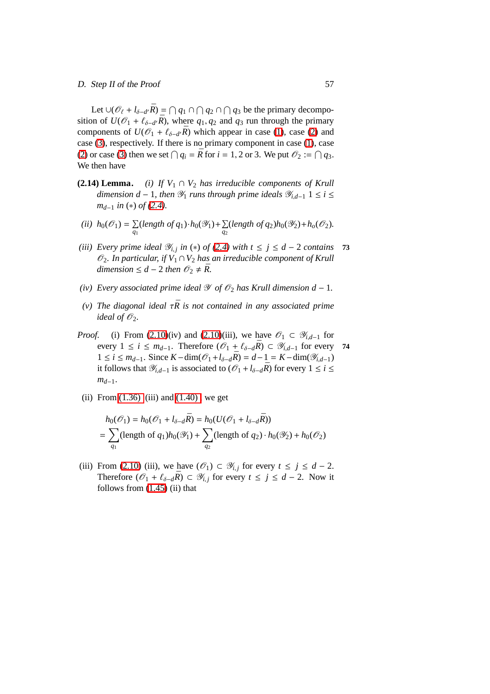Let  $\bigcup (\mathcal{O}_\ell + l_{\delta-d'}\bar{R}) = \bigcap q_1 \cap \bigcap q_2 \cap \bigcap q_3$  be the primary decomposition of  $U(\mathcal{O}_1 + \ell_{\delta - d'}\bar{R})$ , where  $q_1, q_2$  and  $q_3$  run through the primary components of  $U(\mathcal{O}_1 + \ell_{\delta-d} \bar{R})$  which appear in case [\(1\)](#page-72-0), case [\(2\)](#page-72-1) and case [\(3\)](#page-65-0), respectively. If there is no primary component in case [\(1\)](#page-72-0), case [\(2\)](#page-72-1) or case [\(3\)](#page-65-0) then we set  $\bigcap q_i = \overline{R}$  for  $i = 1, 2$  or 3. We put  $\mathcal{O}_2 := \bigcap q_3$ . We then have

- <span id="page-66-0"></span>**(2.14) Lemma.** *(i) If*  $V_1 \cap V_2$  *has irreducible components of Krull dimension d* − 1*, then*  $\mathcal{Y}_1$  *runs through prime ideals*  $\mathcal{Y}_{i,d-1}$  1 ≤ *i* ≤ *m*<sup> $d-1$ </sub> *in* (\*) *of* [\(2.4\)](#page-59-0)*.*</sup>
- (*ii*)  $h_0(\mathcal{O}_1) = \sum$  $\sum_{q_1}$ (*length of q*<sub>1</sub>)  $\cdot h_0(\mathscr{Y}_1) + \sum_{q_2}$  $\sum_{q_2}$  (*length of q*<sub>2</sub>)*h*<sub>0</sub>( $\mathscr{Y}_2$ )+*h<sub>o</sub>*( $\mathscr{O}_2$ ).
- *(iii) Every prime ideal*  $\mathcal{Y}_{i,j}$  *in* (\*) *of* [\(2.4\)](#page-59-0) *with*  $t \leq j \leq d 2$  *contains* **73** O2*. In particular, if V*<sup>1</sup> ∩*V*<sup>2</sup> *has an irreducible component of Krull dimension*  $\leq d - 2$  *then*  $\mathcal{O}_2 \neq \overline{R}$ *.*
- *(iv)* Every associated prime ideal  $\mathscr Y$  of  $\mathscr O_2$  has Krull dimension d 1.
- *(v)* The diagonal ideal  $τ\bar{R}$  is not contained in any associated prime *ideal of*  $\mathcal{O}_2$ *.*
- *Proof.* (i) From [\(2.10\)](#page-63-0)(iv) and [\(2.10\)](#page-63-0)(iii), we have  $\mathcal{O}_1 \subset \mathcal{Y}_{i,d-1}$  for every  $1 \le i \le m_{d-1}$ . Therefore  $(\mathcal{O}_1 + \ell_{\delta - d}R) \subset \mathcal{Y}_{i,d-1}$  for every 74 1 ≤ *i* ≤ *m*<sub>*d*−1</sub>. Since *K* − dim( $\mathcal{O}_1$  +  $l_{\delta-d}$  $\bar{R}$ ) = *d* − 1 = *K* − dim( $\mathcal{Y}_{i,d-1}$ ) it follows that  $\mathcal{Y}_{i,d-1}$  is associated to  $(\mathcal{O}_1 + l_{\delta-d}R)$  for every 1 ≤ *i* ≤ *md*−1.
	- (ii) From  $(1.36)$  (iii) and  $(1.40)$ , we get

$$
h_0(\mathcal{O}_1) = h_0(\mathcal{O}_1 + l_{\delta - d}\bar{R}) = h_0(U(\mathcal{O}_1 + l_{\delta - d}\bar{R}))
$$
  
= 
$$
\sum_{q_1} (\text{length of } q_1)h_0(\mathcal{Y}_1) + \sum_{q_2} (\text{length of } q_2) \cdot h_0(\mathcal{Y}_2) + h_0(\mathcal{O}_2)
$$

(iii) From [\(2.10\)](#page-63-0) (iii), we have  $(\mathcal{O}_1) \subset \mathcal{Y}_{i,j}$  for every  $t \leq j \leq d - 2$ . Therefore  $(\mathcal{O}_1 + \ell_{\delta - d}\bar{R}) \subset \mathcal{Y}_{i,j}$  for every  $t \leq j \leq d - 2$ . Now it follows from  $(1.45)$  (ii) that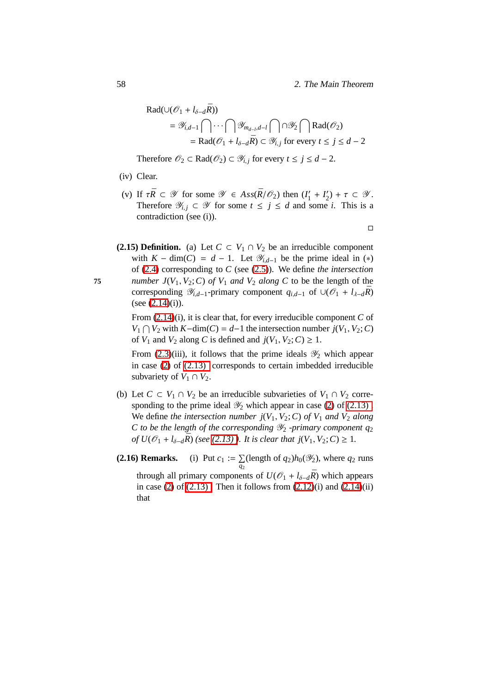$\Box$ 

$$
Rad(\cup (\mathcal{O}_1 + l_{\delta - d}\bar{R}))
$$
  
=  $\mathcal{Y}_{i,d-1} \cap \cdots \cap \mathcal{Y}_{m_{d-i},d-l} \cap \mathcal{Y}_2 \cap Rad(\mathcal{O}_2)$   
= Rad( $\mathcal{O}_1 + l_{\delta - d}\bar{R}$ )  $\subset \mathcal{Y}_{i,j}$  for every  $t \le j \le d-2$ 

Therefore  $\mathcal{O}_2 \subset \text{Rad}(\mathcal{O}_2) \subset \mathcal{Y}_{i,j}$  for every  $t \leq j \leq d-2$ .

- (iv) Clear.
- (v) If  $\tau \bar{R} \subset \mathscr{Y}$  for some  $\mathscr{Y} \in Ass(\bar{R}/\mathscr{O}_2)$  then  $(I'_1)$  $I'_1 + I'_2$  $y_2'$ ) +  $\tau \subset \mathscr{Y}$ . Therefore  $\mathcal{Y}_{i,j} \subset \mathcal{Y}$  for some  $t \leq j \leq d$  and some *i*. This is a contradiction (see (i)).
- **(2.15) Definition.** (a) Let  $C \subset V_1 \cap V_2$  be an irreducible component with  $K - \dim(C) = d - 1$ . Let  $\mathscr{Y}_{i,d-1}$  be the prime ideal in (\*) of [\(2.4\)](#page-59-0) corresponding to *C* (see [\(2.5\)](#page-60-0)). We define *the intersection* **75** *number*  $J(V_1, V_2; C)$  *of*  $V_1$  *and*  $V_2$  *along*  $C$  to be the length of the corresponding  $\mathcal{Y}_{i,d-1}$ -primary component  $q_{i,d-1}$  of ∪( $\mathcal{O}_1 + l_{\lambda-d}R$ ) (see  $(2.14)(i)$  $(2.14)(i)$ ).

From [\(2.14\)](#page-66-0)(i), it is clear that, for every irreducible component *C* of *V*<sub>1</sub>  $\bigcap$  *V*<sub>2</sub> with *K*−dim(*C*) = *d*−1 the intersection number *j*(*V*<sub>1</sub>, *V*<sub>2</sub>; *C*) of  $V_1$  and  $V_2$  along  $C$  is defined and  $j(V_1, V_2; C) \geq 1$ .

From  $(2.3)(iii)$ , it follows that the prime ideals  $\mathcal{Y}_2$  which appear in case [\(2\)](#page-72-1) of [\(2.13\)](#page-65-1) corresponds to certain imbedded irreducible subvariety of  $V_1 \cap V_2$ .

- (b) Let  $C \subset V_1 \cap V_2$  be an irreducible subvarieties of  $V_1 \cap V_2$  corresponding to the prime ideal  $\mathcal{Y}_2$  which appear in case [\(2\)](#page-72-1) of (2.13). We define *the intersection number*  $j(V_1, V_2; C)$  *of*  $V_1$  *and*  $V_2$  *along C* to be the length of the corresponding  $\mathcal{Y}_2$  -primary component  $q_2$ *of*  $U$ ( $\mathcal{O}_1$  +  $l_{\delta-d}$  $\bar{R}$ ) (see (2.13)). It is clear that  $j(V_1, V_2; C) ≥ 1$ .
- <span id="page-67-0"></span>**(2.16) Remarks.**  $\sum$  $\sum_{q_2}$ (length of  $q_2$ )*h*<sub>0</sub>( $\mathscr{Y}_2$ ), where  $q_2$  runs through all primary components of  $U(\mathcal{O}_1 + l_{\delta-d}R)$  which appears in case [\(2\)](#page-72-1) of  $(2.13)$ . Then it follows from  $(2.12)(i)$  and  $(2.14)(ii)$ that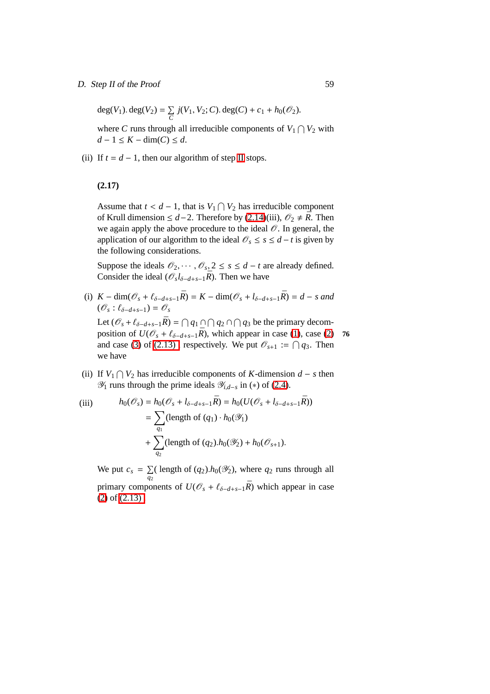### D. Step II of the Proof 59

 $deg(V_1)$ .  $deg(V_2) = \sum$  $\sum_{C}$  *j*(*V*<sub>1</sub>, *V*<sub>2</sub>; *C*). deg(*C*) + *c*<sub>1</sub> + *h*<sub>0</sub>( $\mathcal{O}_2$ ).

where *C* runs through all irreducible components of  $V_1 \cap V_2$  with *d* − 1 ≤ *K* − dim(*C*) ≤ *d*.

<span id="page-68-0"></span>(ii) If  $t = d - 1$ , then our algorithm of step [II](#page-65-2) stops.

# **(2.17)**

Assume that  $t < d - 1$ , that is  $V_1 \cap V_2$  has irreducible component of Krull dimension ≤  $d-2$ . Therefore by [\(2.14\)](#page-66-0)(iii),  $\mathcal{O}_2 \neq \overline{R}$ . Then we again apply the above procedure to the ideal  $\mathcal{O}$ . In general, the application of our algorithm to the ideal  $\mathcal{O}_s \leq s \leq d - t$  is given by the following considerations.

Suppose the ideals  $\mathcal{O}_2, \cdots, \mathcal{O}_s, 2 \leq s \leq d - t$  are already defined. Consider the ideal ( $\mathcal{O}_s l_{\delta-d+s-1} \bar{R}$ ). Then we have

(i)  $K - \dim(\mathcal{O}_s + \ell_{\delta - d + s - 1}\bar{R}) = K - \dim(\mathcal{O}_s + \ell_{\delta - d + s - 1}\bar{R}) = d - s$  and  $(\mathscr{O}_s : \ell_{\delta-d+s-1}) = \mathscr{O}_s$ 

Let  $(\mathscr{O}_s + \ell_{\delta-d+s-1}\bar{R}) = \bigcap q_1 \cap \bigcap q_2 \cap \bigcap q_3$  be the primary decomposition of  $U(\mathcal{O}_s + \ell_{\delta-d+s-1}\bar{R})$ , which appear in case [\(1\)](#page-72-0), case [\(2\)](#page-72-1) **76** and case [\(3\)](#page-65-0) of (2.13), respectively. We put  $\mathcal{O}_{s+1} := \bigcap q_3$ . Then we have

(ii) If  $V_1 ∩ V_2$  has irreducible components of *K*-dimension *d* − *s* then  $\mathcal{Y}_1$  runs through the prime ideals  $\mathcal{Y}_{i,d-s}$  in (\*) of [\(2.4\)](#page-59-0).

(iii) 
$$
h_0(\mathcal{O}_s) = h_0(\mathcal{O}_s + l_{\delta - d + s - 1}\bar{R}) = h_0(U(\mathcal{O}_s + l_{\delta - d + s - 1}\bar{R}))
$$

$$
= \sum_{q_1} (\text{length of } (q_1) \cdot h_0(\mathcal{Y}_1)
$$

$$
+ \sum_{q_2} (\text{length of } (q_2).h_0(\mathcal{Y}_2) + h_0(\mathcal{O}_{s+1})).
$$

We put  $c_s = \sum$  $\sum_{q_2}$  (length of  $(q_2)$ .*h*<sub>0</sub>( $\mathcal{Y}_2$ ), where  $q_2$  runs through all primary components of  $U(\mathcal{O}_s + \ell_{\delta-d+s-1}\bar{R})$  which appear in case [\(2\)](#page-72-1) of [\(2.13\) .](#page-65-1)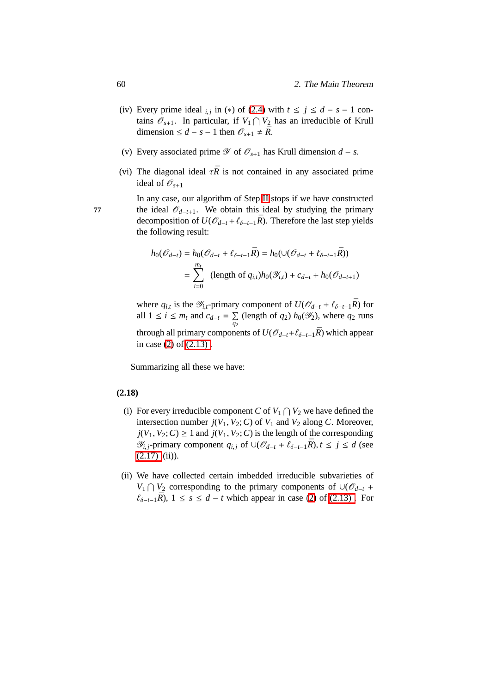- (iv) Every prime ideal  $_{i,j}$  in (\*) of [\(2.4\)](#page-59-0) with  $t \le j \le d s 1$  contains  $\mathscr{O}_{s+1}$ . In particular, if  $V_1 \cap V_2$  has an irreducible of Krull dimension ≤ *d* − *s* − 1 then  $\mathcal{O}_{s+1}$  ≠  $\bar{R}$ .
- (v) Every associated prime  $\mathscr Y$  of  $\mathscr O_{s+1}$  has Krull dimension  $d s$ .
- (vi) The diagonal ideal  $\tau \bar{R}$  is not contained in any associated prime ideal of  $\mathscr{O}_{s+1}$

In any case, our algorithm of Step [II](#page-65-2) stops if we have constructed **77** the ideal  $\mathcal{O}_{d-t+1}$ . We obtain this ideal by studying the primary decomposition of  $U(\mathcal{O}_{d-t} + \ell_{\delta-t-1} \bar{R})$ . Therefore the last step yields the following result:

$$
h_0(\mathcal{O}_{d-t}) = h_0(\mathcal{O}_{d-t} + \ell_{\delta-t-1}\bar{R}) = h_0(\cup(\mathcal{O}_{d-t} + \ell_{\delta-t-1}\bar{R}))
$$
  
= 
$$
\sum_{i=0}^{m_t} (\text{length of } q_{i,t})h_0(\mathcal{Y}_{i,t}) + c_{d-t} + h_0(\mathcal{O}_{d-t+1})
$$

where  $q_{i,t}$  is the  $\mathscr{Y}_{i,t}$ -primary component of  $U(\mathscr{O}_{d-t} + \ell_{\delta-t-1}\bar{R})$  for all  $1 \leq i \leq m_t$  and  $c_{d-t} = \sum$  $\sum_{q_2}$  (length of *q*<sub>2</sub>) *h*<sub>0</sub>( $\mathcal{Y}_2$ ), where *q*<sub>2</sub> runs through all primary components of  $U(\mathcal{O}_{d-t}+\ell_{\delta-t-1}\bar{R})$  which appear in case [\(2\)](#page-72-1) of [\(2.13\) .](#page-65-1)

Summarizing all these we have:

## <span id="page-69-0"></span>**(2.18)**

- (i) For every irreducible component *C* of  $V_1 \cap V_2$  we have defined the intersection number  $j(V_1, V_2; C)$  of  $V_1$  and  $V_2$  along *C*. Moreover,  $j(V_1, V_2; C) \geq 1$  and  $j(V_1, V_2; C)$  is the length of the corresponding  $\mathscr{Y}_{i,j}$ -primary component  $q_{i,j}$  of  $\cup (\mathscr{O}_{d-t} + \ell_{\delta-t-1}R)$ ,  $t \leq j \leq d$  (see  $(2.17)$  (ii)).
- (ii) We have collected certain imbedded irreducible subvarieties of *V*<sub>1</sub> ∩ *V*<sub>2</sub> corresponding to the primary components of ∪( $\mathcal{O}_{d-t}$  +  $\ell_{\delta-t-1}\bar{R}$ , 1 ≤ *s* ≤ *d* − *t* which appear in case [\(2\)](#page-72-1) of (2.13). For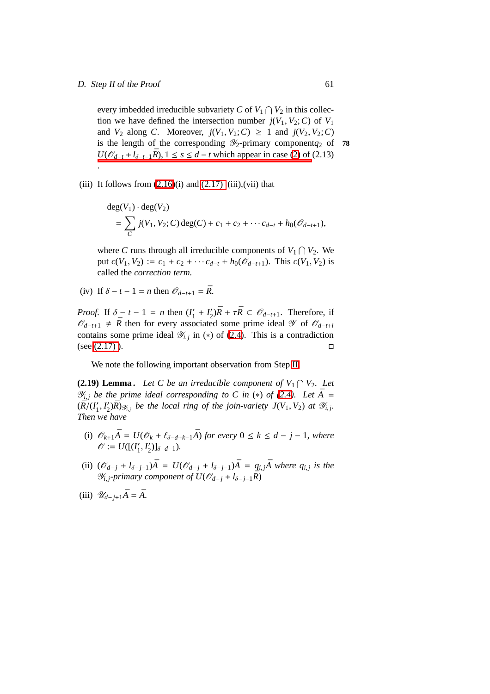### D. Step II of the Proof 61

every imbedded irreducible subvariety *C* of  $V_1 \cap V_2$  in this collection we have defined the intersection number  $j(V_1, V_2; C)$  of  $V_1$ and  $V_2$  along *C*. Moreover,  $j(V_1, V_2; C) \geq 1$  and  $j(V_2, V_2; C)$ is the length of the corresponding  $\mathcal{Y}_2$ -primary component $q_2$  of **78** *U*( $\mathcal{O}_{d-t}$  +  $l_{\delta-t-1}$  $\bar{R}$ ), 1 ≤ *s* ≤ *d* − *t* which appear in case [\(2\)](#page-72-1) of (2.13) .

### (iii) It follows from  $(2.16)(i)$  and  $(2.17)$  (iii),(vii) that

$$
\begin{aligned} \deg(V_1) \cdot \deg(V_2) \\ &= \sum_C j(V_1, V_2; C) \deg(C) + c_1 + c_2 + \cdots + c_{d-t} + h_0(\mathcal{O}_{d-t+1}), \end{aligned}
$$

where *C* runs through all irreducible components of  $V_1 \cap V_2$ . We  $\text{put } c(V_1, V_2) := c_1 + c_2 + \cdots + c_{d-t} + h_0(\mathcal{O}_{d-t+1})$ . This  $c(V_1, V_2)$  is called the *correction term.*

(iv) If  $\delta - t - 1 = n$  then  $\mathcal{O}_{d-t+1} = \overline{R}$ .

*Proof.* If  $\delta - t - 1 = n$  then  $(I_1')$  $I'_1 + I'_2$  $\mathcal{L}_2'$ ) $\bar{R} + \tau \bar{R} \subset \mathcal{O}_{d-t+1}$ . Therefore, if  $\mathcal{O}_{d-t+1}$  ≠  $\bar{R}$  then for every associated some prime ideal  $\mathcal Y$  of  $\mathcal{O}_{d-t+1}$ contains some prime ideal  $\mathcal{Y}_{i,j}$  in (\*) of [\(2.4\)](#page-59-0). This is a contradiction (see  $(2.17)$ ).

We note the following important observation from Step [II.](#page-65-2)

<span id="page-70-0"></span>**(2.19) Lemma.** Let C be an irreducible component of  $V_1 \cap V_2$ . Let  $\mathscr{Y}_{i,i}$  *be the prime ideal corresponding to C in (\*) of [\(2.4\)](#page-59-0). Let*  $\bar{A}$  =  $(\overline{R})^{\circ}(I^{\prime}_{1})$  $'_{1}, I'_{2}$  $Z'_{2}$ ) $\bar{R}$ ) $\mathscr{Y}_{i,j}$  be the local ring of the join-variety  $J(V_1, V_2)$  at  $\mathscr{Y}_{i,j}$ . *Then we have*

- (i)  $\mathcal{O}_{k+1}\overline{A} = U(\mathcal{O}_k + \ell_{\delta-d+k-1}\overline{A})$  *for every*  $0 \le k \le d j 1$ *, where*  $\mathscr{O} := U([I'_1])$  $'_{1}, I'_{2}$  $'_{2})]_{\delta-d-1}$ ).
- (ii)  $(\mathcal{O}_{d-j} + l_{\delta-j-1})\bar{A} = U(\mathcal{O}_{d-j} + l_{\delta-j-1})\bar{A} = q_{i,j}\bar{A}$  where  $q_{i,j}$  is the  $\mathscr{Y}_{i,j}$ -primary component of  $U(\mathscr{O}_{d-j} + l_{\delta-j-1}\bar{R})$
- (iii)  $\mathcal{U}_{d-i+1}\bar{A} = \bar{A}$ .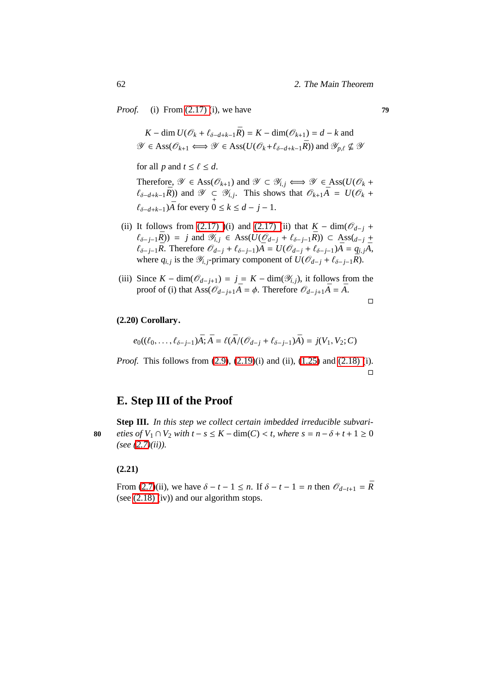*Proof.* (i) From [\(2.17\) \(](#page-68-0)i), we have **79**

*K* − dim  $U(\mathcal{O}_k + \ell_{\delta-d+k-1}\bar{R}) = K - \dim(\mathcal{O}_{k+1}) = d - k$  and  $\mathscr{Y} \in \text{Ass}(\mathscr{O}_{k+1} \Longleftrightarrow \mathscr{Y} \in \text{Ass}(U(\mathscr{O}_k + \ell_{\delta-d+k-1}\bar{R})) \text{ and } \mathscr{Y}_{p,\ell} \nsubseteq \mathscr{Y}$ 

for all *p* and  $t \le \ell \le d$ .

Therefore,  $\mathscr{Y} \in \text{Ass}(\mathscr{O}_{k+1})$  and  $\mathscr{Y} \subset \mathscr{Y}_{i,j} \Longleftrightarrow \mathscr{Y} \in \text{Ass}(U(\mathscr{O}_{k} +$  $(\ell_{\delta-d+k-1}\bar{R})$  and  $\mathscr{Y} \subsetneq \mathscr{Y}_{i,j}$ . This shows that  $\mathscr{O}_{k+1}\bar{A} = U(\mathscr{O}_{k} + \mathscr{S}_{i,j})$  $\ell_{\delta-d+k-1}$ ) $\bar{A}$  for every 0 ≤  $k$  ≤  $d$  −  $j$  − 1.

- (ii) It follows from [\(2.17\) \)](#page-68-0)(i) and [\(2.17\) \(](#page-68-0)ii) that  $K \dim(\mathcal{O}_{d-j} +$  $\ell_{\delta-j-1}$ *R* $)$  = *j* and  $\mathcal{Y}_{i,j}$  ∈ Ass( $U(\mathcal{O}_{d-j} + \ell_{\delta-j-1}R)$ ) ⊂ Ass( $_{d-j}$  +  $\ell_{\delta-j-1}\bar{R}$ . Therefore  $\mathcal{O}_{d-j} + \ell_{\delta-j-1}\bar{A} = U(\mathcal{O}_{d-j} + \ell_{\delta-j-1})\bar{A} = q_{i,j}\bar{A}$ , where  $q_{i,j}$  is the  $\mathscr{Y}_{i,j}$ -primary component of  $U(\mathscr{O}_{d-j} + \ell_{\delta-j-1}R)$ .
- (iii) Since  $K \dim(\mathcal{O}_{d-i+1}) = j = K \dim(\mathcal{Y}_{i,j})$ , it follows from the proof of (i) that Ass( $\mathcal{O}_{d-j+1}\overline{A} = \phi$ . Therefore  $\mathcal{O}_{d-j+1}\overline{A} = \overline{A}$ .

 $\Box$ 

# **(2.20) Corollary.**

 $e_0((\ell_0, \ldots, \ell_{\delta-j-1})\bar{A}; \bar{A} = \ell(\bar{A}/(\mathcal{O}_{d-j} + \ell_{\delta-j-1})\bar{A}) = j(V_1, V_2; C)$ 

*Proof.* This follows from [\(2.9\)](#page-62-0), [\(2.19\)](#page-70-0)(i) and (ii), [\(1.25\)](#page-39-0) and [\(2.18\) \(](#page-69-0)i).  $\Box$ 

# **E. Step III of the Proof**

**Step III.** *In this step we collect certain imbedded irreducible subvari-***80** *eties of*  $V_1 ∩ V_2$  *with*  $t - s \le K - \dim(C) < t$ *, where*  $s = n - \delta + t + 1 \ge 0$ *(see [\(2.7\)](#page-60-2)(ii)).*

### **(2.21)**

From [\(2.7\)](#page-60-2)(ii), we have  $\delta - t - 1 \leq n$ . If  $\delta - t - 1 = n$  then  $\mathcal{O}_{d-t+1} = \overline{R}$ (see [\(2.18\) \(](#page-69-0)iv)) and our algorithm stops.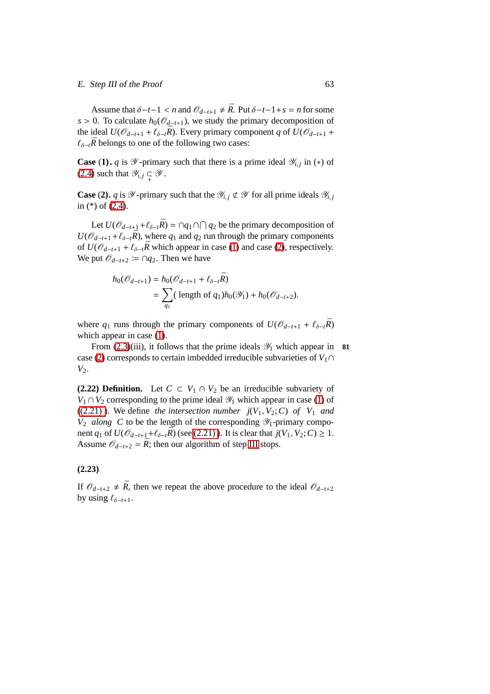#### E. Step III of the Proof 63

Assume that  $\delta$ −*t*−1 < *n* and  $\mathcal{O}_{d-t+1} \neq \overline{R}$ . Put  $\delta$ −*t*−1+*s* = *n* for some *s* > 0. To calculate  $h_0(\mathcal{O}_{d-t+1})$ , we study the primary decomposition of the ideal  $U(\mathcal{O}_{d-t+1} + \ell_{\delta-t} \bar{R})$ . Every primary component *q* of  $U(\mathcal{O}_{d-t+1} +$  $\ell_{\delta-t}$  $\bar{R}$  belongs to one of the following two cases:

<span id="page-72-0"></span>**Case** (1). *q* is  $\mathscr Y$ -primary such that there is a prime ideal  $\mathscr Y_{i,j}$  in (\*) of [\(2.4\)](#page-59-0) such that  $\mathscr{Y}_{i,j} \subsetneq \mathscr{Y}$ .

<span id="page-72-1"></span>**Case** (2). *q* is  $\mathcal{Y}$ -primary such that the  $\mathcal{Y}_{i,j} \not\subset \mathcal{Y}$  for all prime ideals  $\mathcal{Y}_{i,j}$ in (\*) of [\(2.4\)](#page-59-0).

Let  $U(\mathcal{O}_{d-t+1} + \ell_{\delta-t} \bar{R}) = \cap q_1 \cap \bigcap q_2$  be the primary decomposition of  $U(\mathcal{O}_{d-t+1}+\ell_{\delta-t}R)$ , where  $q_1$  and  $q_2$  run through the primary components of  $U(\mathcal{O}_{d-t+1} + \ell_{\delta-t}R$ <sup>*R*</sup> which appear in case [\(1\)](#page-72-0) and case [\(2\)](#page-72-1), respectively. We put  $\mathcal{O}_{d-t+2}$  ≔ ∩ $q_2$ . Then we have

$$
h_0(\mathcal{O}_{d-t+1}) = h_0(\mathcal{O}_{d-t+1} + \ell_{\delta-t} \bar{R})
$$
  
=  $\sum_{q_1} (\text{ length of } q_1) h_0(\mathcal{Y}_1) + h_0(\mathcal{O}_{d-t+2}).$ 

where  $q_1$  runs through the primary components of  $U(\mathcal{O}_{d-t+1} + \ell_{\delta-t}R)$ which appear in case  $(1)$ .

From  $(2.3)(iii)$ , it follows that the prime ideals  $\mathcal{Y}_1$  which appear in **81** case [\(2\)](#page-72-1) corresponds to certain imbedded irreducible subvarieties of  $V_1 \cap$ *V*2.

**(2.22) Definition.** Let  $C \subset V_1 \cap V_2$  be an irreducible subvariety of *V*<sub>1</sub> ∩ *V*<sub>2</sub> corresponding to the prime ideal  $\mathcal{Y}_1$  which appear in case [\(1\)](#page-72-0) of  $((2.21)$ ). We define *the intersection number*  $j(V_1, V_2; C)$  *of*  $V_1$  *and*  $V_2$  *along* C to be the length of the corresponding  $\mathcal{Y}_1$ -primary component *q*<sub>1</sub> of  $U(\mathcal{O}_{d-t+1}+\ell_{\delta-t}\bar{R})$  (see (2.21)). It is clear that  $j(V_1, V_2; C) \geq 1$ . Assume  $\mathcal{O}_{d-t+2} = \bar{R}$ ; then our algorithm of step [III](#page-71-1) stops.

#### <span id="page-72-2"></span>**(2.23)**

If  $\mathcal{O}_{d-t+2}$  ≠  $\bar{R}$ , then we repeat the above procedure to the ideal  $\mathcal{O}_{d-t+2}$ by using  $\ell_{\delta-t+1}$ .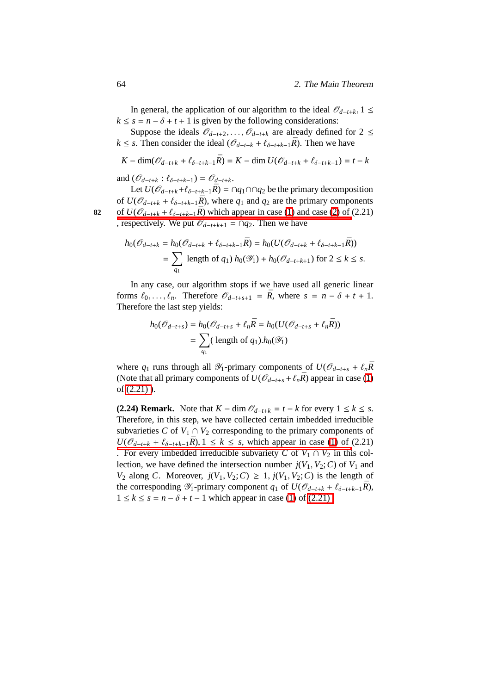In general, the application of our algorithm to the ideal  $\mathcal{O}_{d-t+k}$ , 1 ≤  $k \leq s = n - \delta + t + 1$  is given by the following considerations:

Suppose the ideals  $\mathcal{O}_{d-t+2}, \ldots, \mathcal{O}_{d-t+k}$  are already defined for 2 ≤ *k* ≤ *s*. Then consider the ideal ( $\mathcal{O}_{d-t+k}$  +  $\ell_{\delta-t+k-1}\bar{R}$ ). Then we have

$$
K - \dim(\mathcal{O}_{d-t+k} + \ell_{\delta-t+k-1}\bar{R}) = K - \dim U(\mathcal{O}_{d-t+k} + \ell_{\delta-t+k-1}) = t - k
$$

and  $(\mathcal{O}_{d-t+k} : \ell_{\delta-t+k-1}) = \mathcal{O}_{d-t+k}$ .

Let  $U(\mathcal{O}_{d-t+k} + \ell_{\delta-t+k-1}R) = ∩q_1 ∩q_2$  be the primary decomposition of  $U(\mathcal{O}_{d-t+k} + \ell_{\delta-t+k-1}\bar{R})$ , where  $q_1$  and  $q_2$  are the primary components 82 of *U*( $\mathcal{O}_{d-t+k}$  +  $\ell_{\delta-t+k-1}\bar{R}$ ) which appear in case [\(1\)](#page-72-0) and case [\(2\)](#page-72-1) of (2.21) [, respectively. We put](#page-71-0)  $\mathcal{O}_{d-t+k+1} = \bigcap q_2$ . Then we have

$$
h_0(\mathcal{O}_{d-t+k} = h_0(\mathcal{O}_{d-t+k} + \ell_{\delta-t+k-1}\bar{R}) = h_0(U(\mathcal{O}_{d-t+k} + \ell_{\delta-t+k-1}\bar{R}))
$$
  
= 
$$
\sum_{q_1} \text{ length of } q_1) h_0(\mathcal{Y}_1) + h_0(\mathcal{O}_{d-t+k+1}) \text{ for } 2 \le k \le s.
$$

In any case, our algorithm stops if we have used all generic linear forms  $\ell_0, \ldots, \ell_n$ . Therefore  $\mathcal{O}_{d-t+s+1} = \overline{R}$ , where  $s = n - \delta + t + 1$ . Therefore the last step yields:

$$
h_0(\mathcal{O}_{d-t+s}) = h_0(\mathcal{O}_{d-t+s} + \ell_n \bar{R} = h_0(U(\mathcal{O}_{d-t+s} + \ell_n \bar{R}))
$$
  
= 
$$
\sum_{q_1} (\text{ length of } q_1).h_0(\mathcal{Y}_1)
$$

where  $q_1$  runs through all  $\mathcal{Y}_1$ -primary components of  $U(\mathcal{O}_{d-t+s} + \ell_n \bar{R})$ (Note that all primary components of  $U(\mathcal{O}_{d-t+s} + \ell_n \bar{R})$  appear in case [\(1\)](#page-72-0) of [\(2.21\) \)](#page-71-0).

**(2.24) Remark.** Note that  $K - \dim \mathcal{O}_{d-t+k} = t - k$  for every  $1 \leq k \leq s$ . Therefore, in this step, we have collected certain imbedded irreducible subvarieties *C* of  $V_1 \cap V_2$  corresponding to the primary components of  $U(\mathcal{O}_{d-t+k} + \ell_{\delta-t+k-1}\bar{R})$ , 1 ≤ *k* ≤ *s*, which appear in case [\(1\)](#page-72-0) of (2.21) [. For every imbedded irreducible subvariety](#page-71-0) *C* of  $V_1 \cap V_2$  in this collection, we have defined the intersection number  $j(V_1, V_2; C)$  of  $V_1$  and *V*<sub>2</sub> along *C*. Moreover,  $j(V_1, V_2; C) \ge 1$ ,  $j(V_1, V_2; C)$  is the length of the corresponding  $\mathscr{Y}_1$ -primary component  $q_1$  of  $U(\mathscr{O}_{d-t+k} + \ell_{\delta-t+k-1}\bar{R})$ , 1 ≤  $k$  ≤  $s = n - \delta + t - 1$  which appear in case [\(1\)](#page-72-0) of (2.21).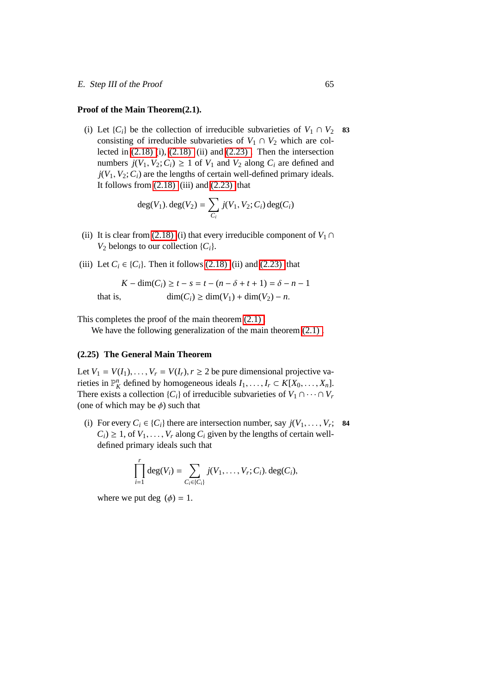#### **Proof of the Main Theorem(2.1).**

(i) Let  $\{C_i\}$  be the collection of irreducible subvarieties of  $V_1 \cap V_2$  83 consisting of irreducible subvarieties of  $V_1 \cap V_2$  which are collected in  $(2.18)$   $(i)$ ,  $(2.18)$   $(ii)$  and  $(2.23)$ . Then the intersection numbers  $j(V_1, V_2; C_i) \geq 1$  of  $V_1$  and  $V_2$  along  $C_i$  are defined and  $j(V_1, V_2; C_i)$  are the lengths of certain well-defined primary ideals. It follows from  $(2.18)$  (iii) and  $(2.23)$  that

$$
deg(V_1). deg(V_2) = \sum_{C_i} j(V_1, V_2; C_i) deg(C_i)
$$

- (ii) It is clear from [\(2.18\)](#page-69-0) (i) that every irreducible component of  $V_1 \cap$  $V_2$  belongs to our collection  $\{C_i\}$ .
- (iii) Let  $C_i \in \{C_i\}$ . Then it follows [\(2.18\)](#page-69-0) (ii) and [\(2.23\)](#page-72-2) that

$$
K - \dim(C_i) \ge t - s = t - (n - \delta + t + 1) = \delta - n - 1
$$
  
that is, 
$$
\dim(C_i) \ge \dim(V_1) + \dim(V_2) - n.
$$

This completes the proof of the main theorem [\(2.1\) .](#page-56-0)

We have the following generalization of the main theorem  $(2.1)$ .

#### <span id="page-74-0"></span>**(2.25) The General Main Theorem**

Let  $V_1 = V(I_1), \ldots, V_r = V(I_r), r \geq 2$  be pure dimensional projective varieties in  $\mathbb{P}_K^n$  defined by homogeneous ideals  $I_1, \ldots, I_r \subset K[X_0, \ldots, X_n]$ . There exists a collection  $\{C_i\}$  of irreducible subvarieties of  $V_1 \cap \cdots \cap V_r$ (one of which may be  $\phi$ ) such that

(i) For every  $C_i \in \{C_i\}$  there are intersection number, say  $j(V_1, \ldots, V_r;$  84  $C_i$ )  $\geq$  1, of  $V_1, \ldots, V_r$  along  $C_i$  given by the lengths of certain welldefined primary ideals such that

$$
\prod_{i=1}^r \deg(V_i) = \sum_{C_i \in \{C_i\}} j(V_1,\ldots,V_r;C_i) \cdot \deg(C_i),
$$

where we put deg  $(\phi) = 1$ .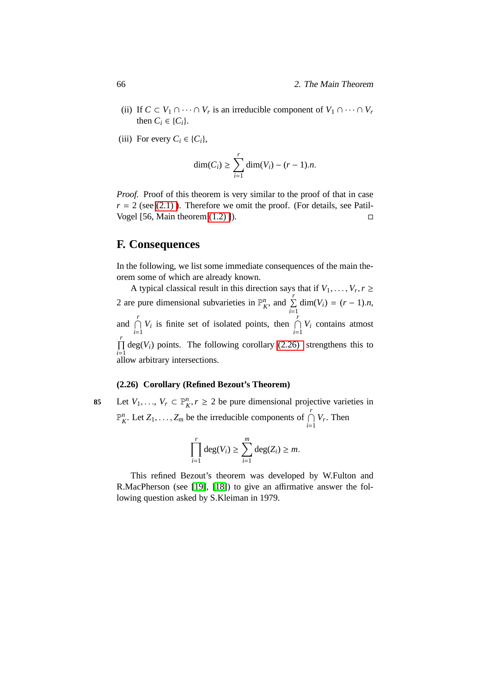- (ii) If  $C \subset V_1 \cap \cdots \cap V_r$  is an irreducible component of  $V_1 \cap \cdots \cap V_r$ then  $C_i \in \{C_i\}$ .
- (iii) For every  $C_i \in \{C_i\}$ ,

$$
\dim(C_i) \ge \sum_{i=1}^r \dim(V_i) - (r-1).n.
$$

*Proof.* Proof of this theorem is very similar to the proof of that in case  $r = 2$  (see (2.1)). Therefore we omit the proof. (For details, see Patil-Vogel [56, Main theorem  $(1.2)$ ]).

## **F. Consequences**

In the following, we list some immediate consequences of the main theorem some of which are already known.

A typical classical result in this direction says that if  $V_1, \ldots, V_r, r \geq 1$ 2 are pure dimensional subvarieties in  $\mathbb{P}_K^n$ , and  $\sum_{n=1}^K$  $\sum_{i=1}$  dim(*V*<sub>*i*</sub>) = (*r* – 1).*n*, and  $\bigcap^{r}$  $\bigcap_{i=1}^r V_i$  is finite set of isolated points, then  $\bigcap_{i=1}^r V_i$  $\bigcap_{i=1}$  *V<sub>i</sub>* contains atmost  $\prod$ <sup>r</sup>  $\prod_{i=1}$  deg(*V<sub>i</sub>*) points. The following corollary [\(2.26\)](#page-75-0) strengthens this to allow arbitrary intersections.

### **(2.26) Corollary (Refined Bezout's Theorem)**

<span id="page-75-0"></span>**85** Let *V*<sub>1</sub>, . . ., *V<sub>r</sub>* ⊂  $\mathbb{P}_K^n$ , *r* ≥ 2 be pure dimensional projective varieties in  $\mathbb{P}_{K}^{n}$ . Let  $Z_1, \ldots, Z_m$  be the irreducible components of  $\bigcap_{i=1}^{r} V_r$ . Then

$$
\prod_{i=1}^r \deg(V_i) \ge \sum_{i=1}^m \deg(Z_i) \ge m.
$$

This refined Bezout's theorem was developed by W.Fulton and R.MacPherson (see [\[19\]](#page-105-0), [\[18\]](#page-105-1)) to give an affirmative answer the following question asked by S.Kleiman in 1979.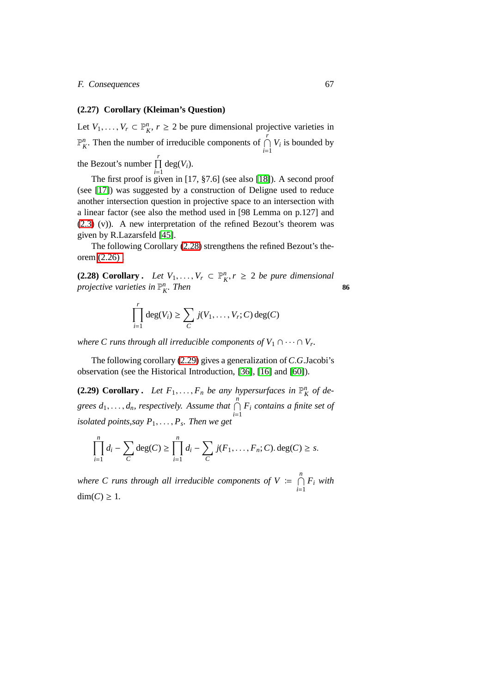#### F. Consequences 67

#### **(2.27) Corollary (Kleiman's Question)**

Let  $V_1, \ldots, V_r \subset \mathbb{P}^n$ ,  $r \geq 2$  be pure dimensional projective varieties in  $\mathbb{P}_{K}^{n}$ . Then the number of irreducible components of  $\bigcap_{k=1}^{r}$  $\bigcap_{i=1}$  *V<sub>i</sub>* is bounded by the Bezout's number  $\prod$ <sup>r</sup>  $\prod_{i=1}$  deg(*V*<sub>*i*</sub>).

The first proof is given in [17, §7.6] (see also [\[18\]](#page-105-1)). A second proof (see [\[17\]](#page-105-2)) was suggested by a construction of Deligne used to reduce another intersection question in projective space to an intersection with a linear factor (see also the method used in [98 Lemma on p.127] and [\(2.3\)](#page-57-0) (v)). A new interpretation of the refined Bezout's theorem was given by R.Lazarsfeld [\[45\]](#page-107-0).

<span id="page-76-0"></span>The following Corollary [\(2.28\)](#page-76-0) strengthens the refined Bezout's theorem [\(2.26\) .](#page-75-0)

**(2.28) Corollary .** *Let*  $V_1, \ldots, V_r \subset \mathbb{P}^n_K$ ,  $r \geq 2$  *be pure dimensional projective varieties in*  $\mathbb{P}_{K}^{n}$ . Then **86** 

$$
\prod_{i=1}^r \deg(V_i) \ge \sum_C j(V_1,\ldots,V_r;C) \deg(C)
$$

*where C runs through all irreducible components of*  $V_1 \cap \cdots \cap V_r$ .

<span id="page-76-1"></span>The following corollary [\(2.29\)](#page-76-1) gives a generalization of *C*.*G*.Jacobi's observation (see the Historical Introduction, [\[36\]](#page-107-1), [\[16\]](#page-105-3) and [\[60\]](#page-108-0)).

**(2.29) Corollary.** Let  $F_1, \ldots, F_n$  be any hypersurfaces in  $\mathbb{P}_K^n$  of de*grees*  $d_1, \ldots, d_n$ , respectively. Assume that  $\bigcap_{i=1}^n F_i$  contains a finite set of *isolated points,say P*1, . . . , *P<sup>s</sup> . Then we get*

$$
\prod_{i=1}^{n} d_i - \sum_{C} deg(C) \ge \prod_{i=1}^{n} d_i - \sum_{C} j(F_1, ..., F_n; C). deg(C) \ge s.
$$

where C runs through all irreducible components of  $V \coloneqq \bigcap^{n}$  $\bigcap_{i=1} F_i$  *with*  $dim(C) \geq 1$ .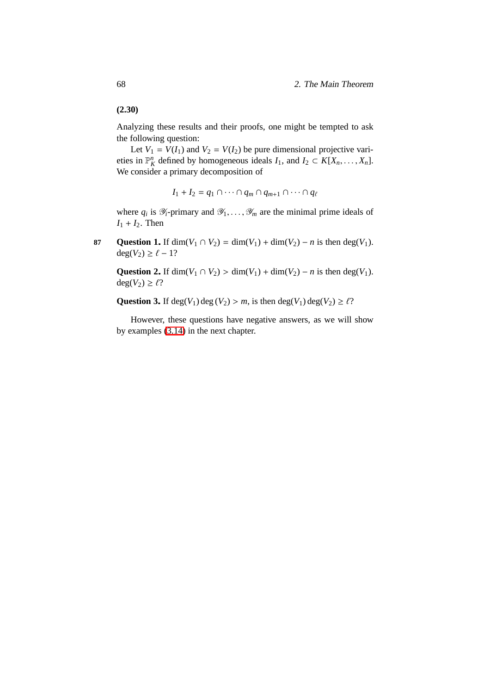### <span id="page-77-0"></span>**(2.30)**

Analyzing these results and their proofs, one might be tempted to ask the following question:

Let  $V_1 = V(I_1)$  and  $V_2 = V(I_2)$  be pure dimensional projective varieties in  $\mathbb{P}_{K}^{n}$  defined by homogeneous ideals  $I_1$ , and  $I_2 \subset K[X_n, \ldots, X_n]$ . We consider a primary decomposition of

$$
I_1 + I_2 = q_1 \cap \cdots \cap q_m \cap q_{m+1} \cap \cdots \cap q_\ell
$$

where  $q_i$  is  $\mathcal{Y}_i$ -primary and  $\mathcal{Y}_1, \ldots, \mathcal{Y}_m$  are the minimal prime ideals of  $I_1 + I_2$ . Then

<span id="page-77-2"></span><span id="page-77-1"></span>**87 Question 1.** If dim( $V_1 \cap V_2$ ) = dim( $V_1$ ) + dim( $V_2$ ) – *n* is then deg( $V_1$ ).  $deg(V_2) \geq \ell - 1?$ 

**Question 2.** If dim( $V_1 \cap V_2$ ) > dim( $V_1$ ) + dim( $V_2$ ) – *n* is then deg( $V_1$ ).  $deg(V_2) \ge \ell$ ?

<span id="page-77-3"></span>**Question 3.** If deg( $V_1$ ) deg( $V_2$ ) > *m*, is then deg( $V_1$ ) deg( $V_2$ )  $\geq \ell$ ?

However, these questions have negative answers, as we will show by examples [\(3.14\)](#page-91-0) in the next chapter.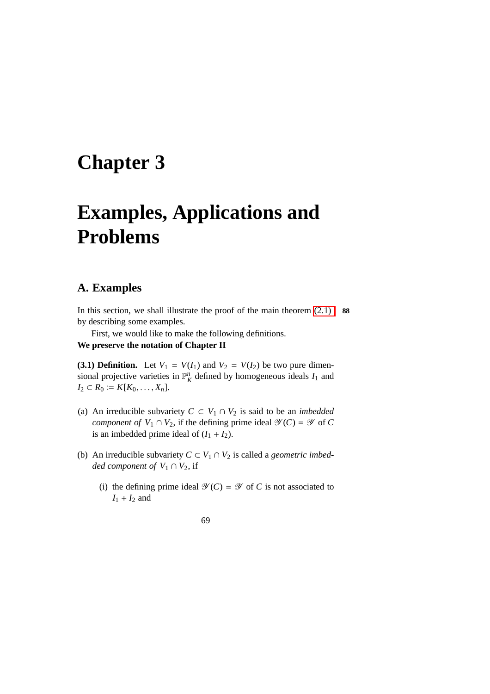## **Chapter 3**

# **Examples, Applications and Problems**

## **A. Examples**

In this section, we shall illustrate the proof of the main theorem [\(2.1\)](#page-56-0) **88** by describing some examples.

First, we would like to make the following definitions.

## **We preserve the notation of Chapter II**

**(3.1) Definition.** Let  $V_1 = V(I_1)$  and  $V_2 = V(I_2)$  be two pure dimensional projective varieties in  $\mathbb{P}_K^n$  defined by homogeneous ideals  $I_1$  and *I*<sub>2</sub> ⊂ *R*<sub>0</sub> := *K*[*K*<sub>0</sub>, . . . , *X<sub>n</sub>*].

- (a) An irreducible subvariety  $C \subset V_1 \cap V_2$  is said to be an *imbedded component of*  $V_1 \cap V_2$ , if the defining prime ideal  $\mathcal{Y}(C) = \mathcal{Y}$  of C is an imbedded prime ideal of  $(I_1 + I_2)$ .
- (b) An irreducible subvariety  $C \subset V_1 \cap V_2$  is called a *geometric imbedded component of*  $V_1 \cap V_2$ , if
	- (i) the defining prime ideal  $\mathcal{Y}(C) = \mathcal{Y}$  of *C* is not associated to  $I_1 + I_2$  and

#### 69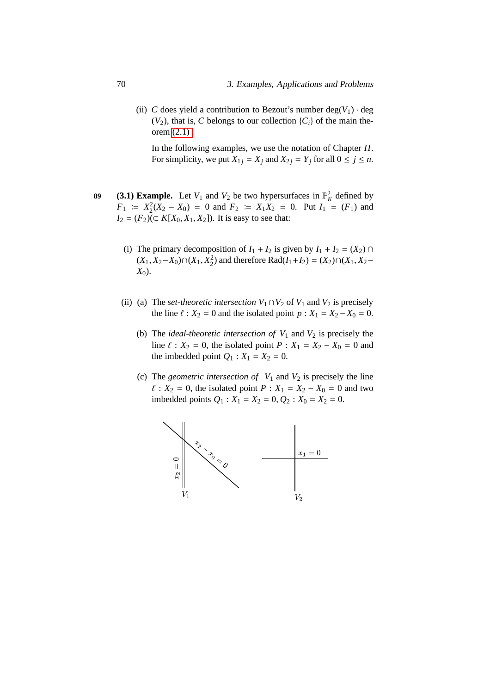(ii) *C* does yield a contribution to Bezout's number deg( $V_1$ ) · deg  $(V_2)$ , that is, *C* belongs to our collection  $\{C_i\}$  of the main theorem [\(2.1\) .](#page-56-0)

In the following examples, we use the notation of Chapter *II*. For simplicity, we put  $X_{1j} = X_j$  and  $X_{2j} = Y_j$  for all  $0 \le j \le n$ .

- **(3.1) Example.** Let  $V_1$  and  $V_2$  be two hypersurfaces in  $\mathbb{P}_K^2$  defined by  $F_1$  =  $X_2^2(X_2 - X_0) = 0$  and  $F_2 = X_1X_2 = 0$ . Put  $I_1 = (F_1)$  and *I*<sub>2</sub> = (*F*<sub>2</sub>)(⊂ *K*[*X*<sub>0</sub>, *X*<sub>1</sub>, *X*<sub>2</sub>]). It is easy to see that:
	- (i) The primary decomposition of  $I_1 + I_2$  is given by  $I_1 + I_2 = (X_2) \cap I_2$  $(X_1, X_2 - X_0) ∩ (X_1, X_2^2)$  and therefore Rad( $I_1 + I_2$ ) = ( $X_2) ∩ (X_1, X_2 - X_1)$ *X*<sub>0</sub>).
	- (ii) (a) The *set-theoretic intersection*  $V_1 \cap V_2$  of  $V_1$  and  $V_2$  is precisely the line  $\ell : X_2 = 0$  and the isolated point  $p : X_1 = X_2 - X_0 = 0$ .
		- (b) The *ideal-theoretic intersection of*  $V_1$  and  $V_2$  is precisely the line  $\ell$  :  $X_2 = 0$ , the isolated point  $P : X_1 = X_2 - X_0 = 0$  and the imbedded point  $Q_1$  :  $X_1 = X_2 = 0$ .
		- (c) The *geometric intersection of*  $V_1$  and  $V_2$  is precisely the line  $\ell$  :  $X_2 = 0$ , the isolated point  $P : X_1 = X_2 - X_0 = 0$  and two imbedded points  $Q_1$  :  $X_1 = X_2 = 0$ ,  $Q_2$  :  $X_0 = X_2 = 0$ .

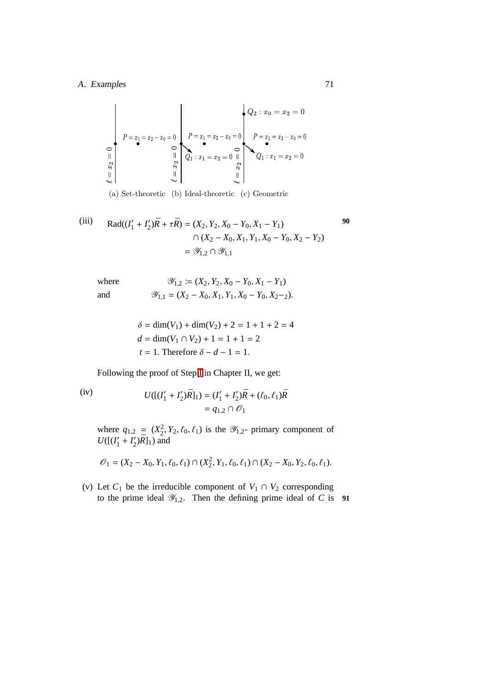### A. Examples 71

$$
P = x_1 = x_2 - x_0 = 0
$$
\n
$$
\begin{bmatrix}\nP = x_1 = x_2 - x_0 = 0 \\
\vdots \\
P = x_1 = x_2 - x_0 = 0\n\end{bmatrix}
$$
\n
$$
\begin{bmatrix}\nP = x_1 = x_2 - x_0 = 0 \\
\vdots \\
Q_1 : x_1 = x_2 = 0\n\end{bmatrix}
$$
\n
$$
\begin{bmatrix}\nP = x_1 = x_2 - x_0 = 0 \\
Q_1 : x_1 = x_2 = 0\n\end{bmatrix}
$$

(a) Set-theoretic (b) Ideal-theoretic (c) Geometric

(iii) Rad(
$$
(I'_1 + I'_2)\overline{R} + \tau \overline{R}
$$
) = ( $X_2, Y_2, X_0 - Y_0, X_1 - Y_1$ )  
\n $\cap (X_2 - X_0, X_1, Y_1, X_0 - Y_0, X_2 - Y_2)$   
\n=  $\mathscr{Y}_{1,2} \cap \mathscr{Y}_{1,1}$ 

where  
\n
$$
\mathcal{Y}_{1,2} := (X_2, Y_2, X_0 - Y_0, X_1 - Y_1)
$$
\nand  
\n
$$
\mathcal{Y}_{1,1} = (X_2 - X_0, X_1, Y_1, X_0 - Y_0, X_2 - 2).
$$

$$
\delta = \dim(V_1) + \dim(V_2) + 2 = 1 + 1 + 2 = 4
$$
  

$$
d = \dim(V_1 \cap V_2) + 1 = 1 + 1 = 2
$$
  

$$
t = 1. \text{ Therefore } \delta - d - 1 = 1.
$$

Following the proof of Step [I](#page-62-0) in Chapter II, we get:

(iv)  
\n
$$
U([(I'_1 + I'_2)\bar{R}]_1) = (I'_1 + I'_2)\bar{R} + (\ell_0, \ell_1)\bar{R}
$$
\n
$$
= q_{1,2} \cap \mathcal{O}_1
$$

where  $q_{1,2} = (X_2^2, Y_2, \ell_0, \ell_1)$  is the  $\mathcal{Y}_{1,2}$ - primary component of  $U([l']$  $I'_1 + I'_2$  $\binom{7}{2}$  $\overline{R}$ ]<sub>1</sub>) and

$$
\mathcal{O}_1 = (X_2 - X_0, Y_1, \ell_0, \ell_1) \cap (X_2^2, Y_1, \ell_0, \ell_1) \cap (X_2 - X_0, Y_2, \ell_0, \ell_1).
$$

(v) Let  $C_1$  be the irreducible component of  $V_1 \cap V_2$  corresponding to the prime ideal  $\mathscr{Y}_{1,2}$ . Then the defining prime ideal of *C* is **91**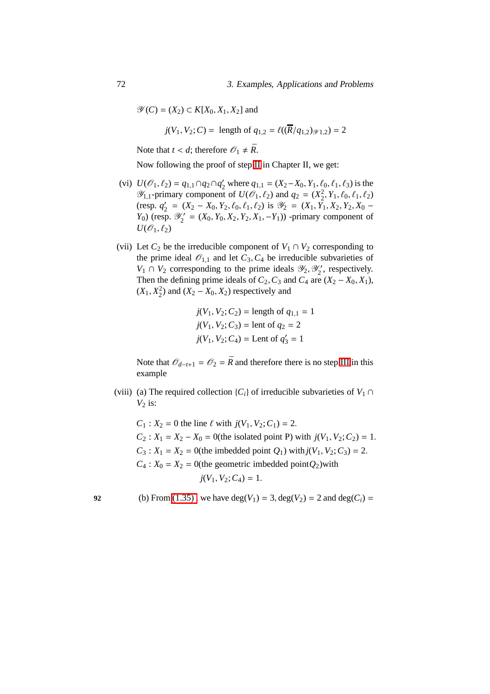$\mathscr{Y}(C) = (X_2) \subset K[X_0, X_1, X_2]$  and

*j*(*V*<sub>1</sub>, *V*<sub>2</sub>; *C*) = length of  $q_{1,2} = \ell((\overline{R}/q_{1,2})_{\mathcal{Y}1,2}) = 2$ 

Note that  $t < d$ ; therefore  $\mathcal{O}_1 \neq \overline{R}$ .

Now following the proof of step [II](#page-65-0) in Chapter II, we get:

- (vi)  $U(\mathcal{O}_1, \ell_2) = q_{1,1} \cap q_2 \cap q'_2$  where  $q_{1,1} = (X_2 X_0, Y_1, \ell_0, \ell_1, \ell_3)$  is the  $\mathcal{Y}_{1,1}$ -primary component of  $U(\mathcal{O}_1, \ell_2)$  and  $q_2 = (X_2^2, Y_1, \ell_0, \ell_1, \ell_2)$ (resp.  $q'_2$ )  $\mathcal{L}_2' = (X_2 - X_0, Y_2, \ell_0, \ell_1, \ell_2)$  is  $\mathcal{Y}_2 = (X_1, Y_1, X_2, Y_2, X_0 - \ell_1)$  $Y_0$ ) (resp.  $\mathscr{Y}'_2$  $Z_2' = (X_0, Y_0, X_2, Y_2, X_1, -Y_1)$  -primary component of  $U(\mathscr{O}_1,\ell_2)$
- (vii) Let  $C_2$  be the irreducible component of  $V_1 \cap V_2$  corresponding to the prime ideal  $\mathcal{O}_{1,1}$  and let  $C_3, C_4$  be irreducible subvarieties of  $V_1 \cap V_2$  corresponding to the prime ideals  $\mathcal{Y}_2, \mathcal{Y}'_2$  $\frac{1}{2}$ , respectively. Then the defining prime ideals of  $C_2$ ,  $C_3$  and  $C_4$  are  $(X_2 - X_0, X_1)$ ,  $(X_1, X_2^2)$  and  $(X_2 - X_0, X_2)$  respectively and

$$
j(V_1, V_2; C_2) = \text{length of } q_{1,1} = 1
$$
  

$$
j(V_1, V_2; C_3) = \text{lent of } q_2 = 2
$$
  

$$
j(V_1, V_2; C_4) = \text{Lent of } q'_3 = 1
$$

Note that  $\mathcal{O}_{d-t+1} = \mathcal{O}_2 = \bar{R}$  and therefore there is no step [III](#page-71-1) in this example

(viii) (a) The required collection  ${C_i}$  of irreducible subvarieties of  $V_1 \cap$  $V_2$  is:

 $C_1$  :  $X_2 = 0$  the line  $\ell$  with  $j(V_1, V_2; C_1) = 2$ .  $C_2$ :  $X_1 = X_2 - X_0 = 0$ (the isolated point P) with  $j(V_1, V_2; C_2) = 1$ .  $C_3$ :  $X_1 = X_2 = 0$ (the imbedded point  $Q_1$ ) with  $j(V_1, V_2; C_3) = 2$ .  $C_4$ :  $X_0 = X_2 = 0$ (the geometric imbedded point $Q_2$ )with  $j(V_1, V_2; C_4) = 1.$ 

**92** (b) From (1.35), we have deg( $V_1$ ) = 3, deg( $V_2$ ) = 2 and deg( $C_i$ ) =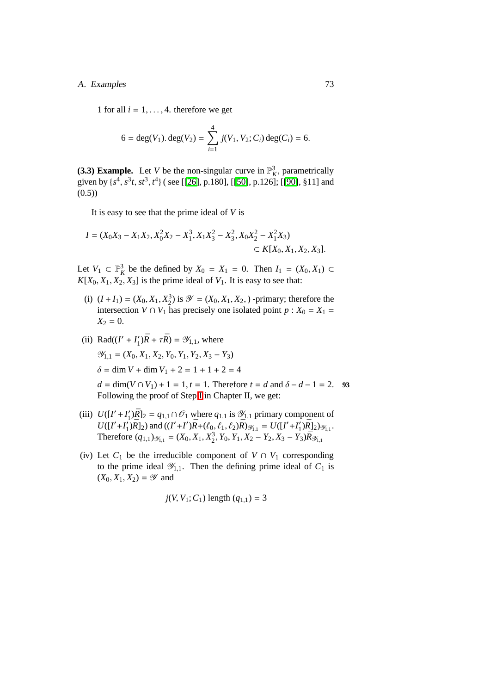#### A. Examples 73

1 for all  $i = 1, \ldots, 4$ . therefore we get

$$
6 = \deg(V_1). \deg(V_2) = \sum_{i=1}^{4} j(V_1, V_2; C_i) \deg(C_i) = 6.
$$

<span id="page-82-0"></span>(3.3) Example. Let *V* be the non-singular curve in  $\mathbb{P}_K^3$ , parametrically given by  $\{s^4, s^3t, st^3, t^4\}$  (see [[\[26\]](#page-106-0), p.180], [[\[50\]](#page-108-1), p.126]; [[\[90\]](#page-111-0), §11] and  $(0.5)$ 

It is easy to see that the prime ideal of *V* is

$$
I = (X_0X_3 - X_1X_2, X_0^2X_2 - X_1^3, X_1X_3^2 - X_3^2, X_0X_2^2 - X_1^2X_3)
$$
  

$$
\subset K[X_0, X_1, X_2, X_3].
$$

Let  $V_1 \subset \mathbb{P}^3$  be the defined by  $X_0 = X_1 = 0$ . Then  $I_1 = (X_0, X_1) \subset$  $K[X_0, X_1, X_2, X_3]$  is the prime ideal of  $V_1$ . It is easy to see that:

- (i)  $(I + I_1) = (X_0, X_1, X_2^3)$  is  $\mathscr{Y} = (X_0, X_1, X_2, )$  -primary; therefore the intersection *V* ∩ *V*<sub>1</sub> has precisely one isolated point *p* :  $X_0 = X_1 =$  $X_2 = 0.$
- (ii) Rad( $(I' + I'_1)\bar{R} + \tau \bar{R}$ ) =  $\mathscr{Y}_{1,1}$ , where  $\mathscr{Y}_{1,1} = (X_0, X_1, X_2, Y_0, Y_1, Y_2, X_3 - Y_3)$  $\delta = \dim V + \dim V_1 + 2 = 1 + 1 + 2 = 4$  $d = \dim(V \cap V_1) + 1 = 1, t = 1$ . Therefore  $t = d$  and  $\delta - d - 1 = 2$ . **93** Following the proof of Step [I](#page-62-0) in Chapter II, we get:
- (iii)  $U([I'+I']')$  $\mathbf{Z}_1'$ ) $\overline{R}$ ]<sub>2</sub> =  $q_{1,1} \cap \mathcal{O}_1$  where  $q_{1,1}$  is  $\mathcal{Y}_{1,1}$  primary component of  $U([I' + I']$  $\int_{1}^{1}$ *j* $\bar{R}$ ]<sub>2</sub>) and ((*I'* + *I'*) $\bar{R}$  + ( $\ell_0$ ,  $\ell_1$ ,  $\ell_2$ ) $\bar{R}$ )<sub> $\mathcal{Y}_{1,1}$ </sub> =  $U([I' + I_1']$  $\frac{1}{2}$ ) $\frac{1}{2}$ ) $\frac{1}{2}$ <sub>1,1</sub>. Therefore  $(q_{1,1})_{\mathscr{Y}_{1,1}} = (X_0, X_1, X_2^3, Y_0, Y_1, X_2 - Y_2, X_3 - Y_3) \bar{R}_{\mathscr{Y}_{1,1}}$
- (iv) Let  $C_1$  be the irreducible component of  $V \cap V_1$  corresponding to the prime ideal  $\mathscr{Y}_{1,1}$ . Then the defining prime ideal of  $C_1$  is  $(X_0, X_1, X_2) = \mathscr{Y}$  and

$$
j(V, V_1; C_1)
$$
 length  $(q_{1,1}) = 3$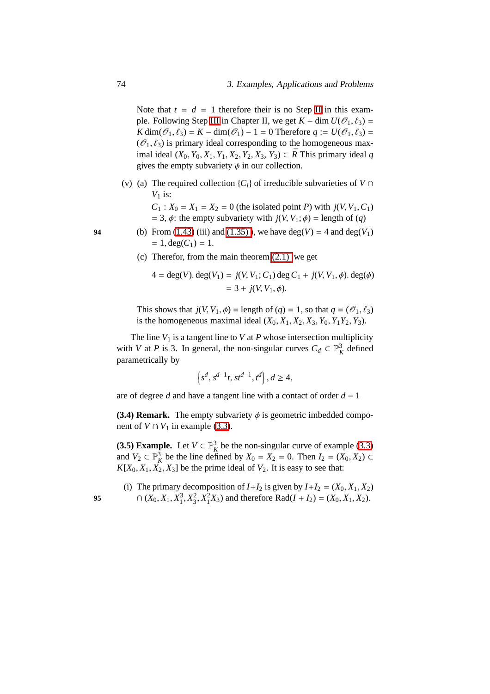Note that  $t = d = 1$  therefore their is no Step [II](#page-65-0) in this exam-ple. Following Step [III](#page-71-1) in Chapter II, we get  $K - \dim U(\mathcal{O}_1, \ell_3) =$ *K* dim( $\mathcal{O}_1$ ,  $\ell_3$ ) = *K* − dim( $\mathcal{O}_1$ ) − 1 = 0 Therefore  $q := U(\mathcal{O}_1, \ell_3)$  =  $(\mathscr{O}_1, \ell_3)$  is primary ideal corresponding to the homogeneous maximal ideal  $(X_0, Y_0, X_1, Y_1, X_2, Y_2, X_3, Y_3)$  ⊂ *R* This primary ideal *q* gives the empty subvariety  $\phi$  in our collection.

(v) (a) The required collection  ${C_i}$  of irreducible subvarieties of  $V \cap$  $V_1$  is:

> $C_1$  :  $X_0 = X_1 = X_2 = 0$  (the isolated point *P*) with  $j(V, V_1, C_1)$ = 3,  $\phi$ : the empty subvariety with  $j(V, V_1; \phi)$  = length of (*q*)

- **94** (b) From [\(1.43\)](#page-48-0) (iii) and (1.35)), we have deg(*V*) = 4 and deg(*V*<sub>1</sub>)  $= 1, \deg(C_1) = 1.$ 
	- (c) Therefor, from the main theorem [\(2.1\)](#page-56-0) we get

$$
4 = \deg(V) \cdot \deg(V_1) = j(V, V_1; C_1) \deg C_1 + j(V, V_1, \phi) \cdot \deg(\phi)
$$
  
= 3 + j(V, V\_1, \phi).

This shows that  $j(V, V_1, \phi) =$  length of  $(q) = 1$ , so that  $q = (\mathcal{O}_1, \ell_3)$ is the homogeneous maximal ideal  $(X_0, X_1, X_2, X_3, Y_0, Y_1Y_2, Y_3)$ .

The line  $V_1$  is a tangent line to  $V$  at  $P$  whose intersection multiplicity with *V* at *P* is 3. In general, the non-singular curves  $C_d \subset \mathbb{P}_K^3$  defined parametrically by

$$
\left\{s^d, s^{d-1}t, st^{d-1}, t^d\right\}, d \ge 4,
$$

are of degree *d* and have a tangent line with a contact of order *d* − 1

**(3.4) Remark.** The empty subvariety  $\phi$  is geometric imbedded component of *V* ∩  $V_1$  in example [\(3.3\)](#page-82-0).

<span id="page-83-0"></span>(3.5) Example. Let  $V \subset \mathbb{P}_{K}^{3}$  be the non-singular curve of example [\(3.3\)](#page-82-0) and  $V_2 \subset \mathbb{P}_K^3$  be the line defined by  $X_0 = X_2 = 0$ . Then  $I_2 = (X_0, X_2) \subset$  $K[X_0, X_1, X_2, X_3]$  be the prime ideal of  $V_2$ . It is easy to see that:

(i) The primary decomposition of  $I+I_2$  is given by  $I+I_2 = (X_0, X_1, X_2)$ 95  $\cap$   $(X_0, X_1, X_1^3, X_3^2, X_1^2X_3)$  and therefore Rad(*I* + *I*<sub>2</sub>) = (*X*<sub>0</sub>, *X*<sub>1</sub>, *X*<sub>2</sub>).

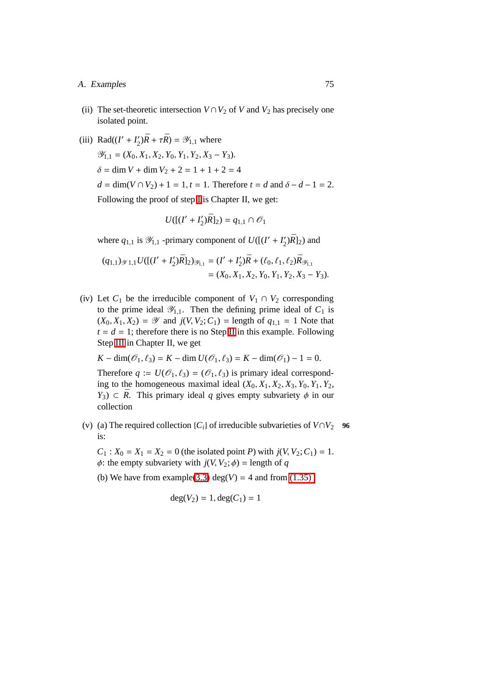#### A. Examples 75

- (ii) The set-theoretic intersection  $V \cap V_2$  of *V* and  $V_2$  has precisely one isolated point.
- (iii) Rad( $(I' + I'_2)$  $\mathcal{L}_2'(\bar{R} + \tau \bar{R}) = \mathcal{Y}_{1,1}$  where  $\mathscr{Y}_{1,1} = (X_0, X_1, X_2, Y_0, Y_1, Y_2, X_3 - Y_3).$  $\delta = \dim V + \dim V_2 + 2 = 1 + 1 + 2 = 4$  $d = \dim(V \cap V_2) + 1 = 1, t = 1$ . Therefore  $t = d$  and  $\delta - d - 1 = 2$ . Following the proof of step [I](#page-62-0) is Chapter II, we get:

$$
U([(I'+I'_2)\bar{R}]_2) = q_{1,1} \cap \mathcal{O}_1
$$

where  $q_{1,1}$  is  $\mathscr{Y}_{1,1}$  -primary component of  $U([I' + I'_2])$  $\binom{7}{2}$  $\overline{R}$ ]<sub>2</sub>) and

$$
(q_{1,1})_{\mathscr{Y}1,1}U([ (I'+I'_2)\bar{R}]_2)_{\mathscr{Y}_{1,1}} = (I'+I'_2)\bar{R} + (\ell_0, \ell_1, \ell_2)\bar{R}_{\mathscr{Y}_{1,1}} = (X_0, X_1, X_2, Y_0, Y_1, Y_2, X_3 - Y_3).
$$

(iv) Let  $C_1$  be the irreducible component of  $V_1 \cap V_2$  corresponding to the prime ideal  $\mathscr{Y}_{1,1}$ . Then the defining prime ideal of  $C_1$  is  $(X_0, X_1, X_2) = \mathcal{Y}$  and  $j(V, V_2; C_1) = \text{length of } q_{1,1} = 1$  Note that  $t = d = 1$ ; therefore there is no Step [II](#page-65-0) in this example. Following Step [III](#page-71-1) in Chapter II, we get

 $K - \dim(\mathcal{O}_1, \ell_3) = K - \dim U(\mathcal{O}_1, \ell_3) = K - \dim(\mathcal{O}_1) - 1 = 0.$ 

Therefore  $q := U(\mathcal{O}_1, \ell_3) = (\mathcal{O}_1, \ell_3)$  is primary ideal corresponding to the homogeneous maximal ideal (*X*0, *X*1, *X*2, *X*3, *Y*0, *Y*1, *Y*2,  $Y_3$ )  $\subset \overline{R}$ . This primary ideal *q* gives empty subvariety  $\phi$  in our collection

(v) (a) The required collection  ${C_i}$  of irreducible subvarieties of  $V \cap V_2$  **96** is:

 $C_1$ :  $X_0 = X_1 = X_2 = 0$  (the isolated point *P*) with  $j(V, V_2; C_1) = 1$ .  $\phi$ : the empty subvariety with  $j(V, V_2; \phi)$  = length of *q* 

(b) We have from example[\(3.3\)](#page-82-0) deg( $V$ ) = 4 and from [\(1.35\)](#page-44-0)

$$
deg(V_2) = 1, deg(C_1) = 1
$$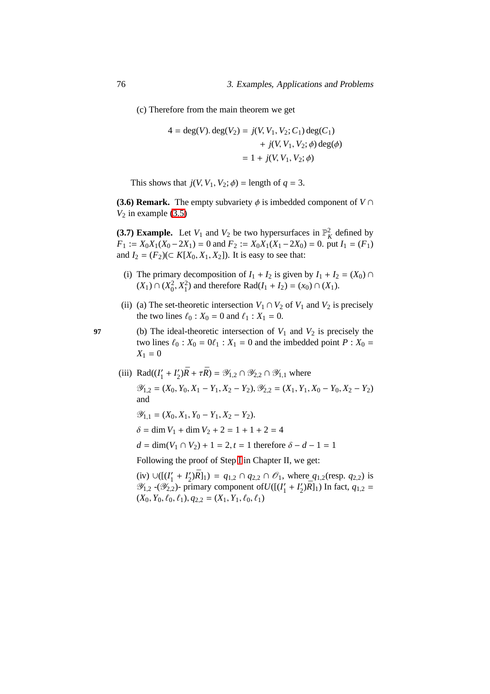(c) Therefore from the main theorem we get

$$
4 = \deg(V) \cdot \deg(V_2) = j(V, V_1, V_2; C_1) \deg(C_1)
$$
  
+  $j(V, V_1, V_2; \phi) \deg(\phi)$   
=  $1 + j(V, V_1, V_2; \phi)$ 

This shows that  $j(V, V_1, V_2; \phi) =$  length of  $q = 3$ .

**(3.6) Remark.** The empty subvariety  $\phi$  is imbedded component of  $V \cap$  $V_2$  in example  $(3.5)$ 

**(3.7) Example.** Let  $V_1$  and  $V_2$  be two hypersurfaces in  $\mathbb{P}_K^2$  defined by *F*<sub>1</sub> :=  $X_0X_1(X_0 - 2X_1) = 0$  and  $F_2 := X_0X_1(X_1 - 2X_0) = 0$ . put  $I_1 = (F_1)$ and *I*<sub>2</sub> =  $(F_2)$ (⊂ *K*[*X*<sub>0</sub>, *X*<sub>1</sub>, *X*<sub>2</sub>]). It is easy to see that:

- (i) The primary decomposition of  $I_1 + I_2$  is given by  $I_1 + I_2 = (X_0) \cap I_1$  $(X_1) \cap (X_0^2, X_1^2)$  and therefore Rad $(I_1 + I_2) = (x_0) \cap (X_1)$ .
- (ii) (a) The set-theoretic intersection  $V_1 \cap V_2$  of  $V_1$  and  $V_2$  is precisely the two lines  $\ell_0$  :  $X_0 = 0$  and  $\ell_1$  :  $X_1 = 0$ .

**97** (b) The ideal-theoretic intersection of  $V_1$  and  $V_2$  is precisely the two lines  $\ell_0$ :  $X_0 = 0\ell_1$ :  $X_1 = 0$  and the imbedded point  $P: X_0 =$  $X_1 = 0$ 

(iii) Rad $(I'_1)$  $I'_1 + I'_2$  $\chi'_{2}$ ) $\bar{R} + \tau \bar{R}$ ) =  $\mathscr{Y}_{1,2} \cap \mathscr{Y}_{2,2} \cap \mathscr{Y}_{1,1}$  where  $\mathcal{Y}_{1,2} = (X_0, Y_0, X_1 - Y_1, X_2 - Y_2), \mathcal{Y}_{2,2} = (X_1, Y_1, X_0 - Y_0, X_2 - Y_2)$ and  $\mathscr{Y}_{1,1} = (X_0, X_1, Y_0 - Y_1, X_2 - Y_2).$ 

 $\delta = \dim V_1 + \dim V_2 + 2 = 1 + 1 + 2 = 4$ 

 $d = \dim(V_1 \cap V_2) + 1 = 2, t = 1$  therefore  $\delta - d - 1 = 1$ 

Following the proof of Step [I](#page-62-0) in Chapter II, we get:

 $(iv) ∪([(*I*'<sub>1</sub>$  $I'_1 + I'_2$  $(2)\bar{R}$ ]<sub>1</sub>) =  $q_{1,2} \cap q_{2,2} \cap \mathcal{O}_1$ , where  $q_{1,2}$ (resp.  $q_{2,2}$ ) is  $\mathscr{Y}_{1,2}$  -( $\mathscr{Y}_{2,2}$ )- primary component of  $U([l']_1)$  $I'_1 + I'_2$  $(2)(\bar{R})_1$ ) In fact,  $q_{1,2}$  =  $(X_0, Y_0, \ell_0, \ell_1), q_{2,2} = (X_1, Y_1, \ell_0, \ell_1)$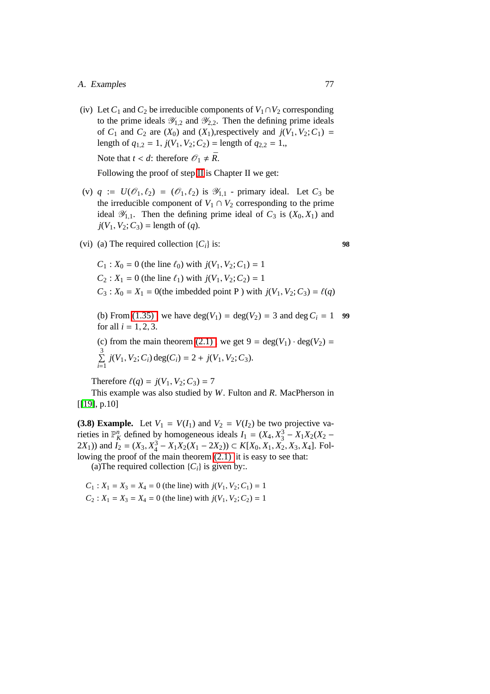#### A. Examples 77

(iv) Let  $C_1$  and  $C_2$  be irreducible components of  $V_1 \cap V_2$  corresponding to the prime ideals  $\mathcal{Y}_{1,2}$  and  $\mathcal{Y}_{2,2}$ . Then the defining prime ideals of  $C_1$  and  $C_2$  are  $(X_0)$  and  $(X_1)$ , respectively and  $j(V_1, V_2; C_1)$  = length of  $q_{1,2} = 1$ ,  $j(V_1, V_2; C_2) =$  length of  $q_{2,2} = 1$ , Note that  $t < d$ : therefore  $\mathcal{O}_1 \neq \overline{R}$ .

Following the proof of step [II](#page-65-0) is Chapter II we get:

- (v)  $q := U(\mathcal{O}_1, \ell_2) = (\mathcal{O}_1, \ell_2)$  is  $\mathcal{Y}_{1,1}$  primary ideal. Let  $C_3$  be the irreducible component of  $V_1 \cap V_2$  corresponding to the prime ideal  $\mathscr{Y}_{1,1}$ . Then the defining prime ideal of  $C_3$  is  $(X_0, X_1)$  and  $j(V_1, V_2; C_3)$  = length of (*q*).
- (vi) (a) The required collection  $\{C_i\}$  is: **98**

$$
C_1: X_0 = 0 \text{ (the line } \ell_0) \text{ with } j(V_1, V_2; C_1) = 1
$$
  
\n
$$
C_2: X_1 = 0 \text{ (the line } \ell_1) \text{ with } j(V_1, V_2; C_2) = 1
$$
  
\n
$$
C_3: X_0 = X_1 = 0 \text{ (the imbedded point P) with } j(V_1, V_2; C_3) = \ell(q)
$$

(b) From (1.35), we have  $deg(V_1) = deg(V_2) = 3$  and  $deg C_i = 1$  99 for all  $i = 1, 2, 3$ .

(c) from the main theorem (2.1), we get 
$$
9 = \deg(V_1) \cdot \deg(V_2) = \sum_{i=1}^{3} j(V_1, V_2; C_i) \deg(C_i) = 2 + j(V_1, V_2; C_3).
$$

Therefore  $\ell(q) = j(V_1, V_2; C_3) = 7$ 

<span id="page-86-0"></span>This example was also studied by *W*. Fulton and *R*. MacPherson in [[\[19\]](#page-105-0), p.10]

**(3.8) Example.** Let  $V_1 = V(I_1)$  and  $V_2 = V(I_2)$  be two projective varieties in  $\mathbb{P}_K^n$  defined by homogeneous ideals  $I_1 = (X_4, X_3^3 - X_1X_2(X_2 -$ 2 $X_1$ )) and  $\overline{I_2}$  = ( $X_3$ ,  $X_4^3 - X_1X_2(X_1 - 2X_2)$ ) ⊂  $K[X_0, X_1, X_2, X_3, X_4]$ . Following the proof of the main theorem [\(2.1\)](#page-56-0) it is easy to see that:

(a) The required collection  $\{C_i\}$  is given by:.

 $C_1$ :  $X_1 = X_3 = X_4 = 0$  (the line) with  $j(V_1, V_2; C_1) = 1$  $C_2$ :  $X_1 = X_3 = X_4 = 0$  (the line) with  $j(V_1, V_2; C_2) = 1$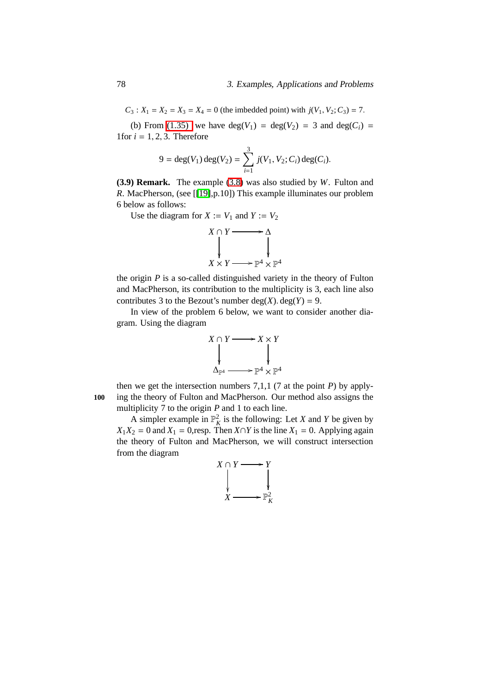$C_3$ :  $X_1 = X_2 = X_3 = X_4 = 0$  (the imbedded point) with  $j(V_1, V_2; C_3) = 7$ .

(b) From [\(1.35\)](#page-44-0) we have  $deg(V_1) = deg(V_2) = 3$  and  $deg(C_i) =$ 1 for  $i = 1, 2, 3$ . Therefore

$$
9 = \deg(V_1) \deg(V_2) = \sum_{i=1}^{3} j(V_1, V_2; C_i) \deg(C_i).
$$

**(3.9) Remark.** The example [\(3.8\)](#page-86-0) was also studied by *W*. Fulton and *R*. MacPherson, (see [[\[19\]](#page-105-0),p.10]) This example illuminates our problem 6 below as follows:

Use the diagram for  $X := V_1$  and  $Y := V_2$ 



the origin *P* is a so-called distinguished variety in the theory of Fulton and MacPherson, its contribution to the multiplicity is 3, each line also contributes 3 to the Bezout's number  $deg(X)$ .  $deg(Y) = 9$ .

In view of the problem 6 below, we want to consider another diagram. Using the diagram



then we get the intersection numbers 7,1,1 (7 at the point  $P$ ) by apply-**100** ing the theory of Fulton and MacPherson. Our method also assigns the multiplicity 7 to the origin *P* and 1 to each line.

A simpler example in  $\mathbb{P}_{K}^{2}$  is the following: Let *X* and *Y* be given by  $X_1X_2 = 0$  and  $X_1 = 0$ , resp. Then  $X \cap Y$  is the line  $X_1 = 0$ . Applying again the theory of Fulton and MacPherson, we will construct intersection from the diagram

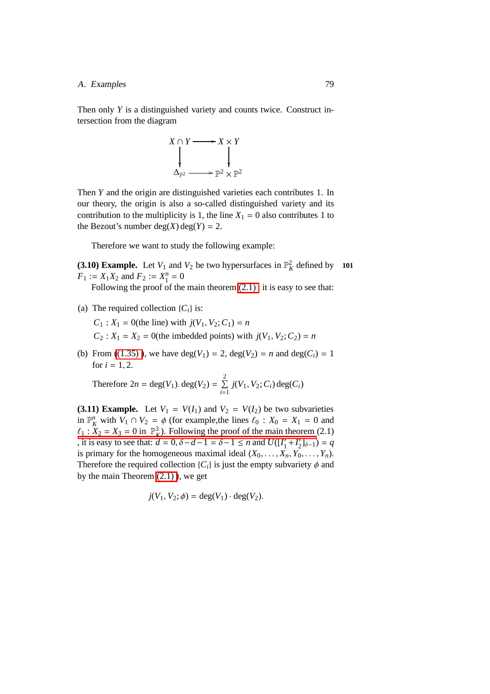#### A. Examples 79

Then only *Y* is a distinguished variety and counts twice. Construct intersection from the diagram



Then *Y* and the origin are distinguished varieties each contributes 1. In our theory, the origin is also a so-called distinguished variety and its contribution to the multiplicity is 1, the line  $X_1 = 0$  also contributes 1 to the Bezout's number  $deg(X)$  deg(*Y*) = 2.

Therefore we want to study the following example:

**(3.10) Example.** Let  $V_1$  and  $V_2$  be two hypersurfaces in  $\mathbb{P}_K^2$  defined by **101**  $F_1 := X_1 X_2$  and  $F_2 := X_1^n = 0$ 

Following the proof of the main theorem [\(2.1\) ,](#page-56-0) it is easy to see that:

(a) The required collection  ${C_i}$  is:

 $C_1$  :  $X_1 = 0$ (the line) with  $j(V_1, V_2; C_1) = n$ 

- $C_2$ :  $X_1 = X_2 = 0$ (the imbedded points) with  $j(V_1, V_2; C_2) = n$
- (b) From ((1.35)), we have deg( $V_1$ ) = 2, deg( $V_2$ ) = *n* and deg( $C_i$ ) = 1 for  $i = 1, 2$ .

Therefore  $2n = \text{deg}(V_1) \cdot \text{deg}(V_2) = \sum_{r=1}^{2}$  $\sum_{i=1}^{n} j(V_1, V_2; C_i) \deg(C_i)$ 

<span id="page-88-0"></span>**(3.11) Example.** Let  $V_1 = V(I_1)$  and  $V_2 = V(I_2)$  be two subvarieties in  $\mathbb{P}_K^n$  with  $V_1 \cap V_2 = \phi$  (for example, the lines  $\ell_0 : X_0 = X_1 = 0$  and  $\ell_1$ :  $\bar{X}_2 = X_3 = 0$  in  $\mathbb{P}_K^3$ . Following the proof of the main theorem (2.1) [, it is easy to see that:](#page-56-0)  $\ddot{d} = 0$ ,  $\delta - d - 1 = \delta - 1 \le n$  and  $U([I_1']$  $I'_1 + I'_2$  $T_2'$ ]<sub> $\delta-1$ </sub> $) = q$ is primary for the homogeneous maximal ideal  $(X_0, \ldots, X_n, Y_0, \ldots, Y_n)$ . Therefore the required collection  ${C_i}$  is just the empty subvariety  $\phi$  and by the main Theorem [\(2.1\) \)](#page-56-0), we get

$$
j(V_1, V_2; \phi) = \deg(V_1) \cdot \deg(V_2).
$$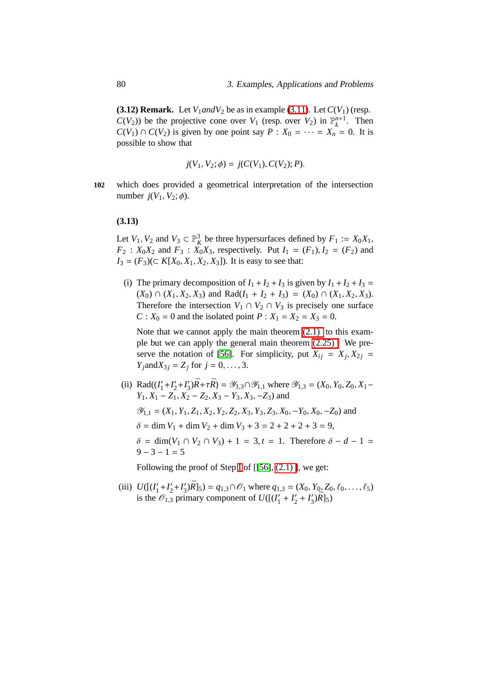**(3.12) Remark.** Let  $V_1$  *and*  $V_2$  be as in example [\(3.11\)](#page-88-0). Let  $C(V_1)$  (resp.  $C(V_2)$ ) be the projective cone over  $V_1$  (resp. over  $V_2$ ) in  $\mathbb{P}_k^{n+1}$ . Then  $C(V_1) \cap C(V_2)$  is given by one point say  $P: X_0 = \cdots = X_n = 0$ . It is possible to show that

$$
j(V_1, V_2; \phi) = j(C(V_1), C(V_2); P).
$$

**102** which does provided a geometrical interpretation of the intersection number  $i(V_1, V_2; \phi)$ .

#### **(3.13)**

Let *V*<sub>1</sub>, *V*<sub>2</sub> and *V*<sub>3</sub>  $\subset \mathbb{P}_{K}^{3}$  be three hypersurfaces defined by *F*<sub>1</sub> := *X*<sub>0</sub>*X*<sub>1</sub>, *F*<sub>2</sub> : *X*<sub>0</sub>*X*<sub>2</sub> and *F*<sub>3</sub> : *X*<sub>0</sub>*X*<sub>3</sub>, respectively. Put *I*<sub>1</sub> = (*F*<sub>1</sub>), *I*<sub>2</sub> = (*F*<sub>2</sub>) and *I*<sub>3</sub> =  $(F_3)$ (⊂ *K*[*X*<sub>0</sub>, *X*<sub>1</sub>, *X*<sub>2</sub>, *X*<sub>3</sub>]). It is easy to see that:

(i) The primary decomposition of  $I_1 + I_2 + I_3$  is given by  $I_1 + I_2 + I_3 =$  $(X_0)$  ∩  $(X_1, X_2, X_3)$  and Rad $(I_1 + I_2 + I_3) = (X_0) ∩ (X_1, X_2, X_3)$ . Therefore the intersection  $V_1 \cap V_2 \cap V_3$  is precisely one surface *C* :  $X_0 = 0$  and the isolated point  $P: X_1 = X_2 = X_3 = 0$ .

Note that we cannot apply the main theorem  $(2.1)$  to this example but we can apply the general main theorem [\(2.25\) .](#page-74-0) We pre-serve the notation of [\[56\]](#page-108-2). For simplicity, put  $X_{ij} = X_j, X_{2j} =$ *Y*<sub>*j*</sub>and*X*<sub>3*j*</sub> = *Z*<sub>*j*</sub> for *j* = 0, . . . , 3.

 $(i)$  Rad $((I_1')$  $I'_1 + I'_2$  $\frac{7}{2} + I'_3$  $\mathcal{J}_3'$ ) $\bar{R}$ + $\tau \bar{R}$ ) =  $\mathcal{Y}_{1,3} \cap \mathcal{Y}_{1,1}$  where  $\mathcal{Y}_{1,3} = (X_0, Y_0, Z_0, X_1 -$ *Y*<sub>1</sub>, *X*<sub>1</sub> − *Z*<sub>1</sub>, *X*<sub>2</sub> − *Z*<sub>2</sub>, *X*<sub>3</sub> − *Y*<sub>3</sub>, *X*<sub>3</sub>, − *Z*<sub>3</sub>) and  $\mathcal{Y}_{1,1} = (X_1, Y_1, Z_1, X_2, Y_2, Z_2, X_3, Y_3, Z_3, X_0, -Y_0, X_0, -Z_0)$  and  $\delta = \dim V_1 + \dim V_2 + \dim V_3 + 3 = 2 + 2 + 2 + 3 = 9$ ,

 $\delta = \dim(V_1 \cap V_2 \cap V_3) + 1 = 3, t = 1.$  Therefore  $\delta - d - 1 =$  $9 - 3 - 1 = 5$ 

Following the proof of Step [I](#page-62-0) of  $[56]$ ,  $(2.1)$  ], we get:

 $(iii)$   $U([l']$  $I'_1 + I'_2$  $\frac{7}{2} + I'_3$  $(S_3/\overline{R})_5$  =  $q_{1,3} \cap \mathcal{O}_1$  where  $q_{1,3} = (X_0, Y_0, Z_0, \ell_0, \ldots, \ell_5)$ is the  $\mathcal{O}_{1,3}$  primary component of  $U([1])$  $I'_1 + I'_2$  $\frac{7}{2} + I'_3$  $\frac{7}{3}$  $\sqrt{R}$ ]<sub>5</sub>)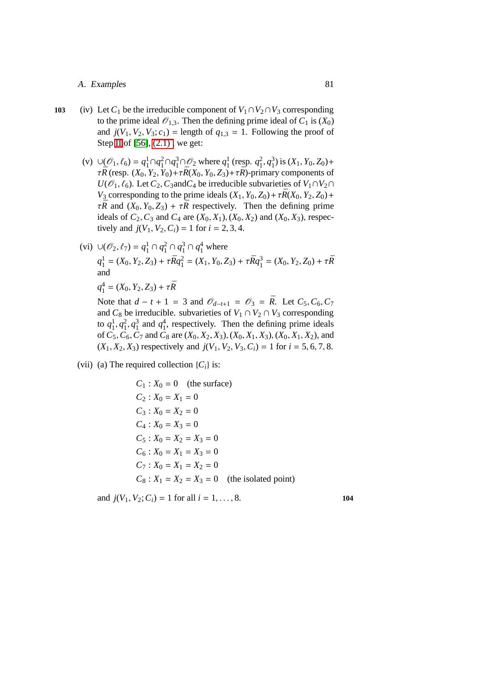#### A. Examples 81

- 103 (iv) Let *C*<sub>1</sub> be the irreducible component of  $V_1 \cap V_2 \cap V_3$  corresponding to the prime ideal  $\mathcal{O}_{1,3}$ . Then the defining prime ideal of  $C_1$  is  $(X_0)$ and  $j(V_1, V_2, V_3; c_1)$  = length of  $q_{1,3} = 1$ . Following the proof of Step [II](#page-65-0) of [\[56\]](#page-108-2), [\(2.1\) ,](#page-56-0) we get:
	- (v)  $\cup$   $(\mathcal{O}_1, \ell_6) = q_1^1 \cap q_1^2 \cap q_1^3 \cap \mathcal{O}_2$  where  $q_1^1$  (resp.  $q_1^2, q_1^3$ ) is  $(X_1, Y_0, Z_0)$ +  $\tau \bar{R}$  (resp.  $(X_0, Y_2, Y_0) + \tau \bar{R}(X_0, Y_0, Z_3) + \tau \bar{R}$ )-primary components of *U*( $\mathcal{O}_1$ ,  $\ell_6$ ). Let  $C_2$ ,  $C_3$ and $C_4$  be irreducible subvarieties of  $V_1 \cap V_2 \cap C_4$ *V*<sub>3</sub> corresponding to the prime ideals  $(X_1, Y_0, Z_0) + \tau \bar{R}(X_0, Y_2, Z_0) +$  $\tau \bar{R}$  and  $(X_0, Y_0, Z_3) + \tau \bar{R}$  respectively. Then the defining prime ideals of  $C_2$ ,  $C_3$  and  $C_4$  are  $(X_0, X_1)$ ,  $(X_0, X_2)$  and  $(X_0, X_3)$ , respectively and  $j(V_1, V_2, C_i) = 1$  for  $i = 2, 3, 4$ .
	- (vi) ∪( $\mathcal{O}_2$ ,  $\ell_7$ ) =  $q_1^1 \cap q_1^2 \cap q_1^3 \cap q_1^4$  where  $q_1^1 = (X_0, Y_2, Z_3) + \tau \bar{R} q_1^2 = (X_1, Y_0, Z_3) + \tau \bar{R} q_1^3 = (X_0, Y_2, Z_0) + \tau \bar{R}$ and

$$
q_1^4 = (X_0, Y_2, Z_3) + \tau \bar{R}
$$

Note that  $d - t + 1 = 3$  and  $\mathcal{O}_{d-t+1} = \mathcal{O}_3 = \overline{R}$ . Let  $C_5, C_6, C_7$ and  $C_8$  be irreducible. subvarieties of  $V_1 \cap V_2 \cap V_3$  corresponding to  $q_1^1, q_1^2, q_1^3$  and  $q_1^4$ , respectively. Then the defining prime ideals of *C*5,*C*6,*C*<sup>7</sup> and *C*<sup>8</sup> are (*X*0, *X*2, *X*3), (*X*0, *X*1, *X*3), (*X*0, *X*1, *X*2), and  $(X_1, X_2, X_3)$  respectively and  $j(V_1, V_2, V_3, C_i) = 1$  for  $i = 5, 6, 7, 8$ .

(vii) (a) The required collection  $\{C_i\}$  is:

$$
C_1: X_0 = 0 \quad \text{(the surface)}
$$
  
\n
$$
C_2: X_0 = X_1 = 0
$$
  
\n
$$
C_3: X_0 = X_2 = 0
$$
  
\n
$$
C_4: X_0 = X_3 = 0
$$
  
\n
$$
C_5: X_0 = X_2 = X_3 = 0
$$
  
\n
$$
C_6: X_0 = X_1 = X_3 = 0
$$
  
\n
$$
C_7: X_0 = X_1 = X_2 = 0
$$
  
\n
$$
C_8: X_1 = X_2 = X_3 = 0 \quad \text{(the isolated point)}
$$

and  $j(V_1, V_2; C_i) = 1$  for all  $i = 1, ..., 8$ . **104**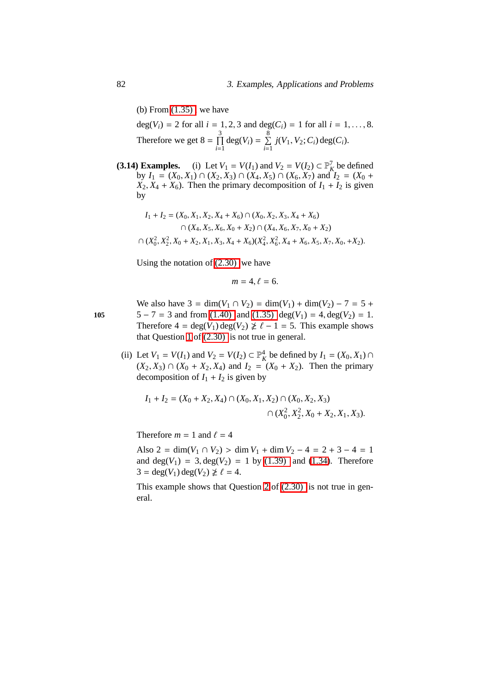(b) From  $(1.35)$ , we have

deg( $V_i$ ) = 2 for all  $i = 1, 2, 3$  and deg( $C_i$ ) = 1 for all  $i = 1, ..., 8$ . Therefore we get  $8 = \prod_{i=1}^{3}$  $\prod_{i=1}^{3} deg(V_i) = \sum_{i=1}^{8}$  $\sum_{i=1}^{n} j(V_1, V_2; C_i) \deg(C_i).$ 

<span id="page-91-0"></span>(3.14) Examples. (i) Let  $V_1 = V(I_1)$  and  $V_2 = V(I_2) \subset \mathbb{P}^7$ , be defined by *I*<sub>1</sub> = (*X*<sub>0</sub>, *X*<sub>1</sub>) ∩ (*X*<sub>2</sub>, *X*<sub>3</sub>) ∩ (*X*<sub>4</sub>, *X*<sub>5</sub>) ∩ (*X*<sub>6</sub>, *X*<sub>7</sub>) and *I*<sub>2</sub> = (*X*<sub>0</sub> +  $X_2, X_4 + X_6$ ). Then the primary decomposition of  $I_1 + I_2$  is given by

$$
I_1 + I_2 = (X_0, X_1, X_2, X_4 + X_6) \cap (X_0, X_2, X_3, X_4 + X_6)
$$
  

$$
\cap (X_4, X_5, X_6, X_0 + X_2) \cap (X_4, X_6, X_7, X_0 + X_2)
$$
  

$$
\cap (X_0^2, X_2^2, X_0 + X_2, X_1, X_3, X_4 + X_6)(X_4^2, X_6^2, X_4 + X_6, X_5, X_7, X_0, +X_2).
$$

Using the notation of [\(2.30\)](#page-77-0) we have

$$
m=4, \ell=6.
$$

We also have  $3 = \dim(V_1 \cap V_2) = \dim(V_1) + \dim(V_2) - 7 = 5 +$ **105** 5 − 7 = 3 and from [\(1.40\)](#page-46-0) and [\(1.35\)](#page-44-0) deg( $V_1$ ) = 4, deg( $V_2$ ) = 1. Therefore  $4 = \deg(V_1) \deg(V_2) \not\geq \ell - 1 = 5$ . This example shows that Question [1](#page-77-1) of [\(2.30\)](#page-77-0) is not true in general.

> (ii) Let  $V_1 = V(I_1)$  and  $V_2 = V(I_2) \subset \mathbb{P}_K^4$  be defined by  $I_1 = (X_0, X_1) \cap$  $(X_2, X_3)$  ∩  $(X_0 + X_2, X_4)$  and  $I_2 = (X_0 + X_2)$ . Then the primary decomposition of  $I_1 + I_2$  is given by

$$
I_1 + I_2 = (X_0 + X_2, X_4) \cap (X_0, X_1, X_2) \cap (X_0, X_2, X_3)
$$

$$
\cap (X_0^2, X_2^2, X_0 + X_2, X_1, X_3).
$$

Therefore  $m = 1$  and  $\ell = 4$ 

Also  $2 = \dim(V_1 \cap V_2) > \dim V_1 + \dim V_2 - 4 = 2 + 3 - 4 = 1$ and  $deg(V_1) = 3, deg(V_2) = 1$  by [\(1.39\)](#page-46-1) and [\(1.34\)](#page-43-0). Therefore  $3 = \deg(V_1) \deg(V_2) \not\ge \ell = 4.$ 

This example shows that Question [2](#page-77-2) of [\(2.30\)](#page-77-0) is not true in general.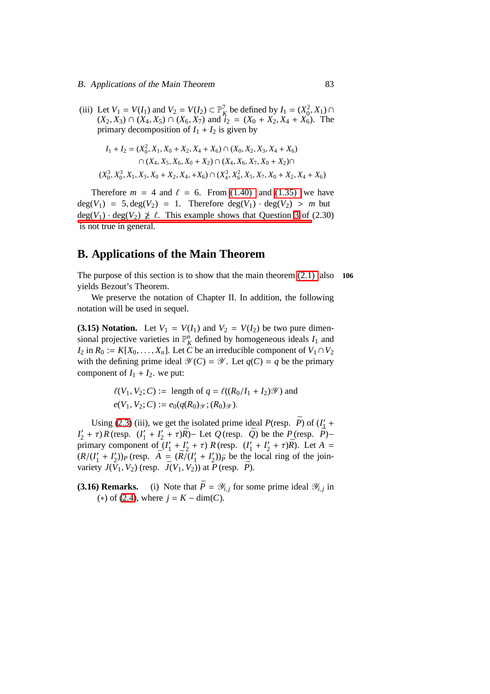(iii) Let  $V_1 = V(I_1)$  and  $V_2 = V(I_2) \subset \mathbb{P}_K^7$  be defined by  $I_1 = (X_0^2, X_1) \cap$  $(X_2, X_3)$  ∩  $(X_4, X_5)$  ∩  $(X_6, X_7)$  and  $i_2 = (X_0 + X_2, X_4 + X_6)$ . The primary decomposition of  $I_1 + I_2$  is given by

$$
I_1 + I_2 = (X_0^2, X_1, X_0 + X_2, X_4 + X_6) \cap (X_0, X_2, X_3, X_4 + X_6)
$$
  

$$
\cap (X_4, X_5, X_6, X_0 + X_2) \cap (X_4, X_6, X_7, X_0 + X_2) \cap
$$
  

$$
(X_0^3, X_0^3, X_1, X_3, X_0 + X_2, X_4, +X_6) \cap (X_4^3, X_6^2, X_5, X_7, X_0 + X_2, X_4 + X_6)
$$

Therefore  $m = 4$  and  $\ell = 6$ . From [\(1.40\)](#page-46-0) and [\(1.35\)](#page-44-0) we have  $deg(V_1) = 5, deg(V_2) = 1.$  Therefore  $deg(V_1) \cdot deg(V_2) > m$  but  $deg(V_1) \cdot deg(V_2) \not\geq \ell$ . This example shows that Question [3](#page-77-3) of (2.30) [is not true in general.](#page-77-0)

## **B. Applications of the Main Theorem**

The purpose of this section is to show that the main theorem [\(2.1\)](#page-56-0) also **106** yields Bezout's Theorem.

We preserve the notation of Chapter II. In addition, the following notation will be used in sequel.

**(3.15) Notation.** Let  $V_1 = V(I_1)$  and  $V_2 = V(I_2)$  be two pure dimensional projective varieties in  $\mathbb{P}_{K}^{n}$  defined by homogeneous ideals  $I_1$  and *I*<sub>2</sub> in *R*<sub>0</sub> := *K*[*X*<sub>0</sub>, . . . , *X<sub>n</sub>*]. Let *C* be an irreducible component of *V*<sub>1</sub> ∩ *V*<sub>2</sub> with the defining prime ideal  $\mathcal{Y}(C) = \mathcal{Y}$ . Let  $q(C) = q$  be the primary component of  $I_1 + I_2$ , we put:

$$
\ell(V_1, V_2; C) :=
$$
 length of  $q = \ell((R_0/I_1 + I_2)\mathcal{Y})$  and  
 $e(V_1, V_2; C) := e_0(q(R_0)\mathcal{Y}; (R_0)\mathcal{Y}).$ 

Using [\(2.3\)](#page-57-0) (iii), we get the isolated prime ideal *P*(resp.  $\bar{P}$ ) of ( $I'_1$  + *I* ′  $\frac{1}{2} + \tau$ ) *R* (resp.  $(I'_1)$  $I'_1 + I'_2$  $\frac{1}{2} + \tau$ *)* $\bar{R}$ )− Let *Q* (resp.  $\bar{Q}$ ) be the *P* (resp. *P*<sup> $\bar{P}$ )−</sup> primary component of  $\tilde{I}_1$  $I'_1 + I'_2$  $\frac{1}{2} + \tau$ ) *R* (resp.  $(I'_1)$  $I'_1 + I'_2$  $(2 + \tau)\bar{R}$ ). Let  $A =$  $(R/(I_1')$  $I'_1 + I'_2$  $(Z_2)$ )<sub>*P*</sub> (resp.  $\bar{A} = (\bar{R}) \bar{I} (I_1)$  $I'_1 + I'_2$  $\binom{1}{2}$ ) $\bar{p}$  be the local ring of the joinvariety  $J(V_1, V_2)$  (resp.  $\bar{J}(V_1, V_2)$ ) at  $\bar{P}$  (resp.  $\bar{P}$ ).

<span id="page-92-0"></span>**(3.16) Remarks.** (i) Note that  $\bar{P} = \mathcal{Y}_{i,j}$  for some prime ideal  $\mathcal{Y}_{i,j}$  in  $(*)$  of [\(2.4\)](#page-59-0), where  $j = K - \dim(C)$ .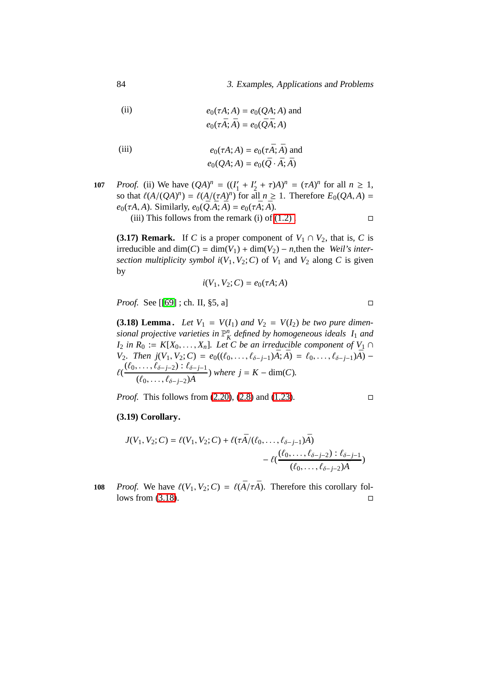84 3. Examples, Applications and Problems

(ii) 
$$
e_0(\tau A; A) = e_0(QA; A) \text{ and}
$$

$$
e_0(\tau \overline{A}; \overline{A}) = e_0(\overline{Q}\overline{A}; A)
$$

(iii)  

$$
e_0(\tau A; A) = e_0(\tau \bar{A}; \bar{A}) \text{ and}
$$

$$
e_0(QA; A) = e_0(\bar{Q} \cdot \bar{A}; \bar{A})
$$

*Proof.* (ii) We have  $(QA)^n = ((I_1)^n)$  $I'_1 + I'_2$ **107** *Proof.* (ii) We have  $(QA)^n = ((I'_1 + I'_2 + \tau)A)^n = (\tau A)^n$  for all  $n \ge 1$ , so that  $\ell(A/(QA)^n) = \ell(A/(\tau A)^n)$  for all  $n \ge 1$ . Therefore  $E_0(QA, A) =$  $e_0(\tau A, A)$ . Similarly,  $e_0(\overline{Q}.\overline{A}; \overline{A}) = e_0(\tau \overline{A}; \overline{A}).$ (iii) This follows from the remark (i) of  $(1.2)$ .

**(3.17) Remark.** If *C* is a proper component of  $V_1 \cap V_2$ , that is, *C* is irreducible and  $dim(C) = dim(V_1) + dim(V_2) - n$ , then the *Weil's intersection multiplicity symbol*  $i(V_1, V_2; C)$  of  $V_1$  and  $V_2$  along  $C$  is given by

$$
i(V_1, V_2; C) = e_0(\tau A; A)
$$

*Proof.* See [[\[69\]](#page-109-0) ; ch. II, §5, a] □

<span id="page-93-0"></span>**(3.18) Lemma.** Let  $V_1 = V(I_1)$  and  $V_2 = V(I_2)$  be two pure dimen*sional projective varieties in*  $\mathbb{P}_{K}^{n}$  *defined by homogeneous ideals*  $I_1$  *and I*<sub>2</sub> *in*  $R_0 := K[X_0, \ldots, X_n]$ *. Let C be an irreducible component of*  $V_1 \cap$ *V*<sub>2</sub>*. Then*  $j(V_1, V_2; C) = e_0((\ell_0, \ldots, \ell_{\delta-j-1})\overline{A}; \overline{A}) = \ell_0, \ldots, \ell_{\delta-j-1}\overline{A}) \ell(\frac{(\ell_0,\ldots,\ell_{\delta-j-2}) : \ell_{\delta-j-1}}{(\ell_0,\ldots,\ell_{\delta-j-2}) : \bar{\ell}_{\delta-j-1}}$  $(\ell_0, ..., \ell_{\delta-j-2})\bar{A}$  *where j* = *K* − dim(*C*).

<span id="page-93-1"></span>*Proof.* This follows from [\(2.20\)](#page-71-2), [\(2.8\)](#page-61-0) and [\(1.23\)](#page-38-0). □

#### **(3.19) Corollary.**

$$
J(V_1, V_2; C) = \ell(V_1, V_2; C) + \ell(\tau \bar{A}/(\ell_0, \dots, \ell_{\delta-j-1})\bar{A}) - \ell(\frac{(\ell_0, \dots, \ell_{\delta-j-2}) : \ell_{\delta-j-1}}{(\ell_0, \dots, \ell_{\delta-j-2})\bar{A}})
$$

**108** *Proof.* We have  $\ell(V_1, V_2; C) = \ell(\bar{A}/\tau\bar{A})$ . Therefore this corollary follows from  $(3.18)$ .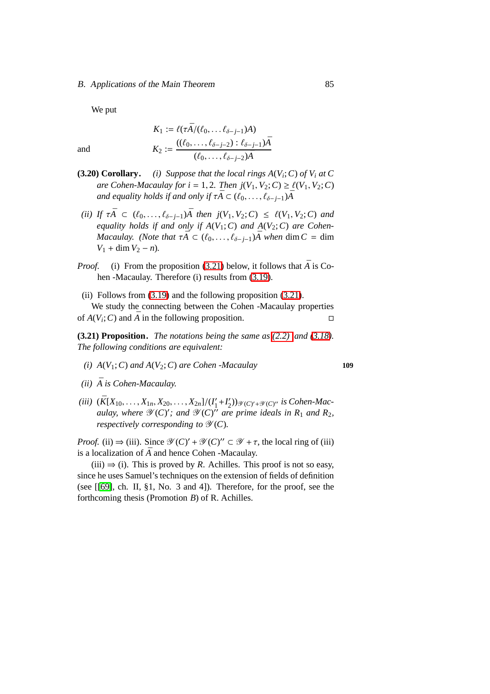#### B. Applications of the Main Theorem 85

We put

and  
\n
$$
K_1 := \ell(\tau \bar{A}/(\ell_0, \dots \ell_{\delta-j-1})A)
$$
\n
$$
K_2 := \frac{((\ell_0, \dots, \ell_{\delta-j-2}) : \ell_{\delta-j-1})\bar{A}}{(\ell_0, \dots, \ell_{\delta-j-2})\bar{A}}
$$

- <span id="page-94-1"></span>**(3.20) Corollary.** *(i) Suppose that the local rings*  $A(V_i; C)$  *of*  $V_i$  *at C are Cohen-Macaulay for i* = 1, 2*. Then*  $j(V_1, V_2; C) \geq \ell(V_1, V_2; C)$ *and equality holds if and only if*  $\tau \overline{A} \subset (\ell_0, \ldots, \ell_{\delta-j-1})\overline{A}$
- *(ii)* If  $\tau \bar{A} \subset (\ell_0, \ldots, \ell_{\delta-j-1})\bar{A}$  then  $j(V_1, V_2; C) \leq \ell(V_1, V_2; C)$  and *equality holds if and only if A*(*V*1;*C*) *and A*(*V*2;*C*) *are Cohen-Macaulay.* (*Note that*  $\tau \overline{A} \subset (\ell_0, \ldots, \ell_{\delta-j-1})\overline{A}$  when dim  $C = \dim$  $V_1$  + dim  $V_2$  – *n*).
- *Proof.* (i) From the proposition [\(3.21\)](#page-94-0) below, it follows that  $\overline{A}$  is Cohen -Macaulay. Therefore (i) results from [\(3.19\)](#page-93-1).
- (ii) Follows from  $(3.19)$  and the following proposition  $(3.21)$ .

We study the connecting between the Cohen -Macaulay properties of  $A(V_i; C)$  and  $\overline{A}$  in the following proposition.

<span id="page-94-0"></span>**(3.21) Proposition.** *The notations being the same as [\(2.2\)](#page-57-1) and [\(3.18\)](#page-93-0). The following conditions are equivalent:*

- *(i)*  $A(V_1; C)$  *and*  $A(V_2; C)$  *are Cohen -Macaulay* **109**
- $(ii)$   $\bar{A}$  *is Cohen-Macaulay.*
- $(iii)$   $(\bar{K}[X_{10}, \ldots, X_{1n}, X_{20}, \ldots, X_{2n}]/(I'_1)$  $I'_1 + I'_2$  $\mathcal{L}_2^{\prime}$ )) $\mathcal{Y}(C)^{\prime}$ + $\mathcal{Y}(C)^{\prime\prime}$  is Cohen-Mac*aulay, where*  $\mathscr{Y}(C)'$ ; and  $\mathscr{Y}(C)'$  are prime ideals in R<sub>1</sub> and R<sub>2</sub>, *respectively corresponding to*  $\mathcal{Y}(C)$ *.*

*Proof.* (ii)  $\Rightarrow$  (iii). Since  $\mathcal{Y}(C)' + \mathcal{Y}(C)'' \subset \mathcal{Y} + \tau$ , the local ring of (iii) is a localization of  $\overline{A}$  and hence Cohen -Macaulay.

 $(iii) \Rightarrow (i)$ . This is proved by *R*. Achilles. This proof is not so easy, since he uses Samuel's techniques on the extension of fields of definition (see [[\[69\]](#page-109-0), ch. II, §1, No. 3 and 4]). Therefore, for the proof, see the forthcoming thesis (Promotion *B*) of R. Achilles.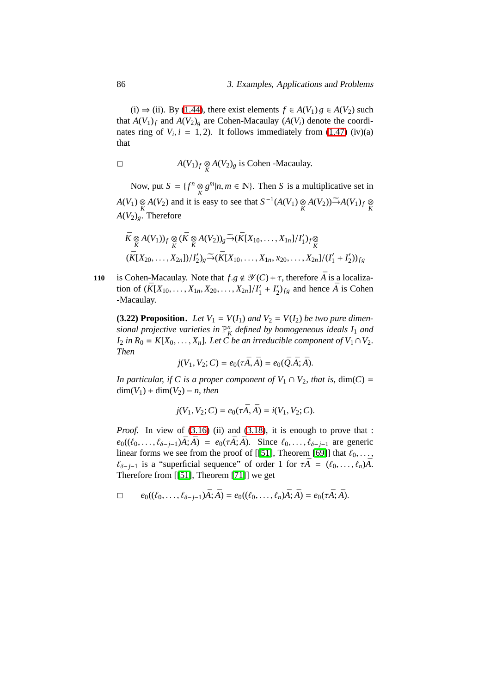(i) ⇒ (ii). By [\(1.44\)](#page-49-0), there exist elements  $f \in A(V_1)g \in A(V_2)$  such that  $A(V_1)_f$  and  $A(V_2)_g$  are Cohen-Macaulay ( $A(V_i)$ ) denote the coordinates ring of  $V_i$ ,  $i = 1, 2$ ). It follows immediately from [\(1.47\)](#page-52-0) (iv)(a) that

$$
\Box
$$
  $A(V_1)_f \underset{K}{\otimes} A(V_2)_g$  is Cohen -Macaulay.

Now, put  $S = \{f^n \underset{K}{\otimes} g^m | n, m \in \mathbb{N} \}$ . Then *S* is a multiplicative set in *A*(*V*<sub>1</sub>) ⊗ *A*(*V*<sub>2</sub>) and it is easy to see that  $S^{-1}(A(V_1) \underset{K}{\otimes} A(V_2)) \underset{K}{\rightarrow} A(V_1)_f \underset{K}{\otimes}$  $A(V_2)_g$ . Therefore

$$
\bar{K} \underset{K}{\otimes} A(V_1))_f \underset{\bar{K}}{\otimes} (\bar{K} \underset{K}{\otimes} A(V_2))_g \widetilde{\to} (\bar{K}[X_{10}, \dots, X_{1n}]/I'_1)_f \underset{\bar{K}}{\otimes}
$$
\n
$$
(\bar{K}[X_{20}, \dots, X_{2n}])/I'_2)_g \widetilde{\to} (\bar{K}[X_{10}, \dots, X_{1n}, x_{20}, \dots, X_{2n}]/(I'_1 + I'_2))_{fg}
$$

<span id="page-95-0"></span>**is Cohen-Macaulay.** Note that  $f.g \notin \mathcal{Y}(C) + \tau$ , therefore  $\overline{A}$  is a localization of  $(\bar{K}[X_{10}, \ldots, X_{1n}, X_{20}, \ldots, X_{2n}]/I'_1$  $I'_1 + I'_2$  $Z_{2}^{'}$ )<sub>fg</sub> and hence  $\overline{A}$  is Cohen -Macaulay.

**(3.22) Proposition.** Let  $V_1 = V(I_1)$  and  $V_2 = V(I_2)$  be two pure dimensional projective varieties in  $\mathbb{P}^n_K$  defined by homogeneous ideals  $I_1$  and *I*<sub>2</sub> *in*  $R_0 = K[X_0, \ldots, X_n]$ *. Let C be an irreducible component of*  $V_1 \cap V_2$ *. Then*

$$
j(V_1, V_2; C) = e_0(\tau \bar{A}, \bar{A}) = e_0(\bar{Q}.\bar{A}; \bar{A}).
$$

*In particular, if C is a proper component of*  $V_1 \cap V_2$ *, that is,* dim(*C*) =  $\dim(V_1) + \dim(V_2) - n$ , then

$$
j(V_1, V_2; C) = e_0(\tau \bar{A}, \bar{A}) = i(V_1, V_2; C).
$$

*Proof.* In view of [\(3.16\)](#page-92-0) (ii) and [\(3.18\)](#page-93-0), it is enough to prove that :  $e_0((\ell_0, ..., \ell_{\delta-j-1})\bar{A}; \bar{A}) = e_0(\tau \bar{A}; \bar{A})$ . Since  $\ell_0, ..., \ell_{\delta-j-1}$  are generic linear forms we see from the proof of [[\[51\]](#page-108-3), Theorem [\[69\]](#page-109-0)] that  $\ell_0, \ldots$ ,  $\ell_{\delta-j-1}$  is a "superficial sequence" of order 1 for  $\tau \overline{A} = (\ell_0, \ldots, \ell_n) \overline{A}$ . Therefore from [[\[51\]](#page-108-3), Theorem [\[71\]](#page-109-1)] we get

$$
\Box \qquad e_0((\ell_0,\ldots,\ell_{\delta-j-1})\bar{A};\bar{A})=e_0((\ell_0,\ldots,\ell_n)\bar{A};\bar{A})=e_0(\tau\bar{A};\bar{A}).
$$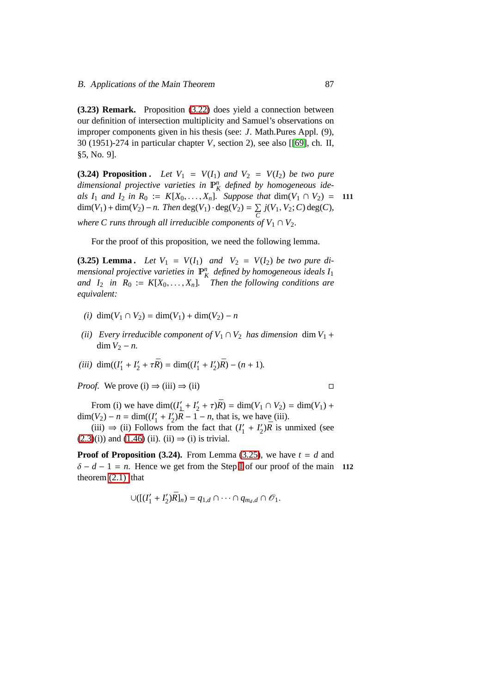**(3.23) Remark.** Proposition [\(3.22\)](#page-95-0) does yield a connection between our definition of intersection multiplicity and Samuel's observations on improper components given in his thesis (see: *J*. Math.Pures Appl. (9), 30 (1951)-274 in particular chapter *V*, section 2), see also [[\[69\]](#page-109-0), ch. II, §5, No. 9].

<span id="page-96-1"></span>**(3.24) Proposition .** *Let*  $V_1 = V(I_1)$  *and*  $V_2 = V(I_2)$  *be two pure* dimensional projective varieties in  $\mathbb{P}^n_K$  defined by homogeneous ide*als I*<sub>1</sub> *and I*<sub>2</sub> *in R*<sub>0</sub> :=  $K[X_0, ..., X_n]$ *. Suppose that* dim(*V*<sub>1</sub>  $\cap$  *V*<sub>2</sub>) = **111**  $dim(V_1) + dim(V_2) - n$ . *Then* deg(*V*<sub>1</sub>) ⋅ deg(*V*<sub>2</sub>) =  $\Sigma$  $\sum_{C}$  *j*(*V*<sub>1</sub>, *V*<sub>2</sub>; *C*) deg(*C*), *where C runs through all irreducible components of*  $V_1 \cap V_2$ .

For the proof of this proposition, we need the following lemma.

<span id="page-96-0"></span>**(3.25) Lemma .** *Let*  $V_1 = V(I_1)$  *and*  $V_2 = V(I_2)$  *be two pure di*mensional projective varieties in  $\mathbb{P}^n_K$  defined by homogeneous ideals  $I_1$ *and*  $I_2$  *in*  $R_0 := K[X_0, \ldots, X_n]$ *. Then the following conditions are equivalent:*

- $(i)$  dim( $V_1$  ∩  $V_2$ ) = dim( $V_1$ ) + dim( $V_2$ ) − *n*
- *(ii)* Every irreducible component of  $V_1 \cap V_2$  has dimension dim  $V_1$  +  $\dim V_2 - n$ .

(*iii*) 
$$
\dim((I'_1 + I'_2 + \tau \bar{R}) = \dim((I'_1 + I'_2)\bar{R}) - (n + 1).
$$

*Proof.* We prove (i)  $\Rightarrow$  (iii)  $\Rightarrow$  (iii)

From (i) we have  $\dim(I'_1)$  $I'_1 + I'_2$  $Z'_2 + \tau \bar{R}$ ) = dim( $V_1 \cap V_2$ ) = dim( $V_1$ ) +  $dim(V_2) - n = dim((I'_1))$  $I'_1 + I'_2$  $\sum_{i=1}^{\infty}$   $\sqrt{\overline{R}}$  – 1 – *n*, that is, we have (iii).

(iii)  $\Rightarrow$  (ii) Follows from the fact that ( $I'_1$  $I'_1 + I'_2$  $v_2^{\prime}$ ) $\bar{R}$  is unmixed (see  $(2.3)(i)$  $(2.3)(i)$  and  $(1.46)(ii)$  $(1.46)(ii)$ .  $(ii) \Rightarrow (i)$  is trivial.

**Proof of Proposition (3.24).** From Lemma [\(3.25\)](#page-96-0), we have  $t = d$  and  $\delta - d - 1 = n$ . Hence we get from the Step [I](#page-62-0) of our proof of the main **112** theorem  $(2.1)$  that

$$
\cup([ (I'_1+I'_2)\bar{R}]_n)=q_{1,d}\cap \cdots \cap q_{m_d,d}\cap \mathscr{O}_1.
$$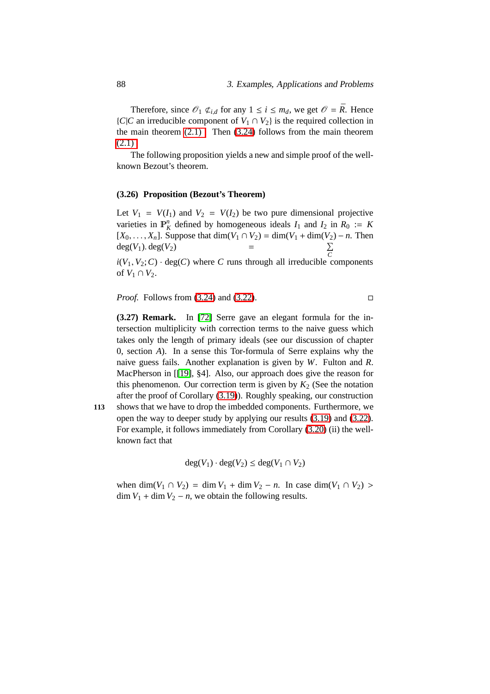Therefore, since  $\mathcal{O}_1 \not\subset_{i,d}$  for any  $1 \leq i \leq m_d$ , we get  $\mathcal{O} = \overline{R}$ . Hence  ${C|C}$  an irreducible component of  $V_1 \cap V_2$  is the required collection in the main theorem  $(2.1)$ . Then  $(3.24)$  follows from the main theorem  $(2.1)$ .

The following proposition yields a new and simple proof of the wellknown Bezout's theorem.

#### **(3.26) Proposition (Bezout's Theorem)**

Let  $V_1 = V(I_1)$  and  $V_2 = V(I_2)$  be two pure dimensional projective varieties in  $\mathbb{P}_K^n$  defined by homogeneous ideals  $I_1$  and  $I_2$  in  $R_0 := K$ [*X*<sub>0</sub>, . . . , *X*<sub>*n*</sub>]. Suppose that dim(*V*<sub>1</sub> ∩ *V*<sub>2</sub>) = dim(*V*<sub>1</sub> + dim(*V*<sub>2</sub>) − *n*. Then  $deg(V_1)$ .  $deg(V_2)$  =  $\sum$ *C*

 $i(V_1, V_2; C) \cdot deg(C)$  where *C* runs through all irreducible components of  $V_1 \cap V_2$ .

*Proof.* Follows from [\(3.24\)](#page-96-1) and [\(3.22\)](#page-95-0). □

**(3.27) Remark.** In [\[72\]](#page-109-2) Serre gave an elegant formula for the intersection multiplicity with correction terms to the naive guess which takes only the length of primary ideals (see our discussion of chapter 0, section *A*). In a sense this Tor-formula of Serre explains why the naive guess fails. Another explanation is given by *W*. Fulton and *R*. MacPherson in [[\[19\]](#page-105-0), §4]. Also, our approach does give the reason for this phenomenon. Our correction term is given by  $K_2$  (See the notation after the proof of Corollary [\(3.19\)](#page-93-1)). Roughly speaking, our construction

**113** shows that we have to drop the imbedded components. Furthermore, we open the way to deeper study by applying our results [\(3.19\)](#page-93-1) and [\(3.22\)](#page-95-0). For example, it follows immediately from Corollary [\(3.20\)](#page-94-1) (ii) the wellknown fact that

$$
deg(V_1) \cdot deg(V_2) \le deg(V_1 \cap V_2)
$$

<span id="page-97-0"></span>when dim( $V_1 \cap V_2$ ) = dim  $V_1$  + dim  $V_2$  – *n*. In case dim( $V_1 \cap V_2$ ) >  $\dim V_1 + \dim V_2 - n$ , we obtain the following results.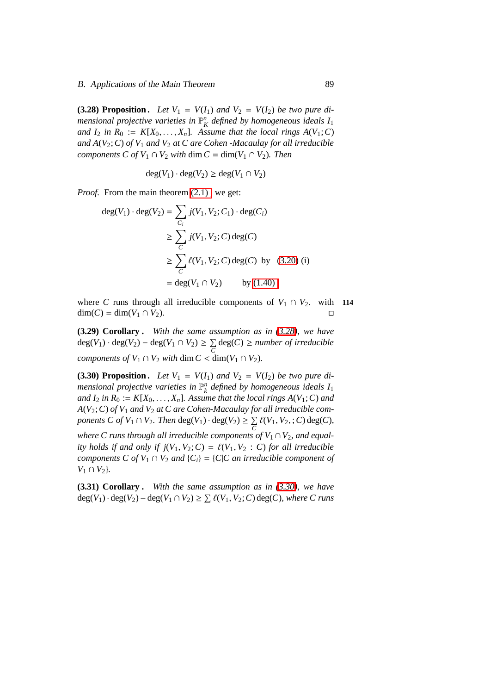**(3.28) Proposition.** Let  $V_1 = V(I_1)$  and  $V_2 = V(I_2)$  be two pure di*mensional projective varieties in*  $\mathbb{P}_{K}^{n}$  *defined by homogeneous ideals*  $I_1$ *and*  $I_2$  *in*  $R_0 := K[X_0, \ldots, X_n]$ *. Assume that the local rings*  $A(V_1; C)$ *and A*(*V*2;*C*) *of V*<sup>1</sup> *and V*<sup>2</sup> *at C are Cohen -Macaulay for all irreducible components C of*  $V_1 \cap V_2$  *with* dim  $C = \dim(V_1 \cap V_2)$ *. Then* 

$$
deg(V_1) \cdot deg(V_2) \ge deg(V_1 \cap V_2)
$$

*Proof.* From the main theorem  $(2.1)$ , we get:

$$
deg(V_1) \cdot deg(V_2) = \sum_{C_i} j(V_1, V_2; C_1) \cdot deg(C_i)
$$
  
\n
$$
\geq \sum_{C} j(V_1, V_2; C) deg(C)
$$
  
\n
$$
\geq \sum_{C} \ell(V_1, V_2; C) deg(C) by (3.20) (i)
$$
  
\n
$$
= deg(V_1 \cap V_2) \qquad by (1.40)
$$

where *C* runs through all irreducible components of  $V_1 \cap V_2$ , with **114**  $dim(C) = dim(V_1 ∩ V_2).$ 

**(3.29) Corollary .** *With the same assumption as in [\(3.28\)](#page-97-0), we have* deg(*V*<sub>1</sub>) · deg(*V*<sub>2</sub>) − deg(*V*<sub>1</sub> ∩ *V*<sub>2</sub>) ≥  $\sum$ *C* deg(*C*) ≥ *number of irreducible components of*  $V_1 \cap V_2$  *with* dim  $C < \dim(V_1 \cap V_2)$ .

<span id="page-98-0"></span>**(3.30) Proposition.** Let  $V_1 = V(I_1)$  and  $V_2 = V(I_2)$  be two pure di*mensional projective varieties in* P *n k defined by homogeneous ideals I*<sup>1</sup> *and*  $I_2$  *in*  $R_0 := K[X_0, \ldots, X_n]$ *. Assume that the local rings*  $A(V_1; C)$  *and A*(*V*2;*C*) *of V*<sup>1</sup> *and V*<sup>2</sup> *at C are Cohen-Macaulay for all irreducible components C of V*<sub>1</sub>  $\cap$  *V*<sub>2</sub>*. Then* deg(*V*<sub>1</sub>)  $\cdot$  deg(*V*<sub>2</sub>)  $\geq \sum$  $\sum_{C} \ell(V_1, V_2, ; C) \deg(C)$ 

*where C runs through all irreducible components of*  $V_1 \cap V_2$ *, and equality holds if and only if*  $j(V_1, V_2; C) = \ell(V_1, V_2 : C)$  *for all irreducible components C of V*<sub>1</sub>  $\cap$  *V*<sub>2</sub> *and*  $\{C_i\} = \{C|C \text{ an irreducible component of } C\}$  $V_1$  ∩  $V_2$ }.

**(3.31) Corollary .** *With the same assumption as in [\(3.30\)](#page-98-0), we have*  $deg(V_1) \cdot deg(V_2) - deg(V_1 ∩ V_2) ≥ ∑ \ell(V_1, V_2; C) deg(C)$ *, where C runs*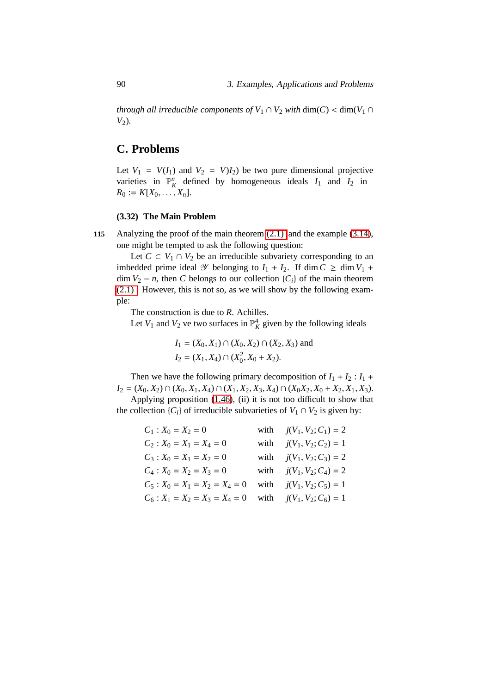*through all irreducible components of*  $V_1 \cap V_2$  *with* dim(*C*) < dim( $V_1 \cap V_2$ *V*2)*.*

## **C. Problems**

Let  $V_1 = V(I_1)$  and  $V_2 = V(I_2)$  be two pure dimensional projective varieties in  $\mathbb{P}_K^n$  defined by homogeneous ideals  $I_1$  and  $I_2$  in  $R_0 := K[X_0, \ldots, X_n].$ 

## **(3.32) The Main Problem**

**115** Analyzing the proof of the main theorem [\(2.1\)](#page-56-0) and the example [\(3.14\)](#page-91-0), one might be tempted to ask the following question:

Let  $C \subset V_1 \cap V_2$  be an irreducible subvariety corresponding to an imbedded prime ideal  $\mathscr Y$  belonging to  $I_1 + I_2$ . If dim  $C \ge \dim V_1 + I_2$  $\dim V_2 - n$ , then *C* belongs to our collection {*C<sub>i</sub>*} of the main theorem [\(2.1\) .](#page-56-0) However, this is not so, as we will show by the following example:

The construction is due to *R*. Achilles.

Let  $V_1$  and  $V_2$  ve two surfaces in  $\mathbb{P}^4_K$  given by the following ideals

$$
I_1 = (X_0, X_1) \cap (X_0, X_2) \cap (X_2, X_3)
$$
 and  

$$
I_2 = (X_1, X_4) \cap (X_0^2, X_0 + X_2).
$$

Then we have the following primary decomposition of  $I_1 + I_2$ :  $I_1$  + *I*<sub>2</sub> = (*X*<sub>0</sub>, *X*<sub>2</sub>) ∩ (*X*<sub>0</sub>, *X*<sub>1</sub>, *X*<sub>4</sub>) ∩ (*X*<sub>1</sub>, *X*<sub>2</sub>, *X*<sub>3</sub>, *X*<sub>4</sub>) ∩ (*X*<sub>0</sub>*X*<sub>2</sub>, *X*<sub>0</sub> + *X*<sub>2</sub>, *X*<sub>1</sub>, *X*<sub>3</sub>).

Applying proposition [\(1.46\)](#page-51-0), (ii) it is not too difficult to show that the collection  $\{C_i\}$  of irreducible subvarieties of  $V_1 \cap V_2$  is given by:

| $C_1: X_0 = X_2 = 0$                                            | with $j(V_1, V_2; C_1) = 2$ |
|-----------------------------------------------------------------|-----------------------------|
| $C_2$ : $X_0 = X_1 = X_4 = 0$                                   | with $j(V_1, V_2; C_2) = 1$ |
| $C_3: X_0 = X_1 = X_2 = 0$                                      | with $j(V_1, V_2; C_3) = 2$ |
| $C_4$ : $X_0 = X_2 = X_3 = 0$                                   | with $j(V_1, V_2; C_4) = 2$ |
| $C_5$ : $X_0 = X_1 = X_2 = X_4 = 0$ with $j(V_1, V_2; C_5) = 1$ |                             |
| $C_6$ : $X_1 = X_2 = X_3 = X_4 = 0$ with $j(V_1, V_2; C_6) = 1$ |                             |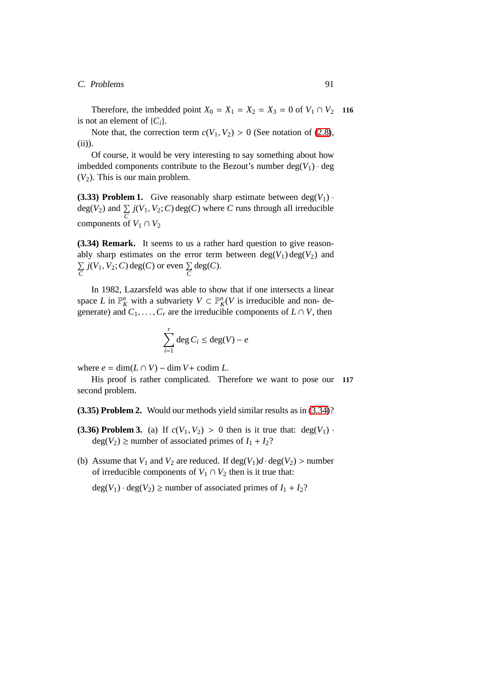#### C. Problems 91

Therefore, the imbedded point  $X_0 = X_1 = X_2 = X_3 = 0$  of  $V_1 \cap V_2$  116 is not an element of  $\{C_i\}$ .

Note that, the correction term  $c(V_1, V_2) > 0$  (See notation of [\(2.8\)](#page-61-0), (ii)).

Of course, it would be very interesting to say something about how imbedded components contribute to the Bezout's number  $deg(V_1) \cdot deg$  $(V_2)$ . This is our main problem.

**(3.33) Problem 1.** Give reasonably sharp estimate between  $deg(V_1)$ . deg(*V*<sub>2</sub>) and  $\sum_{C}$  *j*(*V*<sub>1</sub>, *V*<sub>2</sub>; *C*) deg(*C*) where *C* runs through all irreducible components of  $V_1 \cap V_2$ 

<span id="page-100-0"></span>**(3.34) Remark.** It seems to us a rather hard question to give reasonably sharp estimates on the error term between  $deg(V_1) deg(V_2)$  and  $\Sigma$  $\sum_{C}$  *j*(*V*<sub>1</sub>, *V*<sub>2</sub>; *C*) deg(*C*) or even  $\sum_{C}$ deg(*C*).

In 1982, Lazarsfeld was able to show that if one intersects a linear space *L* in  $\mathbb{P}_{K}^{n}$  with a subvariety  $V \subset \mathbb{P}_{K}^{n}(V)$  is irreducible and non-degenerate) and  $C_1, \ldots, C_r$  are the irreducible components of  $L \cap V$ , then

$$
\sum_{i=1}^r \deg C_i \le \deg(V) - e
$$

where  $e = \dim(L \cap V) - \dim V + \text{codim } L$ .

His proof is rather complicated. Therefore we want to pose our **117** second problem.

**(3.35) Problem 2.** Would our methods yield similar results as in [\(3.34\)](#page-100-0)?

- **(3.36) Problem 3.** (a) If  $c(V_1, V_2) > 0$  then is it true that:  $deg(V_1)$ .  $deg(V_2) \ge$  number of associated primes of  $I_1 + I_2$ ?
- (b) Assume that  $V_1$  and  $V_2$  are reduced. If deg( $V_1$ ) $d \cdot deg(V_2)$  > number of irreducible components of  $V_1 \cap V_2$  then is it true that:

 $deg(V_1) \cdot deg(V_2) \ge$  number of associated primes of  $I_1 + I_2$ ?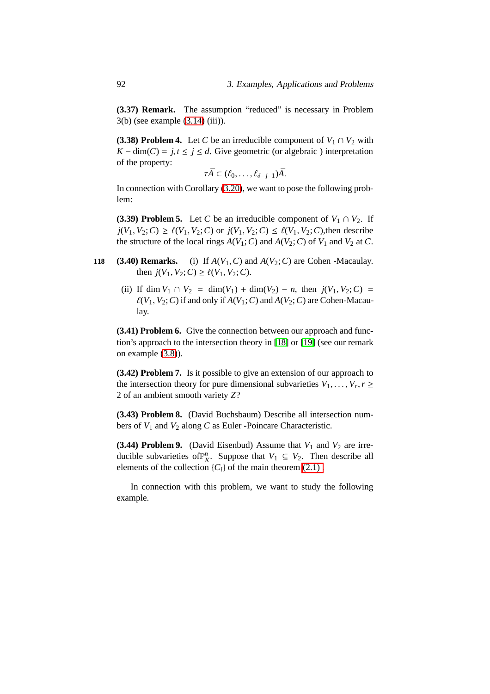**(3.37) Remark.** The assumption "reduced" is necessary in Problem 3(b) (see example [\(3.14\)](#page-91-0) (iii)).

**(3.38) Problem 4.** Let *C* be an irreducible component of  $V_1 \cap V_2$  with  $K - \dim(C) = j, t \leq j \leq d$ . Give geometric (or algebraic) interpretation of the property:

 $\tau \bar{A} \subset (\ell_0, \ldots, \ell_{\delta-j-1})\bar{A}.$ 

In connection with Corollary [\(3.20\)](#page-94-1), we want to pose the following problem:

**(3.39) Problem 5.** Let *C* be an irreducible component of  $V_1 \cap V_2$ . If  $j(V_1, V_2; C) \ge \ell(V_1, V_2; C)$  or  $j(V_1, V_2; C) \le \ell(V_1, V_2; C)$ , then describe the structure of the local rings  $A(V_1; C)$  and  $A(V_2; C)$  of  $V_1$  and  $V_2$  at  $C$ .

- **118 (3.40) Remarks.** (i) If  $A(V_1, C)$  and  $A(V_2; C)$  are Cohen -Macaulay. then  $j(V_1, V_2; C) \ge \ell(V_1, V_2; C)$ .
	- (ii) If dim  $V_1 \cap V_2 = \dim(V_1) + \dim(V_2) n$ , then  $j(V_1, V_2; C) =$  $\ell(V_1, V_2; C)$  if and only if  $A(V_1; C)$  and  $A(V_2; C)$  are Cohen-Macaulay.

**(3.41) Problem 6.** Give the connection between our approach and function's approach to the intersection theory in [\[18\]](#page-105-1) or [\[19\]](#page-105-0) (see our remark on example [\(3.8\)](#page-86-0)).

**(3.42) Problem 7.** Is it possible to give an extension of our approach to the intersection theory for pure dimensional subvarieties  $V_1, \ldots, V_r, r \geq 1$ 2 of an ambient smooth variety *Z*?

**(3.43) Problem 8.** (David Buchsbaum) Describe all intersection numbers of *V*<sup>1</sup> and *V*<sup>2</sup> along *C* as Euler -Poincare Characteristic.

**(3.44) Problem 9.** (David Eisenbud) Assume that  $V_1$  and  $V_2$  are irreducible subvarieties of  $\mathbb{P}_{K}^{n}$ . Suppose that *V*<sub>1</sub> ⊆ *V*<sub>2</sub>. Then describe all elements of the collection  $\{C_i\}$  of the main theorem (2.1).

In connection with this problem, we want to study the following example.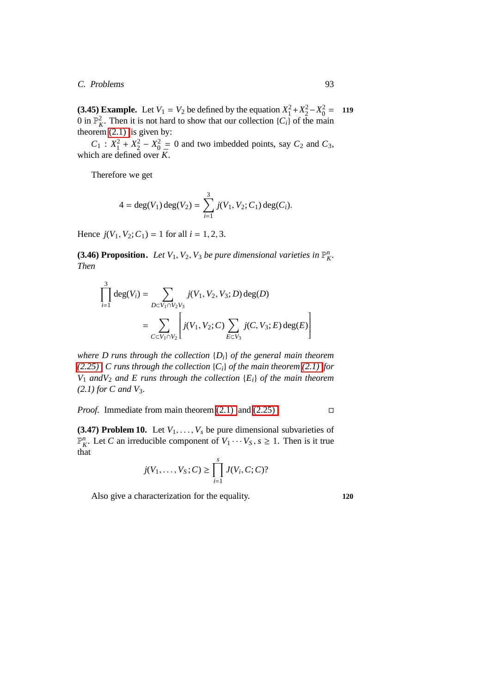C. Problems 93

**(3.45) Example.** Let  $V_1 = V_2$  be defined by the equation  $X_1^2 + X_2^2 - X_0^2 = 119$ 0 in  $\mathbb{P}_{K}^{2}$ . Then it is not hard to show that our collection  $\{C_{i}\}$  of the main theorem  $(2.1)$  is given by:

 $C_1$  :  $X_1^2 + X_2^2 - X_0^2 = 0$  and two imbedded points, say  $C_2$  and  $C_3$ , which are defined over  $\bar{K}$ .

Therefore we get

$$
4 = \deg(V_1) \deg(V_2) = \sum_{i=1}^{3} j(V_1, V_2; C_1) \deg(C_i).
$$

Hence  $j(V_1, V_2; C_1) = 1$  for all  $i = 1, 2, 3$ .

**(3.46) Proposition.** Let  $V_1$ ,  $V_2$ ,  $V_3$  *be pure dimensional varieties in*  $\mathbb{P}_K^n$ . *Then*

$$
\prod_{i=1}^{3} \deg(V_i) = \sum_{D \subset V_1 \cap V_2 V_3} j(V_1, V_2, V_3; D) \deg(D)
$$

$$
= \sum_{C \subset V_1 \cap V_2} \left[ j(V_1, V_2; C) \sum_{E \subset V_3} j(C, V_3; E) \deg(E) \right]
$$

*where D runs through the collection* {*Di*} *of the general main theorem [\(2.25\) ,](#page-74-0) C runs through the collection* {*Ci*} *of the main theorem [\(2.1\)](#page-56-0) for*  $V_1$  *and* $V_2$  *and*  $E$  *runs through the collection*  $\{E_i\}$  *of the main theorem (2.1) for C and V*3*.*

*Proof.* Immediately theorem (2.1) and (2.25). 
$$
\Box
$$

<span id="page-102-0"></span>**(3.47) Problem 10.** Let  $V_1, \ldots, V_s$  be pure dimensional subvarieties of  $\mathbb{P}_{K}^{n}$ . Let *C* an irreducible component of  $V_1 \cdots V_S$ ,  $s \ge 1$ . Then is it true that

$$
j(V_1,..., V_S; C) \ge \prod_{i=1}^s J(V_i, C; C)
$$
?

Also give a characterization for the equality. **120**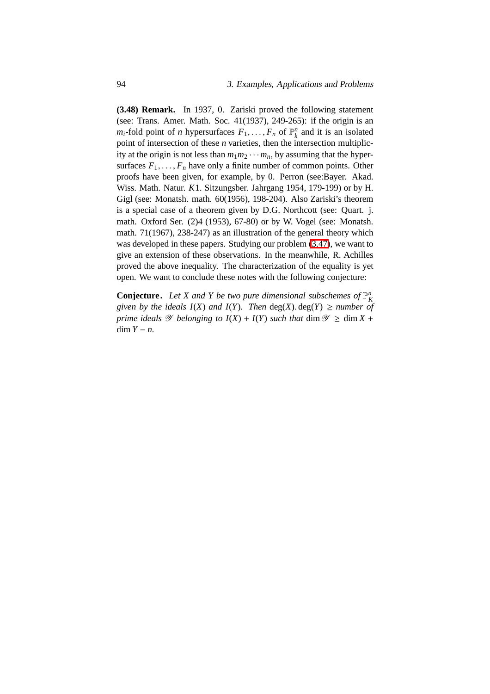**(3.48) Remark.** In 1937, 0. Zariski proved the following statement (see: Trans. Amer. Math. Soc. 41(1937), 249-265): if the origin is an *m*<sub>*i*</sub>-fold point of *n* hypersurfaces  $F_1, \ldots, F_n$  of  $\mathbb{P}_k^n$  and it is an isolated point of intersection of these *n* varieties, then the intersection multiplicity at the origin is not less than  $m_1m_2 \cdots m_n$ , by assuming that the hypersurfaces  $F_1, \ldots, F_n$  have only a finite number of common points. Other proofs have been given, for example, by 0. Perron (see:Bayer. Akad. Wiss. Math. Natur. *K*1. Sitzungsber. Jahrgang 1954, 179-199) or by H. Gigl (see: Monatsh. math. 60(1956), 198-204). Also Zariski's theorem is a special case of a theorem given by D.G. Northcott (see: Quart. j. math. Oxford Ser. (2)4 (1953), 67-80) or by W. Vogel (see: Monatsh. math. 71(1967), 238-247) as an illustration of the general theory which was developed in these papers. Studying our problem [\(3.47\)](#page-102-0), we want to give an extension of these observations. In the meanwhile, R. Achilles proved the above inequality. The characterization of the equality is yet open. We want to conclude these notes with the following conjecture:

**Conjecture.** Let X and Y be two pure dimensional subschemes of  $\mathbb{P}_{K}^{n}$ *given by the ideals*  $I(X)$  *and*  $I(Y)$ *. Then*  $deg(X)$ .  $deg(Y) \geq number$  of *prime ideals*  $\mathscr Y$  *belonging to*  $I(X) + I(Y)$  *such that* dim  $\mathscr Y \ge$  dim  $X$  + dim  $Y - n$ .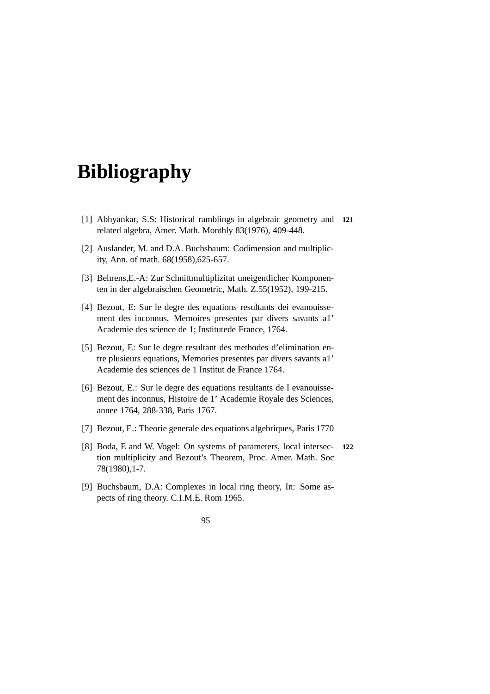# **Bibliography**

- [1] Abhyankar, S.S: Historical ramblings in algebraic geometry and **121** related algebra, Amer. Math. Monthly 83(1976), 409-448.
- [2] Auslander, M. and D.A. Buchsbaum: Codimension and multiplicity, Ann. of math. 68(1958),625-657.
- [3] Behrens,E.-A: Zur Schnittmultiplizitat uneigentlicher Komponenten in der algebraischen Geometric, Math. Z.55(1952), 199-215.
- [4] Bezout, E: Sur le degre des equations resultants dei evanouissement des inconnus, Memoires presentes par divers savants a1' Academie des science de 1; Institutede France, 1764.
- [5] Bezout, E: Sur le degre resultant des methodes d'elimination entre plusieurs equations, Memories presentes par divers savants a1' Academie des sciences de 1 Institut de France 1764.
- [6] Bezout, E.: Sur le degre des equations resultants de I evanouissement des inconnus, Histoire de 1' Academie Royale des Sciences, annee 1764, 288-338, Paris 1767.
- [7] Bezout, E.: Theorie generale des equations algebriques, Paris 1770
- [8] Boda, E and W. Vogel: On systems of parameters, local intersec- **122** tion multiplicity and Bezout's Theorem, Proc. Amer. Math. Soc 78(1980),1-7.
- [9] Buchsbaum, D.A: Complexes in local ring theory, In: Some aspects of ring theory. C.I.M.E. Rom 1965.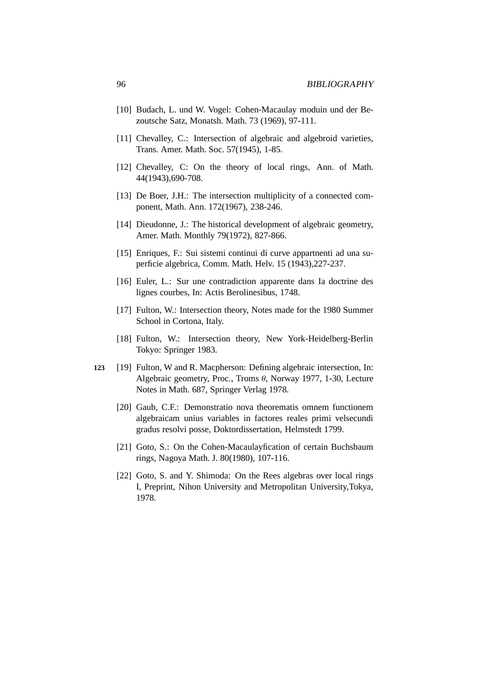- [10] Budach, L. und W. Vogel: Cohen-Macaulay moduin und der Bezoutsche Satz, Monatsh. Math. 73 (1969), 97-111.
- [11] Chevalley, C.: Intersection of algebraic and algebroid varieties, Trans. Amer. Math. Soc. 57(1945), 1-85.
- [12] Chevalley, C: On the theory of local rings, Ann. of Math. 44(1943),690-708.
- [13] De Boer, J.H.: The intersection multiplicity of a connected component, Math. Ann. 172(1967), 238-246.
- [14] Dieudonne, J.: The historical development of algebraic geometry, Amer. Math. Monthly 79(1972), 827-866.
- <span id="page-105-3"></span>[15] Enriques, F.: Sui sistemi continui di curve appartnenti ad una superficie algebrica, Comm. Math. Helv. 15 (1943),227-237.
- <span id="page-105-2"></span>[16] Euler, L.: Sur une contradiction apparente dans Ia doctrine des lignes courbes, In: Actis Berolinesibus, 1748.
- [17] Fulton, W.: Intersection theory, Notes made for the 1980 Summer School in Cortona, Italy.
- [18] Fulton, W.: Intersection theory, New York-Heidelberg-Berlin Tokyo: Springer 1983.
- <span id="page-105-1"></span><span id="page-105-0"></span>**123** [19] Fulton, W and R. Macpherson: Defining algebraic intersection, In: Algebraic geometry, Proc., Troms  $\theta$ , Norway 1977, 1-30, Lecture Notes in Math. 687, Springer Verlag 1978.
	- [20] Gaub, C.F.: Demonstratio nova theorematis omnem functionem algebraicam unius variables in factores reales primi velsecundi gradus resolvi posse, Doktordissertation, Helmstedt 1799.
	- [21] Goto, S.: On the Cohen-Macaulayfication of certain Buchsbaum rings, Nagoya Math. J. 80(1980), 107-116.
	- [22] Goto, S. and Y. Shimoda: On the Rees algebras over local rings I, Preprint, Nihon University and Metropolitan University,Tokya, 1978.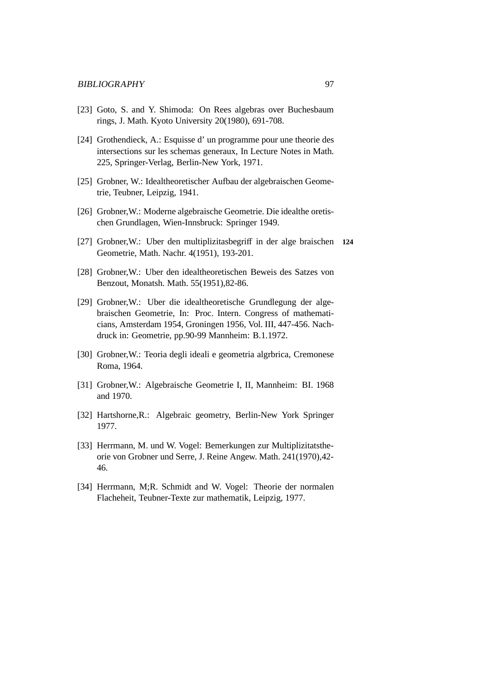- [23] Goto, S. and Y. Shimoda: On Rees algebras over Buchesbaum rings, J. Math. Kyoto University 20(1980), 691-708.
- [24] Grothendieck, A.: Esquisse d' un programme pour une theorie des intersections sur les schemas generaux, In Lecture Notes in Math. 225, Springer-Verlag, Berlin-New York, 1971.
- <span id="page-106-0"></span>[25] Grobner, W.: Idealtheoretischer Aufbau der algebraischen Geometrie, Teubner, Leipzig, 1941.
- [26] Grobner,W.: Moderne algebraische Geometrie. Die idealthe oretischen Grundlagen, Wien-Innsbruck: Springer 1949.
- [27] Grobner,W.: Uber den multiplizitasbegriff in der alge braischen **124** Geometrie, Math. Nachr. 4(1951), 193-201.
- [28] Grobner,W.: Uber den idealtheoretischen Beweis des Satzes von Benzout, Monatsh. Math. 55(1951),82-86.
- [29] Grobner,W.: Uber die idealtheoretische Grundlegung der algebraischen Geometrie, In: Proc. Intern. Congress of mathematicians, Amsterdam 1954, Groningen 1956, Vol. III, 447-456. Nachdruck in: Geometrie, pp.90-99 Mannheim: B.1.1972.
- [30] Grobner,W.: Teoria degli ideali e geometria algrbrica, Cremonese Roma, 1964.
- [31] Grobner,W.: Algebraische Geometrie I, II, Mannheim: BI. 1968 and 1970.
- [32] Hartshorne,R.: Algebraic geometry, Berlin-New York Springer 1977.
- [33] Herrmann, M. und W. Vogel: Bemerkungen zur Multiplizitatstheorie von Grobner und Serre, J. Reine Angew. Math. 241(1970),42- 46.
- [34] Herrmann, M;R. Schmidt and W. Vogel: Theorie der normalen Flacheheit, Teubner-Texte zur mathematik, Leipzig, 1977.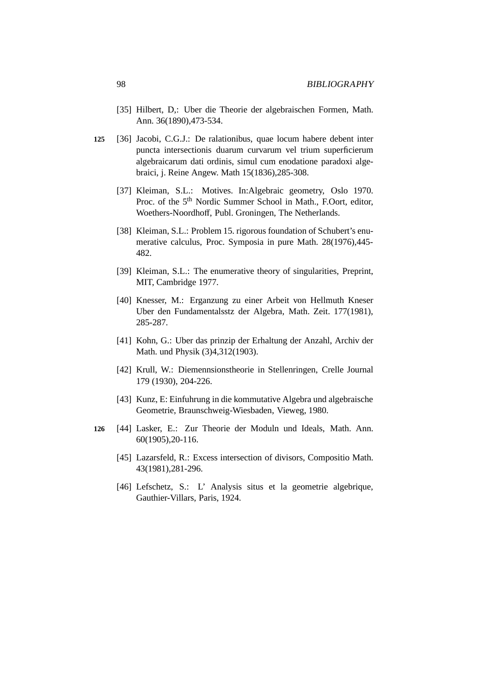- [35] Hilbert, D,: Uber die Theorie der algebraischen Formen, Math. Ann. 36(1890),473-534.
- <span id="page-107-1"></span>**125** [36] Jacobi, C.G.J.: De ralationibus, quae locum habere debent inter puncta intersectionis duarum curvarum vel trium superficierum algebraicarum dati ordinis, simul cum enodatione paradoxi algebraici, j. Reine Angew. Math 15(1836),285-308.
	- [37] Kleiman, S.L.: Motives. In:Algebraic geometry, Oslo 1970. Proc. of the 5<sup>th</sup> Nordic Summer School in Math., F.Oort, editor, Woethers-Noordhoff, Publ. Groningen, The Netherlands.
	- [38] Kleiman, S.L.: Problem 15. rigorous foundation of Schubert's enumerative calculus, Proc. Symposia in pure Math. 28(1976),445- 482.
	- [39] Kleiman, S.L.: The enumerative theory of singularities, Preprint, MIT, Cambridge 1977.
	- [40] Knesser, M.: Erganzung zu einer Arbeit von Hellmuth Kneser Uber den Fundamentalsstz der Algebra, Math. Zeit. 177(1981), 285-287.
	- [41] Kohn, G.: Uber das prinzip der Erhaltung der Anzahl, Archiv der Math. und Physik (3)4,312(1903).
	- [42] Krull, W.: Diemennsionstheorie in Stellenringen, Crelle Journal 179 (1930), 204-226.
	- [43] Kunz, E: Einfuhrung in die kommutative Algebra und algebraische Geometrie, Braunschweig-Wiesbaden, Vieweg, 1980.
- <span id="page-107-0"></span>**126** [44] Lasker, E.: Zur Theorie der Moduln und Ideals, Math. Ann. 60(1905),20-116.
	- [45] Lazarsfeld, R.: Excess intersection of divisors, Compositio Math. 43(1981),281-296.
	- [46] Lefschetz, S.: L' Analysis situs et la geometrie algebrique, Gauthier-Villars, Paris, 1924.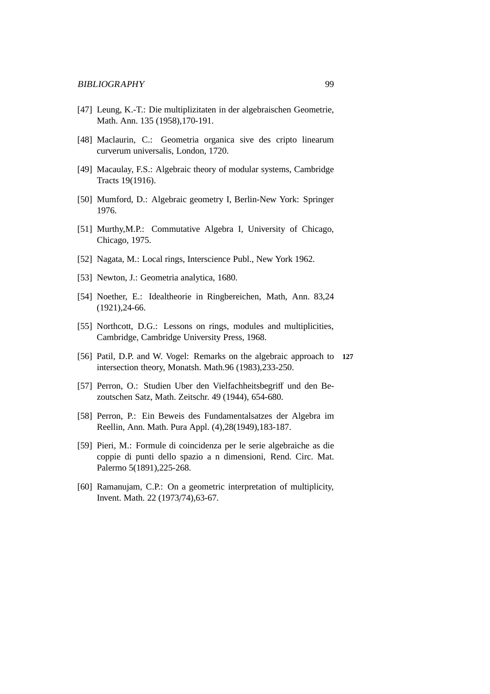- [47] Leung, K.-T.: Die multiplizitaten in der algebraischen Geometrie, Math. Ann. 135 (1958),170-191.
- [48] Maclaurin, C.: Geometria organica sive des cripto linearum curverum universalis, London, 1720.
- [49] Macaulay, F.S.: Algebraic theory of modular systems, Cambridge Tracts 19(1916).
- [50] Mumford, D.: Algebraic geometry I, Berlin-New York: Springer 1976.
- [51] Murthy,M.P.: Commutative Algebra I, University of Chicago, Chicago, 1975.
- [52] Nagata, M.: Local rings, Interscience Publ., New York 1962.
- [53] Newton, J.: Geometria analytica, 1680.
- [54] Noether, E.: Idealtheorie in Ringbereichen, Math, Ann. 83,24 (1921),24-66.
- [55] Northcott, D.G.: Lessons on rings, modules and multiplicities, Cambridge, Cambridge University Press, 1968.
- [56] Patil, D.P. and W. Vogel: Remarks on the algebraic approach to **127** intersection theory, Monatsh. Math.96 (1983),233-250.
- [57] Perron, O.: Studien Uber den Vielfachheitsbegriff und den Bezoutschen Satz, Math. Zeitschr. 49 (1944), 654-680.
- [58] Perron, P.: Ein Beweis des Fundamentalsatzes der Algebra im Reellin, Ann. Math. Pura Appl. (4),28(1949),183-187.
- [59] Pieri, M.: Formule di coincidenza per le serie algebraiche as die coppie di punti dello spazio a n dimensioni, Rend. Circ. Mat. Palermo 5(1891),225-268.
- [60] Ramanujam, C.P.: On a geometric interpretation of multiplicity, Invent. Math. 22 (1973/74),63-67.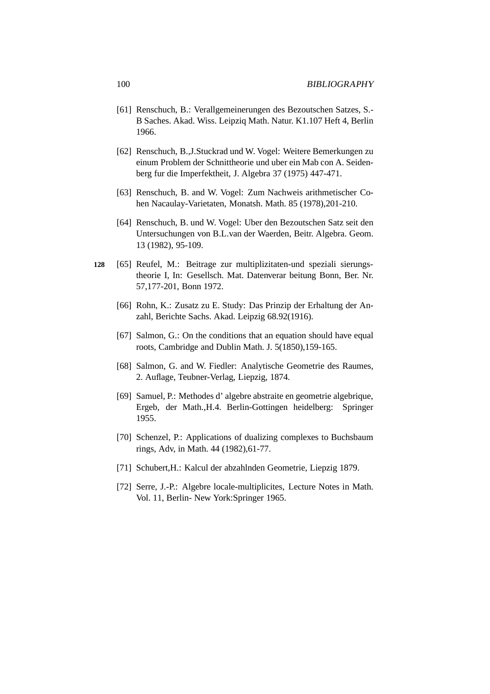- [61] Renschuch, B.: Verallgemeinerungen des Bezoutschen Satzes, S.- B Saches. Akad. Wiss. Leipziq Math. Natur. K1.107 Heft 4, Berlin 1966.
- [62] Renschuch, B.,J.Stuckrad und W. Vogel: Weitere Bemerkungen zu einum Problem der Schnittheorie und uber ein Mab con A. Seidenberg fur die Imperfektheit, J. Algebra 37 (1975) 447-471.
- [63] Renschuch, B. and W. Vogel: Zum Nachweis arithmetischer Cohen Nacaulay-Varietaten, Monatsh. Math. 85 (1978),201-210.
- [64] Renschuch, B. und W. Vogel: Uber den Bezoutschen Satz seit den Untersuchungen von B.L.van der Waerden, Beitr. Algebra. Geom. 13 (1982), 95-109.
- **128** [65] Reufel, M.: Beitrage zur multiplizitaten-und speziali sierungstheorie I, In: Gesellsch. Mat. Datenverar beitung Bonn, Ber. Nr. 57,177-201, Bonn 1972.
	- [66] Rohn, K.: Zusatz zu E. Study: Das Prinzip der Erhaltung der Anzahl, Berichte Sachs. Akad. Leipzig 68.92(1916).
	- [67] Salmon, G.: On the conditions that an equation should have equal roots, Cambridge and Dublin Math. J. 5(1850),159-165.
	- [68] Salmon, G. and W. Fiedler: Analytische Geometrie des Raumes, 2. Auflage, Teubner-Verlag, Liepzig, 1874.
	- [69] Samuel, P.: Methodes d' algebre abstraite en geometrie algebrique, Ergeb, der Math.,H.4. Berlin-Gottingen heidelberg: Springer 1955.
	- [70] Schenzel, P.: Applications of dualizing complexes to Buchsbaum rings, Adv, in Math. 44 (1982),61-77.
	- [71] Schubert,H.: Kalcul der abzahlnden Geometrie, Liepzig 1879.
	- [72] Serre, J.-P.: Algebre locale-multiplicites, Lecture Notes in Math. Vol. 11, Berlin- New York:Springer 1965.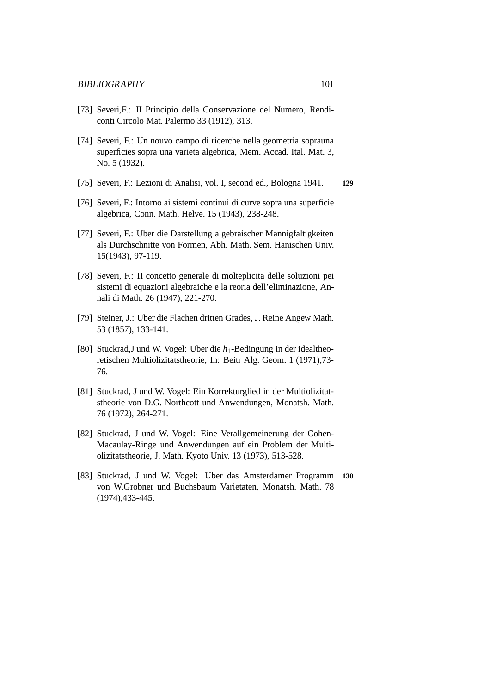- [73] Severi,F.: II Principio della Conservazione del Numero, Rendiconti Circolo Mat. Palermo 33 (1912), 313.
- [74] Severi, F.: Un nouvo campo di ricerche nella geometria soprauna superficies sopra una varieta algebrica, Mem. Accad. Ital. Mat. 3, No. 5 (1932).
- [75] Severi, F.: Lezioni di Analisi, vol. I, second ed., Bologna 1941. **129**
- [76] Severi, F.: Intorno ai sistemi continui di curve sopra una superficie algebrica, Conn. Math. Helve. 15 (1943), 238-248.
- [77] Severi, F.: Uber die Darstellung algebraischer Mannigfaltigkeiten als Durchschnitte von Formen, Abh. Math. Sem. Hanischen Univ. 15(1943), 97-119.
- [78] Severi, F.: II concetto generale di molteplicita delle soluzioni pei sistemi di equazioni algebraiche e la reoria dell'eliminazione, Annali di Math. 26 (1947), 221-270.
- [79] Steiner, J.: Uber die Flachen dritten Grades, J. Reine Angew Math. 53 (1857), 133-141.
- [80] Stuckrad,J und W. Vogel: Uber die *h*1-Bedingung in der idealtheoretischen Multiolizitatstheorie, In: Beitr Alg. Geom. 1 (1971),73- 76.
- [81] Stuckrad, J und W. Vogel: Ein Korrekturglied in der Multiolizitatstheorie von D.G. Northcott und Anwendungen, Monatsh. Math. 76 (1972), 264-271.
- [82] Stuckrad, J und W. Vogel: Eine Verallgemeinerung der Cohen-Macaulay-Ringe und Anwendungen auf ein Problem der Multiolizitatstheorie, J. Math. Kyoto Univ. 13 (1973), 513-528.
- [83] Stuckrad, J und W. Vogel: Uber das Amsterdamer Programm **130** von W.Grobner und Buchsbaum Varietaten, Monatsh. Math. 78 (1974),433-445.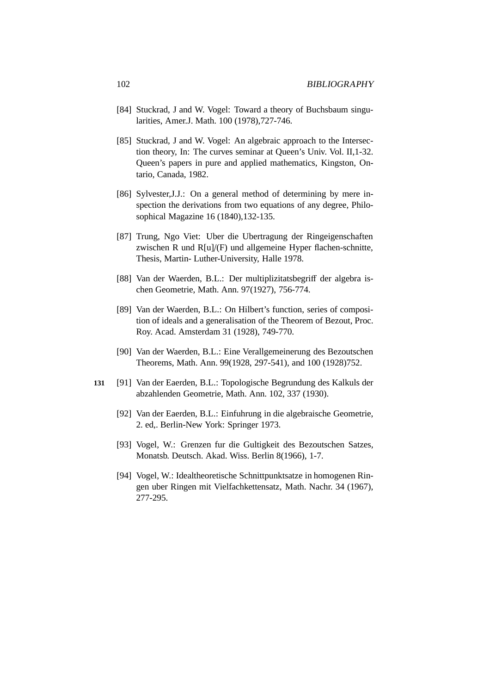- [84] Stuckrad, J and W. Vogel: Toward a theory of Buchsbaum singularities, Amer.J. Math. 100 (1978),727-746.
- [85] Stuckrad, J and W. Vogel: An algebraic approach to the Intersection theory, In: The curves seminar at Queen's Univ. Vol. II,1-32. Queen's papers in pure and applied mathematics, Kingston, Ontario, Canada, 1982.
- [86] Sylvester, J.J.: On a general method of determining by mere inspection the derivations from two equations of any degree, Philosophical Magazine 16 (1840),132-135.
- [87] Trung, Ngo Viet: Uber die Ubertragung der Ringeigenschaften zwischen R und R[u]/(F) und allgemeine Hyper flachen-schnitte, Thesis, Martin- Luther-University, Halle 1978.
- [88] Van der Waerden, B.L.: Der multiplizitatsbegriff der algebra ischen Geometrie, Math. Ann. 97(1927), 756-774.
- [89] Van der Waerden, B.L.: On Hilbert's function, series of composition of ideals and a generalisation of the Theorem of Bezout, Proc. Roy. Acad. Amsterdam 31 (1928), 749-770.
- [90] Van der Waerden, B.L.: Eine Verallgemeinerung des Bezoutschen Theorems, Math. Ann. 99(1928, 297-541), and 100 (1928)752.
- **131** [91] Van der Eaerden, B.L.: Topologische Begrundung des Kalkuls der abzahlenden Geometrie, Math. Ann. 102, 337 (1930).
	- [92] Van der Eaerden, B.L.: Einfuhrung in die algebraische Geometrie, 2. ed,. Berlin-New York: Springer 1973.
	- [93] Vogel, W.: Grenzen fur die Gultigkeit des Bezoutschen Satzes, Monatsb. Deutsch. Akad. Wiss. Berlin 8(1966), 1-7.
	- [94] Vogel, W.: Idealtheoretische Schnittpunktsatze in homogenen Ringen uber Ringen mit Vielfachkettensatz, Math. Nachr. 34 (1967), 277-295.